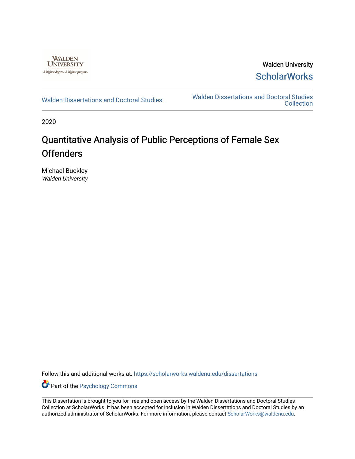

Walden University **ScholarWorks** 

[Walden Dissertations and Doctoral Studies](https://scholarworks.waldenu.edu/dissertations) Walden Dissertations and Doctoral Studies **Collection** 

2020

# Quantitative Analysis of Public Perceptions of Female Sex **Offenders**

Michael Buckley Walden University

Follow this and additional works at: [https://scholarworks.waldenu.edu/dissertations](https://scholarworks.waldenu.edu/dissertations?utm_source=scholarworks.waldenu.edu%2Fdissertations%2F9335&utm_medium=PDF&utm_campaign=PDFCoverPages)

Part of the [Psychology Commons](http://network.bepress.com/hgg/discipline/404?utm_source=scholarworks.waldenu.edu%2Fdissertations%2F9335&utm_medium=PDF&utm_campaign=PDFCoverPages) 

This Dissertation is brought to you for free and open access by the Walden Dissertations and Doctoral Studies Collection at ScholarWorks. It has been accepted for inclusion in Walden Dissertations and Doctoral Studies by an authorized administrator of ScholarWorks. For more information, please contact [ScholarWorks@waldenu.edu](mailto:ScholarWorks@waldenu.edu).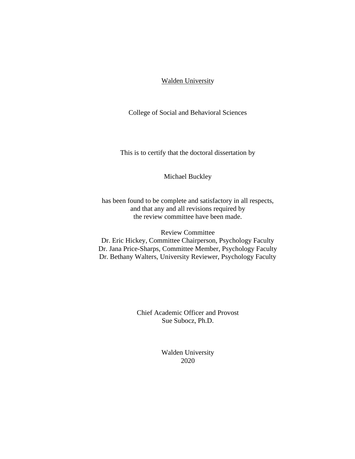# Walden University

College of Social and Behavioral Sciences

This is to certify that the doctoral dissertation by

Michael Buckley

has been found to be complete and satisfactory in all respects, and that any and all revisions required by the review committee have been made.

Review Committee Dr. Eric Hickey, Committee Chairperson, Psychology Faculty Dr. Jana Price-Sharps, Committee Member, Psychology Faculty Dr. Bethany Walters, University Reviewer, Psychology Faculty

> Chief Academic Officer and Provost Sue Subocz, Ph.D.

> > Walden University 2020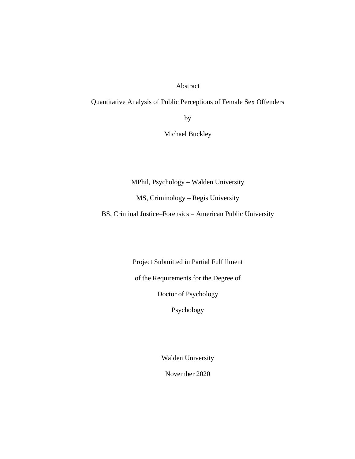Abstract

Quantitative Analysis of Public Perceptions of Female Sex Offenders

by

Michael Buckley

MPhil, Psychology – Walden University

MS, Criminology – Regis University

BS, Criminal Justice–Forensics – American Public University

Project Submitted in Partial Fulfillment

of the Requirements for the Degree of

Doctor of Psychology

Psychology

Walden University

November 2020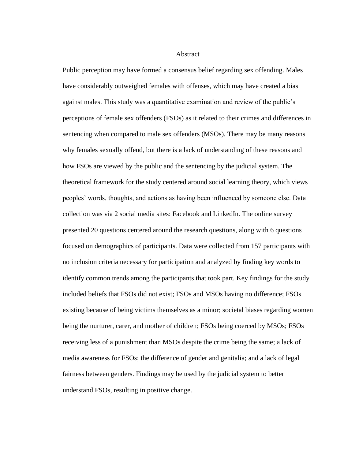Abstract

Public perception may have formed a consensus belief regarding sex offending. Males have considerably outweighed females with offenses, which may have created a bias against males. This study was a quantitative examination and review of the public's perceptions of female sex offenders (FSOs) as it related to their crimes and differences in sentencing when compared to male sex offenders (MSOs). There may be many reasons why females sexually offend, but there is a lack of understanding of these reasons and how FSOs are viewed by the public and the sentencing by the judicial system. The theoretical framework for the study centered around social learning theory, which views peoples' words, thoughts, and actions as having been influenced by someone else. Data collection was via 2 social media sites: Facebook and LinkedIn. The online survey presented 20 questions centered around the research questions, along with 6 questions focused on demographics of participants. Data were collected from 157 participants with no inclusion criteria necessary for participation and analyzed by finding key words to identify common trends among the participants that took part. Key findings for the study included beliefs that FSOs did not exist; FSOs and MSOs having no difference; FSOs existing because of being victims themselves as a minor; societal biases regarding women being the nurturer, carer, and mother of children; FSOs being coerced by MSOs; FSOs receiving less of a punishment than MSOs despite the crime being the same; a lack of media awareness for FSOs; the difference of gender and genitalia; and a lack of legal fairness between genders. Findings may be used by the judicial system to better understand FSOs, resulting in positive change.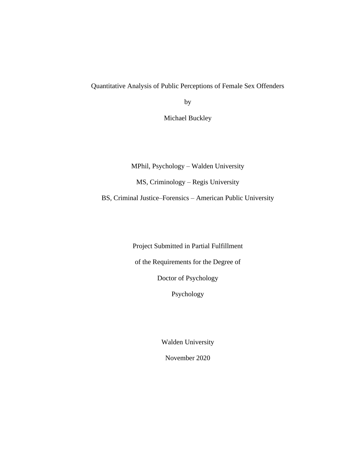Quantitative Analysis of Public Perceptions of Female Sex Offenders

by

Michael Buckley

MPhil, Psychology – Walden University

MS, Criminology – Regis University

BS, Criminal Justice–Forensics – American Public University

Project Submitted in Partial Fulfillment

of the Requirements for the Degree of

Doctor of Psychology

Psychology

Walden University

November 2020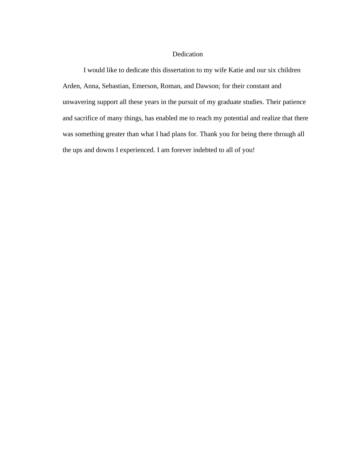## Dedication

I would like to dedicate this dissertation to my wife Katie and our six children Arden, Anna, Sebastian, Emerson, Roman, and Dawson; for their constant and unwavering support all these years in the pursuit of my graduate studies. Their patience and sacrifice of many things, has enabled me to reach my potential and realize that there was something greater than what I had plans for. Thank you for being there through all the ups and downs I experienced. I am forever indebted to all of you!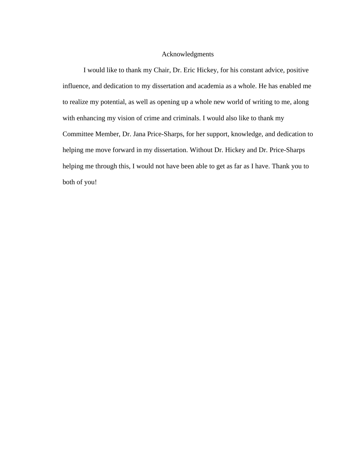## Acknowledgments

I would like to thank my Chair, Dr. Eric Hickey, for his constant advice, positive influence, and dedication to my dissertation and academia as a whole. He has enabled me to realize my potential, as well as opening up a whole new world of writing to me, along with enhancing my vision of crime and criminals. I would also like to thank my Committee Member, Dr. Jana Price-Sharps, for her support, knowledge, and dedication to helping me move forward in my dissertation. Without Dr. Hickey and Dr. Price-Sharps helping me through this, I would not have been able to get as far as I have. Thank you to both of you!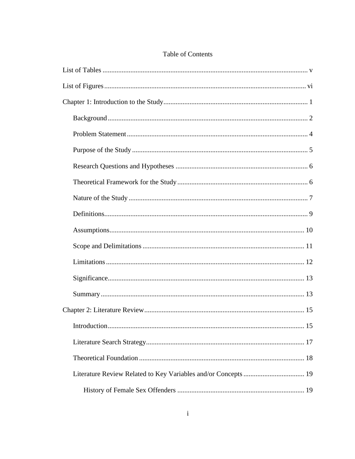# Table of Contents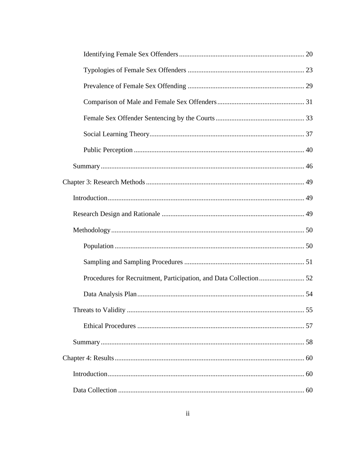| Procedures for Recruitment, Participation, and Data Collection  52 |  |
|--------------------------------------------------------------------|--|
|                                                                    |  |
|                                                                    |  |
|                                                                    |  |
|                                                                    |  |
|                                                                    |  |
|                                                                    |  |
|                                                                    |  |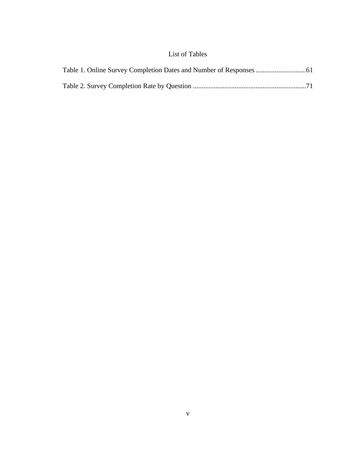# <span id="page-11-0"></span>List of Tables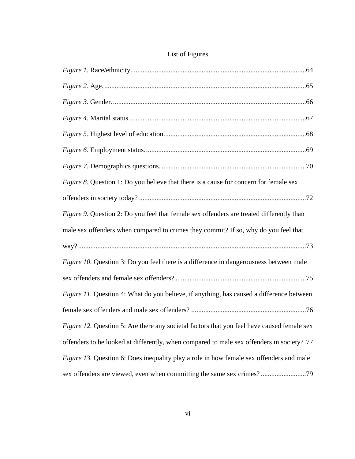|  | List of Figures |
|--|-----------------|
|--|-----------------|

<span id="page-12-0"></span>

| Figure 8. Question 1: Do you believe that there is a cause for concern for female sex           |
|-------------------------------------------------------------------------------------------------|
|                                                                                                 |
| Figure 9. Question 2: Do you feel that female sex offenders are treated differently than        |
| male sex offenders when compared to crimes they commit? If so, why do you feel that             |
|                                                                                                 |
|                                                                                                 |
| Figure 10. Question 3: Do you feel there is a difference in dangerousness between male          |
|                                                                                                 |
| <i>Figure 11.</i> Question 4: What do you believe, if anything, has caused a difference between |
|                                                                                                 |
| Figure 12. Question 5: Are there any societal factors that you feel have caused female sex      |
| offenders to be looked at differently, when compared to male sex offenders in society?.77       |
| Figure 13. Question 6: Does inequality play a role in how female sex offenders and male         |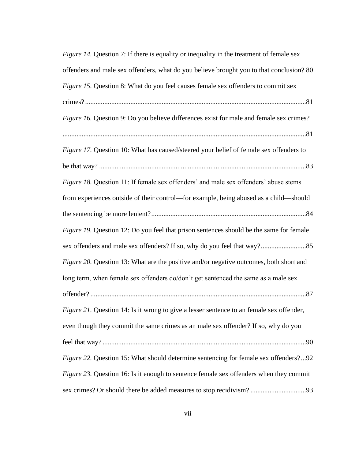| <i>Figure 14.</i> Question 7: If there is equality or inequality in the treatment of female sex |
|-------------------------------------------------------------------------------------------------|
| offenders and male sex offenders, what do you believe brought you to that conclusion? 80        |
| Figure 15. Question 8: What do you feel causes female sex offenders to commit sex               |
|                                                                                                 |
| <i>Figure 16.</i> Question 9: Do you believe differences exist for male and female sex crimes?  |
|                                                                                                 |
| Figure 17. Question 10: What has caused/steered your belief of female sex offenders to          |
|                                                                                                 |
| Figure 18. Question 11: If female sex offenders' and male sex offenders' abuse stems            |
| from experiences outside of their control—for example, being abused as a child—should           |
|                                                                                                 |
| <i>Figure 19.</i> Question 12: Do you feel that prison sentences should be the same for female  |
|                                                                                                 |
| Figure 20. Question 13: What are the positive and/or negative outcomes, both short and          |
| long term, when female sex offenders do/don't get sentenced the same as a male sex              |
|                                                                                                 |
| <i>Figure 21.</i> Question 14: Is it wrong to give a lesser sentence to an female sex offender, |
| even though they commit the same crimes as an male sex offender? If so, why do you              |
|                                                                                                 |
| <i>Figure 22.</i> Question 15: What should determine sentencing for female sex offenders?92     |
| Figure 23. Question 16: Is it enough to sentence female sex offenders when they commit          |
| sex crimes? Or should there be added measures to stop recidivism? 93                            |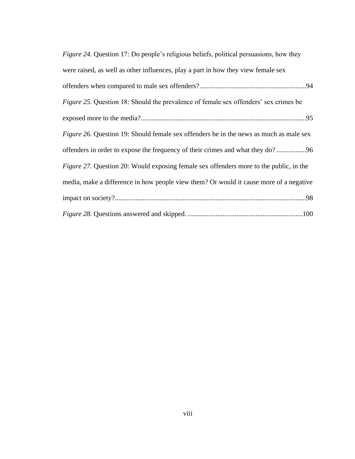| <i>Figure 24.</i> Question 17: Do people's religious beliefs, political persuasions, how they |
|-----------------------------------------------------------------------------------------------|
| were raised, as well as other influences, play a part in how they view female sex             |
|                                                                                               |
| Figure 25. Question 18: Should the prevalence of female sex offenders' sex crimes be          |
|                                                                                               |
| <i>Figure 26.</i> Question 19: Should female sex offenders be in the news as much as male sex |
| offenders in order to expose the frequency of their crimes and what they do?96                |
| <i>Figure 27.</i> Question 20: Would exposing female sex offenders more to the public, in the |
| media, make a difference in how people view them? Or would it cause more of a negative        |
|                                                                                               |
|                                                                                               |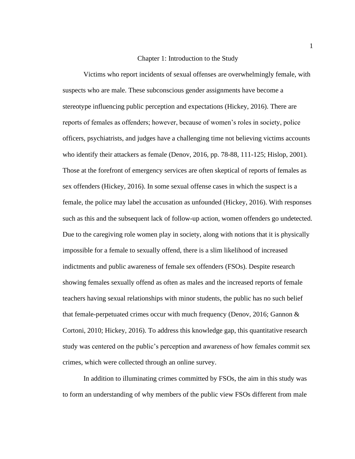#### Chapter 1: Introduction to the Study

<span id="page-15-0"></span>Victims who report incidents of sexual offenses are overwhelmingly female, with suspects who are male. These subconscious gender assignments have become a stereotype influencing public perception and expectations (Hickey, 2016). There are reports of females as offenders; however, because of women's roles in society, police officers, psychiatrists, and judges have a challenging time not believing victims accounts who identify their attackers as female (Denov, 2016, pp. 78-88, 111-125; Hislop, 2001). Those at the forefront of emergency services are often skeptical of reports of females as sex offenders (Hickey, 2016). In some sexual offense cases in which the suspect is a female, the police may label the accusation as unfounded (Hickey, 2016). With responses such as this and the subsequent lack of follow-up action, women offenders go undetected. Due to the caregiving role women play in society, along with notions that it is physically impossible for a female to sexually offend, there is a slim likelihood of increased indictments and public awareness of female sex offenders (FSOs). Despite research showing females sexually offend as often as males and the increased reports of female teachers having sexual relationships with minor students, the public has no such belief that female-perpetuated crimes occur with much frequency (Denov, 2016; Gannon  $\&$ Cortoni, 2010; Hickey, 2016). To address this knowledge gap, this quantitative research study was centered on the public's perception and awareness of how females commit sex crimes, which were collected through an online survey.

In addition to illuminating crimes committed by FSOs, the aim in this study was to form an understanding of why members of the public view FSOs different from male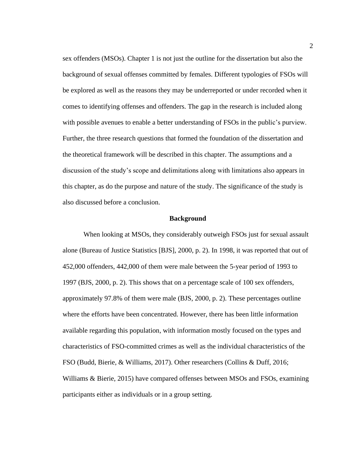sex offenders (MSOs). Chapter 1 is not just the outline for the dissertation but also the background of sexual offenses committed by females. Different typologies of FSOs will be explored as well as the reasons they may be underreported or under recorded when it comes to identifying offenses and offenders. The gap in the research is included along with possible avenues to enable a better understanding of FSOs in the public's purview. Further, the three research questions that formed the foundation of the dissertation and the theoretical framework will be described in this chapter. The assumptions and a discussion of the study's scope and delimitations along with limitations also appears in this chapter, as do the purpose and nature of the study. The significance of the study is also discussed before a conclusion.

#### **Background**

<span id="page-16-0"></span>When looking at MSOs, they considerably outweigh FSOs just for sexual assault alone (Bureau of Justice Statistics [BJS], 2000, p. 2). In 1998, it was reported that out of 452,000 offenders, 442,000 of them were male between the 5-year period of 1993 to 1997 (BJS, 2000, p. 2). This shows that on a percentage scale of 100 sex offenders, approximately 97.8% of them were male (BJS, 2000, p. 2). These percentages outline where the efforts have been concentrated. However, there has been little information available regarding this population, with information mostly focused on the types and characteristics of FSO-committed crimes as well as the individual characteristics of the FSO (Budd, Bierie, & Williams, 2017). Other researchers (Collins & Duff, 2016; Williams & Bierie, 2015) have compared offenses between MSOs and FSOs, examining participants either as individuals or in a group setting.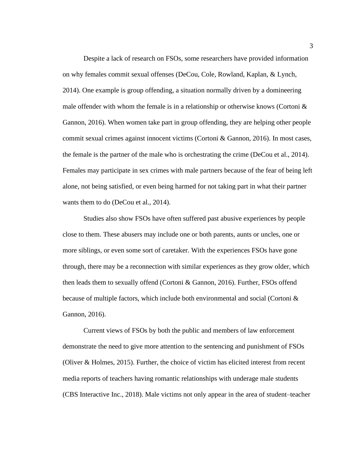Despite a lack of research on FSOs, some researchers have provided information on why females commit sexual offenses (DeCou, Cole, Rowland, Kaplan, & Lynch, 2014). One example is group offending, a situation normally driven by a domineering male offender with whom the female is in a relationship or otherwise knows (Cortoni  $\&$ Gannon, 2016). When women take part in group offending, they are helping other people commit sexual crimes against innocent victims (Cortoni & Gannon, 2016). In most cases, the female is the partner of the male who is orchestrating the crime (DeCou et al., 2014). Females may participate in sex crimes with male partners because of the fear of being left alone, not being satisfied, or even being harmed for not taking part in what their partner wants them to do (DeCou et al., 2014).

Studies also show FSOs have often suffered past abusive experiences by people close to them. These abusers may include one or both parents, aunts or uncles, one or more siblings, or even some sort of caretaker. With the experiences FSOs have gone through, there may be a reconnection with similar experiences as they grow older, which then leads them to sexually offend (Cortoni  $\&$  Gannon, 2016). Further, FSOs offend because of multiple factors, which include both environmental and social (Cortoni & Gannon, 2016).

Current views of FSOs by both the public and members of law enforcement demonstrate the need to give more attention to the sentencing and punishment of FSOs (Oliver & Holmes, 2015). Further, the choice of victim has elicited interest from recent media reports of teachers having romantic relationships with underage male students (CBS Interactive Inc., 2018). Male victims not only appear in the area of student–teacher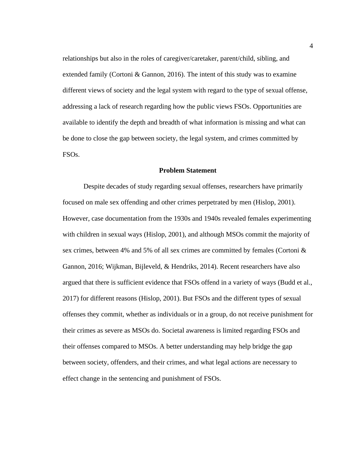relationships but also in the roles of caregiver/caretaker, parent/child, sibling, and extended family (Cortoni & Gannon, 2016). The intent of this study was to examine different views of society and the legal system with regard to the type of sexual offense, addressing a lack of research regarding how the public views FSOs. Opportunities are available to identify the depth and breadth of what information is missing and what can be done to close the gap between society, the legal system, and crimes committed by FSOs.

#### **Problem Statement**

<span id="page-18-0"></span>Despite decades of study regarding sexual offenses, researchers have primarily focused on male sex offending and other crimes perpetrated by men (Hislop, 2001). However, case documentation from the 1930s and 1940s revealed females experimenting with children in sexual ways (Hislop, 2001), and although MSOs commit the majority of sex crimes, between 4% and 5% of all sex crimes are committed by females (Cortoni & Gannon, 2016; Wijkman, Bijleveld, & Hendriks, 2014). Recent researchers have also argued that there is sufficient evidence that FSOs offend in a variety of ways (Budd et al., 2017) for different reasons (Hislop, 2001). But FSOs and the different types of sexual offenses they commit, whether as individuals or in a group, do not receive punishment for their crimes as severe as MSOs do. Societal awareness is limited regarding FSOs and their offenses compared to MSOs. A better understanding may help bridge the gap between society, offenders, and their crimes, and what legal actions are necessary to effect change in the sentencing and punishment of FSOs.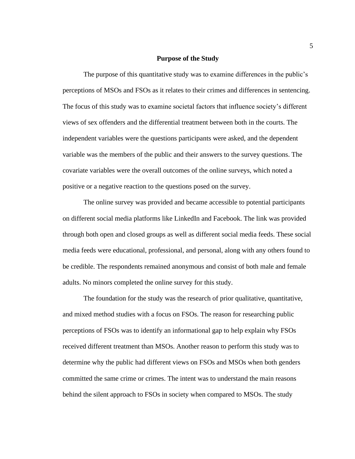#### **Purpose of the Study**

<span id="page-19-0"></span>The purpose of this quantitative study was to examine differences in the public's perceptions of MSOs and FSOs as it relates to their crimes and differences in sentencing. The focus of this study was to examine societal factors that influence society's different views of sex offenders and the differential treatment between both in the courts. The independent variables were the questions participants were asked, and the dependent variable was the members of the public and their answers to the survey questions. The covariate variables were the overall outcomes of the online surveys, which noted a positive or a negative reaction to the questions posed on the survey.

The online survey was provided and became accessible to potential participants on different social media platforms like LinkedIn and Facebook. The link was provided through both open and closed groups as well as different social media feeds. These social media feeds were educational, professional, and personal, along with any others found to be credible. The respondents remained anonymous and consist of both male and female adults. No minors completed the online survey for this study.

The foundation for the study was the research of prior qualitative, quantitative, and mixed method studies with a focus on FSOs. The reason for researching public perceptions of FSOs was to identify an informational gap to help explain why FSOs received different treatment than MSOs. Another reason to perform this study was to determine why the public had different views on FSOs and MSOs when both genders committed the same crime or crimes. The intent was to understand the main reasons behind the silent approach to FSOs in society when compared to MSOs. The study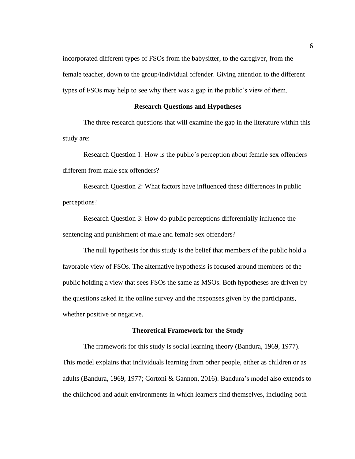incorporated different types of FSOs from the babysitter, to the caregiver, from the female teacher, down to the group/individual offender. Giving attention to the different types of FSOs may help to see why there was a gap in the public's view of them.

### **Research Questions and Hypotheses**

<span id="page-20-0"></span>The three research questions that will examine the gap in the literature within this study are:

Research Question 1: How is the public's perception about female sex offenders different from male sex offenders?

Research Question 2: What factors have influenced these differences in public perceptions?

Research Question 3: How do public perceptions differentially influence the sentencing and punishment of male and female sex offenders?

The null hypothesis for this study is the belief that members of the public hold a favorable view of FSOs. The alternative hypothesis is focused around members of the public holding a view that sees FSOs the same as MSOs. Both hypotheses are driven by the questions asked in the online survey and the responses given by the participants, whether positive or negative.

#### **Theoretical Framework for the Study**

<span id="page-20-1"></span>The framework for this study is social learning theory (Bandura, 1969, 1977). This model explains that individuals learning from other people, either as children or as adults (Bandura, 1969, 1977; Cortoni & Gannon, 2016). Bandura's model also extends to the childhood and adult environments in which learners find themselves, including both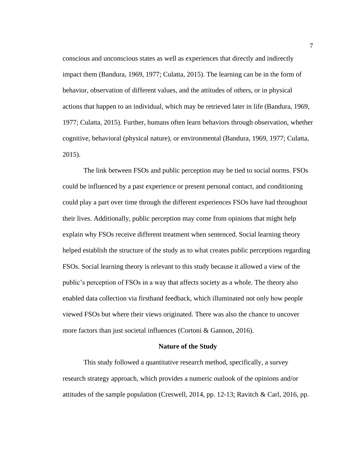conscious and unconscious states as well as experiences that directly and indirectly impact them (Bandura, 1969, 1977; Culatta, 2015). The learning can be in the form of behavior, observation of different values, and the attitudes of others, or in physical actions that happen to an individual, which may be retrieved later in life (Bandura, 1969, 1977; Culatta, 2015). Further, humans often learn behaviors through observation, whether cognitive, behavioral (physical nature), or environmental (Bandura, 1969, 1977; Culatta, 2015).

The link between FSOs and public perception may be tied to social norms. FSOs could be influenced by a past experience or present personal contact, and conditioning could play a part over time through the different experiences FSOs have had throughout their lives. Additionally, public perception may come from opinions that might help explain why FSOs receive different treatment when sentenced. Social learning theory helped establish the structure of the study as to what creates public perceptions regarding FSOs. Social learning theory is relevant to this study because it allowed a view of the public's perception of FSOs in a way that affects society as a whole. The theory also enabled data collection via firsthand feedback, which illuminated not only how people viewed FSOs but where their views originated. There was also the chance to uncover more factors than just societal influences (Cortoni & Gannon, 2016).

#### **Nature of the Study**

<span id="page-21-0"></span>This study followed a quantitative research method, specifically, a survey research strategy approach, which provides a numeric outlook of the opinions and/or attitudes of the sample population (Creswell, 2014, pp. 12-13; Ravitch & Carl, 2016, pp.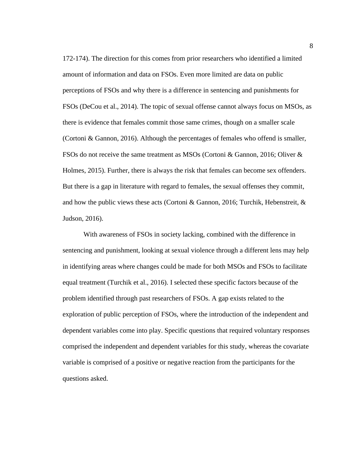172-174). The direction for this comes from prior researchers who identified a limited amount of information and data on FSOs. Even more limited are data on public perceptions of FSOs and why there is a difference in sentencing and punishments for FSOs (DeCou et al., 2014). The topic of sexual offense cannot always focus on MSOs, as there is evidence that females commit those same crimes, though on a smaller scale (Cortoni & Gannon, 2016). Although the percentages of females who offend is smaller, FSOs do not receive the same treatment as MSOs (Cortoni & Gannon, 2016; Oliver  $\&$ Holmes, 2015). Further, there is always the risk that females can become sex offenders. But there is a gap in literature with regard to females, the sexual offenses they commit, and how the public views these acts (Cortoni & Gannon, 2016; Turchik, Hebenstreit, & Judson, 2016).

With awareness of FSOs in society lacking, combined with the difference in sentencing and punishment, looking at sexual violence through a different lens may help in identifying areas where changes could be made for both MSOs and FSOs to facilitate equal treatment (Turchik et al., 2016). I selected these specific factors because of the problem identified through past researchers of FSOs. A gap exists related to the exploration of public perception of FSOs, where the introduction of the independent and dependent variables come into play. Specific questions that required voluntary responses comprised the independent and dependent variables for this study, whereas the covariate variable is comprised of a positive or negative reaction from the participants for the questions asked.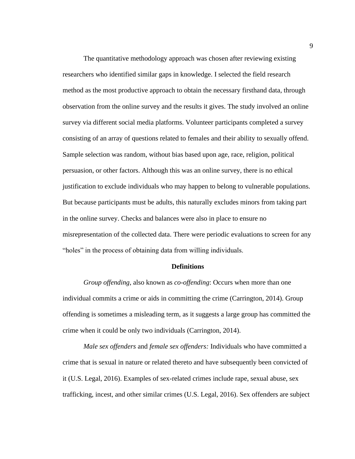The quantitative methodology approach was chosen after reviewing existing researchers who identified similar gaps in knowledge. I selected the field research method as the most productive approach to obtain the necessary firsthand data, through observation from the online survey and the results it gives. The study involved an online survey via different social media platforms. Volunteer participants completed a survey consisting of an array of questions related to females and their ability to sexually offend. Sample selection was random, without bias based upon age, race, religion, political persuasion, or other factors. Although this was an online survey, there is no ethical justification to exclude individuals who may happen to belong to vulnerable populations. But because participants must be adults, this naturally excludes minors from taking part in the online survey. Checks and balances were also in place to ensure no misrepresentation of the collected data. There were periodic evaluations to screen for any "holes" in the process of obtaining data from willing individuals.

#### **Definitions**

<span id="page-23-0"></span>*Group offending*, also known as *co-offending*: Occurs when more than one individual commits a crime or aids in committing the crime (Carrington, 2014). Group offending is sometimes a misleading term, as it suggests a large group has committed the crime when it could be only two individuals (Carrington, 2014).

*Male sex offenders* and *female sex offenders:* Individuals who have committed a crime that is sexual in nature or related thereto and have subsequently been convicted of it (U.S. Legal, 2016). Examples of sex-related crimes include rape, sexual abuse, sex trafficking, incest, and other similar crimes (U.S. Legal, 2016). Sex offenders are subject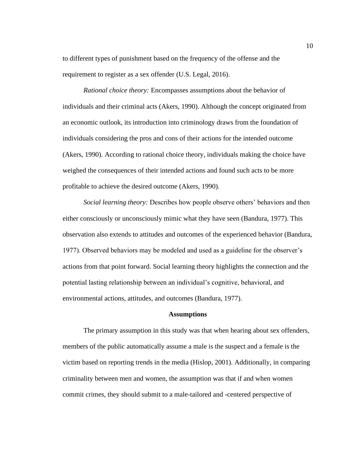to different types of punishment based on the frequency of the offense and the requirement to register as a sex offender (U.S. Legal, 2016).

*Rational choice theory:* Encompasses assumptions about the behavior of individuals and their criminal acts (Akers, 1990). Although the concept originated from an economic outlook, its introduction into criminology draws from the foundation of individuals considering the pros and cons of their actions for the intended outcome (Akers, 1990). According to rational choice theory, individuals making the choice have weighed the consequences of their intended actions and found such acts to be more profitable to achieve the desired outcome (Akers, 1990).

*Social learning theory:* Describes how people observe others' behaviors and then either consciously or unconsciously mimic what they have seen (Bandura, 1977). This observation also extends to attitudes and outcomes of the experienced behavior (Bandura, 1977). Observed behaviors may be modeled and used as a guideline for the observer's actions from that point forward. Social learning theory highlights the connection and the potential lasting relationship between an individual's cognitive, behavioral, and environmental actions, attitudes, and outcomes (Bandura, 1977).

#### **Assumptions**

<span id="page-24-0"></span>The primary assumption in this study was that when hearing about sex offenders, members of the public automatically assume a male is the suspect and a female is the victim based on reporting trends in the media (Hislop, 2001). Additionally, in comparing criminality between men and women, the assumption was that if and when women commit crimes, they should submit to a male-tailored and -centered perspective of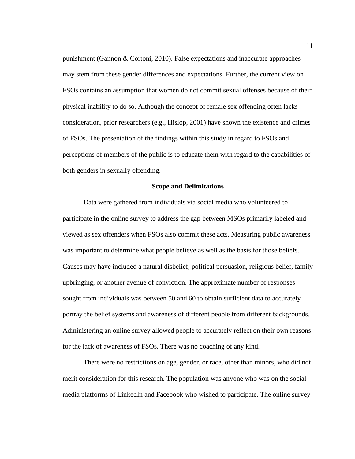punishment (Gannon & Cortoni, 2010). False expectations and inaccurate approaches may stem from these gender differences and expectations. Further, the current view on FSOs contains an assumption that women do not commit sexual offenses because of their physical inability to do so. Although the concept of female sex offending often lacks consideration, prior researchers (e.g., Hislop, 2001) have shown the existence and crimes of FSOs. The presentation of the findings within this study in regard to FSOs and perceptions of members of the public is to educate them with regard to the capabilities of both genders in sexually offending.

#### **Scope and Delimitations**

<span id="page-25-0"></span>Data were gathered from individuals via social media who volunteered to participate in the online survey to address the gap between MSOs primarily labeled and viewed as sex offenders when FSOs also commit these acts. Measuring public awareness was important to determine what people believe as well as the basis for those beliefs. Causes may have included a natural disbelief, political persuasion, religious belief, family upbringing, or another avenue of conviction. The approximate number of responses sought from individuals was between 50 and 60 to obtain sufficient data to accurately portray the belief systems and awareness of different people from different backgrounds. Administering an online survey allowed people to accurately reflect on their own reasons for the lack of awareness of FSOs. There was no coaching of any kind.

There were no restrictions on age, gender, or race, other than minors, who did not merit consideration for this research. The population was anyone who was on the social media platforms of LinkedIn and Facebook who wished to participate. The online survey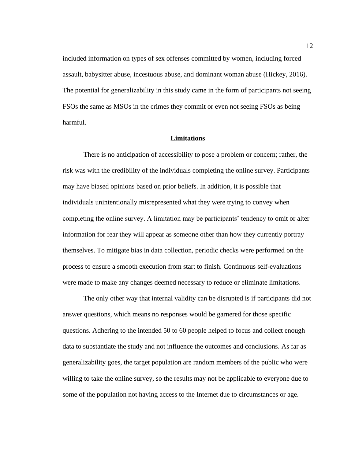included information on types of sex offenses committed by women, including forced assault, babysitter abuse, incestuous abuse, and dominant woman abuse (Hickey, 2016). The potential for generalizability in this study came in the form of participants not seeing FSOs the same as MSOs in the crimes they commit or even not seeing FSOs as being harmful.

### **Limitations**

<span id="page-26-0"></span>There is no anticipation of accessibility to pose a problem or concern; rather, the risk was with the credibility of the individuals completing the online survey. Participants may have biased opinions based on prior beliefs. In addition, it is possible that individuals unintentionally misrepresented what they were trying to convey when completing the online survey. A limitation may be participants' tendency to omit or alter information for fear they will appear as someone other than how they currently portray themselves. To mitigate bias in data collection, periodic checks were performed on the process to ensure a smooth execution from start to finish. Continuous self-evaluations were made to make any changes deemed necessary to reduce or eliminate limitations.

The only other way that internal validity can be disrupted is if participants did not answer questions, which means no responses would be garnered for those specific questions. Adhering to the intended 50 to 60 people helped to focus and collect enough data to substantiate the study and not influence the outcomes and conclusions. As far as generalizability goes, the target population are random members of the public who were willing to take the online survey, so the results may not be applicable to everyone due to some of the population not having access to the Internet due to circumstances or age.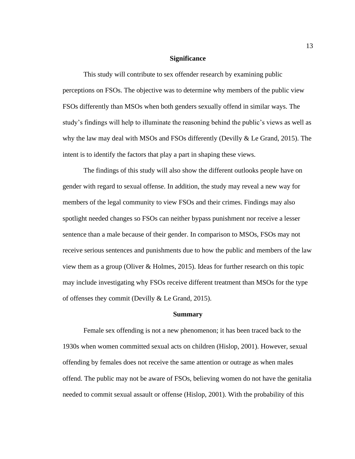#### **Significance**

<span id="page-27-0"></span>This study will contribute to sex offender research by examining public perceptions on FSOs. The objective was to determine why members of the public view FSOs differently than MSOs when both genders sexually offend in similar ways. The study's findings will help to illuminate the reasoning behind the public's views as well as why the law may deal with MSOs and FSOs differently (Devilly & Le Grand, 2015). The intent is to identify the factors that play a part in shaping these views.

The findings of this study will also show the different outlooks people have on gender with regard to sexual offense. In addition, the study may reveal a new way for members of the legal community to view FSOs and their crimes. Findings may also spotlight needed changes so FSOs can neither bypass punishment nor receive a lesser sentence than a male because of their gender. In comparison to MSOs, FSOs may not receive serious sentences and punishments due to how the public and members of the law view them as a group (Oliver & Holmes, 2015). Ideas for further research on this topic may include investigating why FSOs receive different treatment than MSOs for the type of offenses they commit (Devilly & Le Grand, 2015).

#### **Summary**

<span id="page-27-1"></span>Female sex offending is not a new phenomenon; it has been traced back to the 1930s when women committed sexual acts on children (Hislop, 2001). However, sexual offending by females does not receive the same attention or outrage as when males offend. The public may not be aware of FSOs, believing women do not have the genitalia needed to commit sexual assault or offense (Hislop, 2001). With the probability of this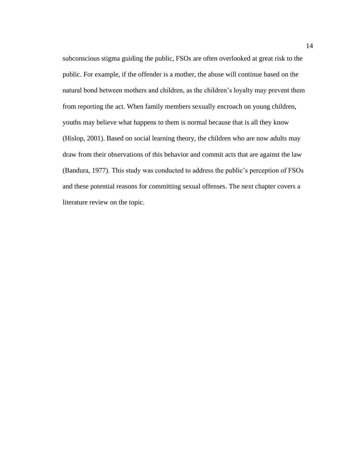subconscious stigma guiding the public, FSOs are often overlooked at great risk to the public. For example, if the offender is a mother, the abuse will continue based on the natural bond between mothers and children, as the children's loyalty may prevent them from reporting the act. When family members sexually encroach on young children, youths may believe what happens to them is normal because that is all they know (Hislop, 2001). Based on social learning theory, the children who are now adults may draw from their observations of this behavior and commit acts that are against the law (Bandura, 1977). This study was conducted to address the public's perception of FSOs and these potential reasons for committing sexual offenses. The next chapter covers a literature review on the topic.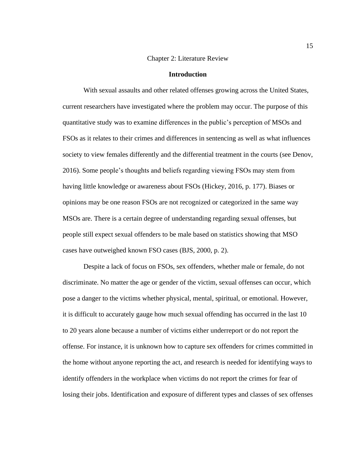#### Chapter 2: Literature Review

#### **Introduction**

<span id="page-29-1"></span><span id="page-29-0"></span>With sexual assaults and other related offenses growing across the United States, current researchers have investigated where the problem may occur. The purpose of this quantitative study was to examine differences in the public's perception of MSOs and FSOs as it relates to their crimes and differences in sentencing as well as what influences society to view females differently and the differential treatment in the courts (see Denov, 2016). Some people's thoughts and beliefs regarding viewing FSOs may stem from having little knowledge or awareness about FSOs (Hickey, 2016, p. 177). Biases or opinions may be one reason FSOs are not recognized or categorized in the same way MSOs are. There is a certain degree of understanding regarding sexual offenses, but people still expect sexual offenders to be male based on statistics showing that MSO cases have outweighed known FSO cases (BJS, 2000, p. 2).

Despite a lack of focus on FSOs, sex offenders, whether male or female, do not discriminate. No matter the age or gender of the victim, sexual offenses can occur, which pose a danger to the victims whether physical, mental, spiritual, or emotional. However, it is difficult to accurately gauge how much sexual offending has occurred in the last 10 to 20 years alone because a number of victims either underreport or do not report the offense. For instance, it is unknown how to capture sex offenders for crimes committed in the home without anyone reporting the act, and research is needed for identifying ways to identify offenders in the workplace when victims do not report the crimes for fear of losing their jobs. Identification and exposure of different types and classes of sex offenses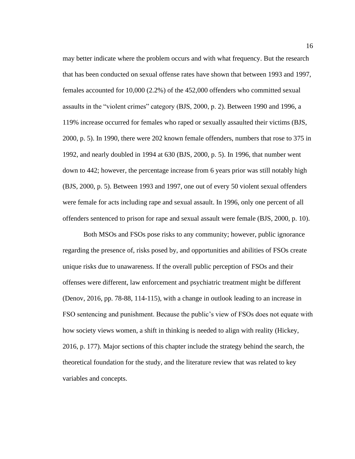may better indicate where the problem occurs and with what frequency. But the research that has been conducted on sexual offense rates have shown that between 1993 and 1997, females accounted for 10,000 (2.2%) of the 452,000 offenders who committed sexual assaults in the "violent crimes" category (BJS, 2000, p. 2). Between 1990 and 1996, a 119% increase occurred for females who raped or sexually assaulted their victims (BJS, 2000, p. 5). In 1990, there were 202 known female offenders, numbers that rose to 375 in 1992, and nearly doubled in 1994 at 630 (BJS, 2000, p. 5). In 1996, that number went down to 442; however, the percentage increase from 6 years prior was still notably high (BJS, 2000, p. 5). Between 1993 and 1997, one out of every 50 violent sexual offenders were female for acts including rape and sexual assault. In 1996, only one percent of all offenders sentenced to prison for rape and sexual assault were female (BJS, 2000, p. 10).

Both MSOs and FSOs pose risks to any community; however, public ignorance regarding the presence of, risks posed by, and opportunities and abilities of FSOs create unique risks due to unawareness. If the overall public perception of FSOs and their offenses were different, law enforcement and psychiatric treatment might be different (Denov, 2016, pp. 78-88, 114-115), with a change in outlook leading to an increase in FSO sentencing and punishment. Because the public's view of FSOs does not equate with how society views women, a shift in thinking is needed to align with reality (Hickey, 2016, p. 177). Major sections of this chapter include the strategy behind the search, the theoretical foundation for the study, and the literature review that was related to key variables and concepts.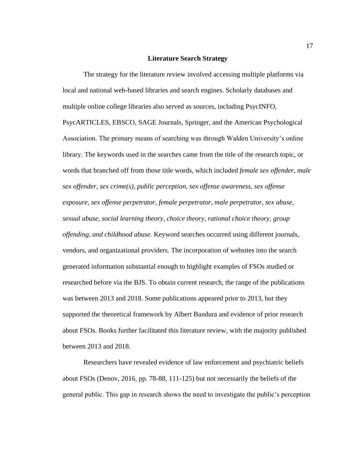#### **Literature Search Strategy**

<span id="page-31-0"></span>The strategy for the literature review involved accessing multiple platforms via local and national web-based libraries and search engines. Scholarly databases and multiple online college libraries also served as sources, including PsycINFO, PsycARTICLES, EBSCO, SAGE Journals, Springer, and the American Psychological Association. The primary means of searching was through Walden University's online library. The keywords used in the searches came from the title of the research topic, or words that branched off from those title words, which included *female sex offender, male sex offender, sex crime(s), public perception, sex offense awareness, sex offense exposure, sex offense perpetrator, female perpetrator, male perpetrator, sex abuse, sexual abuse, social learning theory, choice theory, rational choice theory, group offending, and childhood abuse*. Keyword searches occurred using different journals, vendors, and organizational providers. The incorporation of websites into the search generated information substantial enough to highlight examples of FSOs studied or researched before via the BJS. To obtain current research, the range of the publications was between 2013 and 2018. Some publications appeared prior to 2013, but they supported the theoretical framework by Albert Bandura and evidence of prior research about FSOs. Books further facilitated this literature review, with the majority published between 2013 and 2018.

Researchers have revealed evidence of law enforcement and psychiatric beliefs about FSOs (Denov, 2016, pp. 78-88, 111-125) but not necessarily the beliefs of the general public. This gap in research shows the need to investigate the public's perception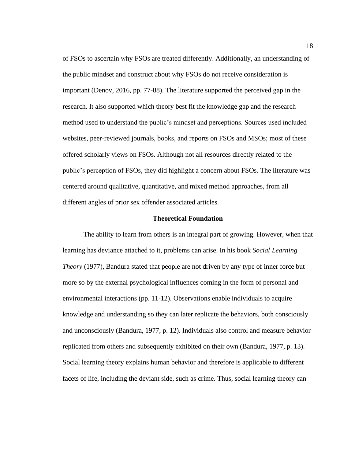of FSOs to ascertain why FSOs are treated differently. Additionally, an understanding of the public mindset and construct about why FSOs do not receive consideration is important (Denov, 2016, pp. 77-88). The literature supported the perceived gap in the research. It also supported which theory best fit the knowledge gap and the research method used to understand the public's mindset and perceptions. Sources used included websites, peer-reviewed journals, books, and reports on FSOs and MSOs; most of these offered scholarly views on FSOs. Although not all resources directly related to the public's perception of FSOs, they did highlight a concern about FSOs. The literature was centered around qualitative, quantitative, and mixed method approaches, from all different angles of prior sex offender associated articles.

#### **Theoretical Foundation**

<span id="page-32-0"></span>The ability to learn from others is an integral part of growing. However, when that learning has deviance attached to it, problems can arise. In his book *Social Learning Theory* (1977), Bandura stated that people are not driven by any type of inner force but more so by the external psychological influences coming in the form of personal and environmental interactions (pp. 11-12). Observations enable individuals to acquire knowledge and understanding so they can later replicate the behaviors, both consciously and unconsciously (Bandura, 1977, p. 12). Individuals also control and measure behavior replicated from others and subsequently exhibited on their own (Bandura, 1977, p. 13). Social learning theory explains human behavior and therefore is applicable to different facets of life, including the deviant side, such as crime. Thus, social learning theory can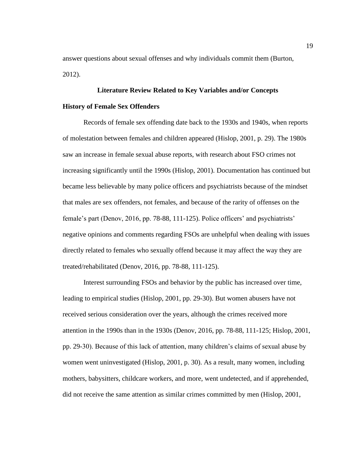answer questions about sexual offenses and why individuals commit them (Burton, 2012).

# **Literature Review Related to Key Variables and/or Concepts**

## <span id="page-33-1"></span><span id="page-33-0"></span>**History of Female Sex Offenders**

Records of female sex offending date back to the 1930s and 1940s, when reports of molestation between females and children appeared (Hislop, 2001, p. 29). The 1980s saw an increase in female sexual abuse reports, with research about FSO crimes not increasing significantly until the 1990s (Hislop, 2001). Documentation has continued but became less believable by many police officers and psychiatrists because of the mindset that males are sex offenders, not females, and because of the rarity of offenses on the female's part (Denov, 2016, pp. 78-88, 111-125). Police officers' and psychiatrists' negative opinions and comments regarding FSOs are unhelpful when dealing with issues directly related to females who sexually offend because it may affect the way they are treated/rehabilitated (Denov, 2016, pp. 78-88, 111-125).

Interest surrounding FSOs and behavior by the public has increased over time, leading to empirical studies (Hislop, 2001, pp. 29-30). But women abusers have not received serious consideration over the years, although the crimes received more attention in the 1990s than in the 1930s (Denov, 2016, pp. 78-88, 111-125; Hislop, 2001, pp. 29-30). Because of this lack of attention, many children's claims of sexual abuse by women went uninvestigated (Hislop, 2001, p. 30). As a result, many women, including mothers, babysitters, childcare workers, and more, went undetected, and if apprehended, did not receive the same attention as similar crimes committed by men (Hislop, 2001,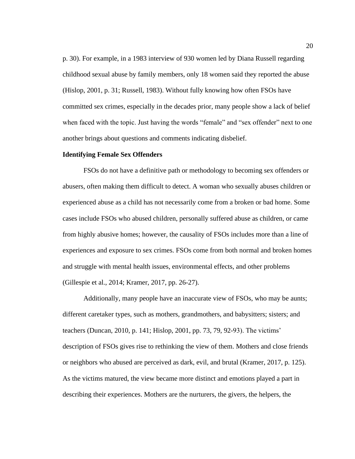p. 30). For example, in a 1983 interview of 930 women led by Diana Russell regarding childhood sexual abuse by family members, only 18 women said they reported the abuse (Hislop, 2001, p. 31; Russell, 1983). Without fully knowing how often FSOs have committed sex crimes, especially in the decades prior, many people show a lack of belief when faced with the topic. Just having the words "female" and "sex offender" next to one another brings about questions and comments indicating disbelief.

#### <span id="page-34-0"></span>**Identifying Female Sex Offenders**

FSOs do not have a definitive path or methodology to becoming sex offenders or abusers, often making them difficult to detect. A woman who sexually abuses children or experienced abuse as a child has not necessarily come from a broken or bad home. Some cases include FSOs who abused children, personally suffered abuse as children, or came from highly abusive homes; however, the causality of FSOs includes more than a line of experiences and exposure to sex crimes. FSOs come from both normal and broken homes and struggle with mental health issues, environmental effects, and other problems (Gillespie et al., 2014; Kramer, 2017, pp. 26-27).

Additionally, many people have an inaccurate view of FSOs, who may be aunts; different caretaker types, such as mothers, grandmothers, and babysitters; sisters; and teachers (Duncan, 2010, p. 141; Hislop, 2001, pp. 73, 79, 92-93). The victims' description of FSOs gives rise to rethinking the view of them. Mothers and close friends or neighbors who abused are perceived as dark, evil, and brutal (Kramer, 2017, p. 125). As the victims matured, the view became more distinct and emotions played a part in describing their experiences. Mothers are the nurturers, the givers, the helpers, the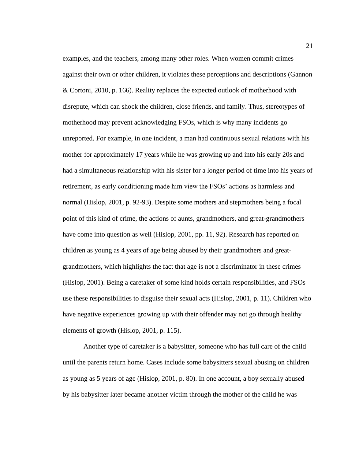examples, and the teachers, among many other roles. When women commit crimes against their own or other children, it violates these perceptions and descriptions (Gannon & Cortoni, 2010, p. 166). Reality replaces the expected outlook of motherhood with disrepute, which can shock the children, close friends, and family. Thus, stereotypes of motherhood may prevent acknowledging FSOs, which is why many incidents go unreported. For example, in one incident, a man had continuous sexual relations with his mother for approximately 17 years while he was growing up and into his early 20s and had a simultaneous relationship with his sister for a longer period of time into his years of retirement, as early conditioning made him view the FSOs' actions as harmless and normal (Hislop, 2001, p. 92-93). Despite some mothers and stepmothers being a focal point of this kind of crime, the actions of aunts, grandmothers, and great-grandmothers have come into question as well (Hislop, 2001, pp. 11, 92). Research has reported on children as young as 4 years of age being abused by their grandmothers and greatgrandmothers, which highlights the fact that age is not a discriminator in these crimes (Hislop, 2001). Being a caretaker of some kind holds certain responsibilities, and FSOs use these responsibilities to disguise their sexual acts (Hislop, 2001, p. 11). Children who have negative experiences growing up with their offender may not go through healthy elements of growth (Hislop, 2001, p. 115).

Another type of caretaker is a babysitter, someone who has full care of the child until the parents return home. Cases include some babysitters sexual abusing on children as young as 5 years of age (Hislop, 2001, p. 80). In one account, a boy sexually abused by his babysitter later became another victim through the mother of the child he was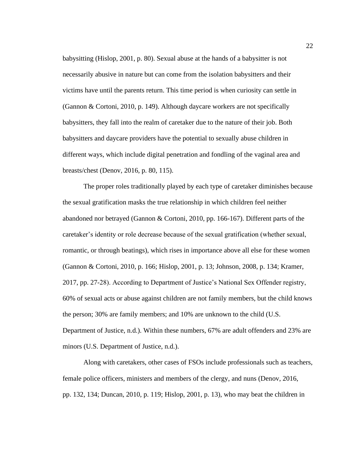babysitting (Hislop, 2001, p. 80). Sexual abuse at the hands of a babysitter is not necessarily abusive in nature but can come from the isolation babysitters and their victims have until the parents return. This time period is when curiosity can settle in (Gannon & Cortoni, 2010, p. 149). Although daycare workers are not specifically babysitters, they fall into the realm of caretaker due to the nature of their job. Both babysitters and daycare providers have the potential to sexually abuse children in different ways, which include digital penetration and fondling of the vaginal area and breasts/chest (Denov, 2016, p. 80, 115).

The proper roles traditionally played by each type of caretaker diminishes because the sexual gratification masks the true relationship in which children feel neither abandoned nor betrayed (Gannon & Cortoni, 2010, pp. 166-167). Different parts of the caretaker's identity or role decrease because of the sexual gratification (whether sexual, romantic, or through beatings), which rises in importance above all else for these women (Gannon & Cortoni, 2010, p. 166; Hislop, 2001, p. 13; Johnson, 2008, p. 134; Kramer, 2017, pp. 27-28). According to Department of Justice's National Sex Offender registry, 60% of sexual acts or abuse against children are not family members, but the child knows the person; 30% are family members; and 10% are unknown to the child (U.S. Department of Justice, n.d.). Within these numbers, 67% are adult offenders and 23% are minors (U.S. Department of Justice, n.d.).

Along with caretakers, other cases of FSOs include professionals such as teachers, female police officers, ministers and members of the clergy, and nuns (Denov, 2016, pp. 132, 134; Duncan, 2010, p. 119; Hislop, 2001, p. 13), who may beat the children in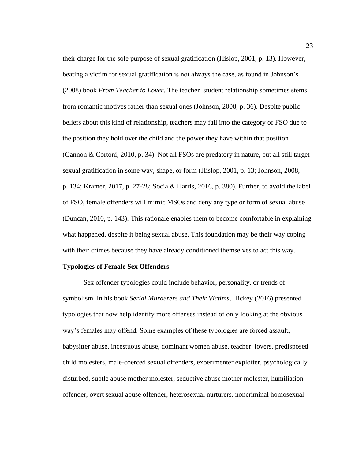their charge for the sole purpose of sexual gratification (Hislop, 2001, p. 13). However, beating a victim for sexual gratification is not always the case, as found in Johnson's (2008) book *From Teacher to Lover*. The teacher–student relationship sometimes stems from romantic motives rather than sexual ones (Johnson, 2008, p. 36). Despite public beliefs about this kind of relationship, teachers may fall into the category of FSO due to the position they hold over the child and the power they have within that position (Gannon & Cortoni, 2010, p. 34). Not all FSOs are predatory in nature, but all still target sexual gratification in some way, shape, or form (Hislop, 2001, p. 13; Johnson, 2008, p. 134; Kramer, 2017, p. 27-28; Socia & Harris, 2016, p. 380). Further, to avoid the label of FSO, female offenders will mimic MSOs and deny any type or form of sexual abuse (Duncan, 2010, p. 143). This rationale enables them to become comfortable in explaining what happened, despite it being sexual abuse. This foundation may be their way coping with their crimes because they have already conditioned themselves to act this way.

### **Typologies of Female Sex Offenders**

Sex offender typologies could include behavior, personality, or trends of symbolism. In his book *Serial Murderers and Their Victims*, Hickey (2016) presented typologies that now help identify more offenses instead of only looking at the obvious way's females may offend. Some examples of these typologies are forced assault, babysitter abuse, incestuous abuse, dominant women abuse, teacher–lovers, predisposed child molesters, male-coerced sexual offenders, experimenter exploiter, psychologically disturbed, subtle abuse mother molester, seductive abuse mother molester, humiliation offender, overt sexual abuse offender, heterosexual nurturers, noncriminal homosexual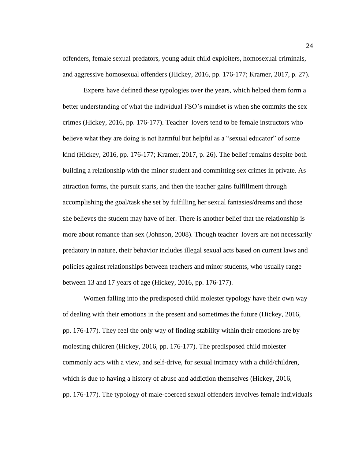offenders, female sexual predators, young adult child exploiters, homosexual criminals, and aggressive homosexual offenders (Hickey, 2016, pp. 176-177; Kramer, 2017, p. 27).

Experts have defined these typologies over the years, which helped them form a better understanding of what the individual FSO's mindset is when she commits the sex crimes (Hickey, 2016, pp. 176-177). Teacher–lovers tend to be female instructors who believe what they are doing is not harmful but helpful as a "sexual educator" of some kind (Hickey, 2016, pp. 176-177; Kramer, 2017, p. 26). The belief remains despite both building a relationship with the minor student and committing sex crimes in private. As attraction forms, the pursuit starts, and then the teacher gains fulfillment through accomplishing the goal/task she set by fulfilling her sexual fantasies/dreams and those she believes the student may have of her. There is another belief that the relationship is more about romance than sex (Johnson, 2008). Though teacher–lovers are not necessarily predatory in nature, their behavior includes illegal sexual acts based on current laws and policies against relationships between teachers and minor students, who usually range between 13 and 17 years of age (Hickey, 2016, pp. 176-177).

Women falling into the predisposed child molester typology have their own way of dealing with their emotions in the present and sometimes the future (Hickey, 2016, pp. 176-177). They feel the only way of finding stability within their emotions are by molesting children (Hickey, 2016, pp. 176-177). The predisposed child molester commonly acts with a view, and self-drive, for sexual intimacy with a child/children, which is due to having a history of abuse and addiction themselves (Hickey, 2016, pp. 176-177). The typology of male-coerced sexual offenders involves female individuals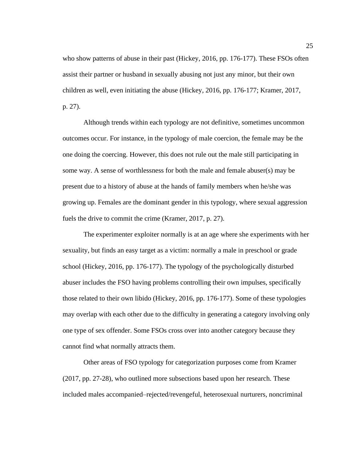who show patterns of abuse in their past (Hickey, 2016, pp. 176-177). These FSOs often assist their partner or husband in sexually abusing not just any minor, but their own children as well, even initiating the abuse (Hickey, 2016, pp. 176-177; Kramer, 2017, p. 27).

Although trends within each typology are not definitive, sometimes uncommon outcomes occur. For instance, in the typology of male coercion, the female may be the one doing the coercing. However, this does not rule out the male still participating in some way. A sense of worthlessness for both the male and female abuser(s) may be present due to a history of abuse at the hands of family members when he/she was growing up. Females are the dominant gender in this typology, where sexual aggression fuels the drive to commit the crime (Kramer, 2017, p. 27).

The experimenter exploiter normally is at an age where she experiments with her sexuality, but finds an easy target as a victim: normally a male in preschool or grade school (Hickey, 2016, pp. 176-177). The typology of the psychologically disturbed abuser includes the FSO having problems controlling their own impulses, specifically those related to their own libido (Hickey, 2016, pp. 176-177). Some of these typologies may overlap with each other due to the difficulty in generating a category involving only one type of sex offender. Some FSOs cross over into another category because they cannot find what normally attracts them.

Other areas of FSO typology for categorization purposes come from Kramer (2017, pp. 27-28), who outlined more subsections based upon her research. These included males accompanied–rejected/revengeful, heterosexual nurturers, noncriminal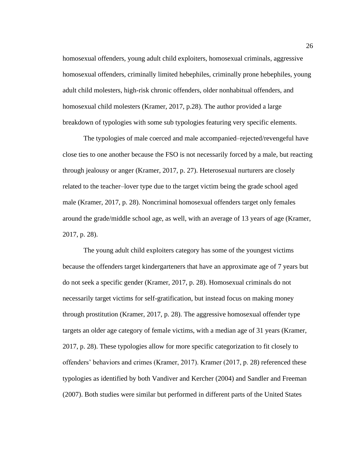homosexual offenders, young adult child exploiters, homosexual criminals, aggressive homosexual offenders, criminally limited hebephiles, criminally prone hebephiles, young adult child molesters, high-risk chronic offenders, older nonhabitual offenders, and homosexual child molesters (Kramer, 2017, p.28). The author provided a large breakdown of typologies with some sub typologies featuring very specific elements.

The typologies of male coerced and male accompanied–rejected/revengeful have close ties to one another because the FSO is not necessarily forced by a male, but reacting through jealousy or anger (Kramer, 2017, p. 27). Heterosexual nurturers are closely related to the teacher–lover type due to the target victim being the grade school aged male (Kramer, 2017, p. 28). Noncriminal homosexual offenders target only females around the grade/middle school age, as well, with an average of 13 years of age (Kramer, 2017, p. 28).

The young adult child exploiters category has some of the youngest victims because the offenders target kindergarteners that have an approximate age of 7 years but do not seek a specific gender (Kramer, 2017, p. 28). Homosexual criminals do not necessarily target victims for self-gratification, but instead focus on making money through prostitution (Kramer, 2017, p. 28). The aggressive homosexual offender type targets an older age category of female victims, with a median age of 31 years (Kramer, 2017, p. 28). These typologies allow for more specific categorization to fit closely to offenders' behaviors and crimes (Kramer, 2017). Kramer (2017, p. 28) referenced these typologies as identified by both Vandiver and Kercher (2004) and Sandler and Freeman (2007). Both studies were similar but performed in different parts of the United States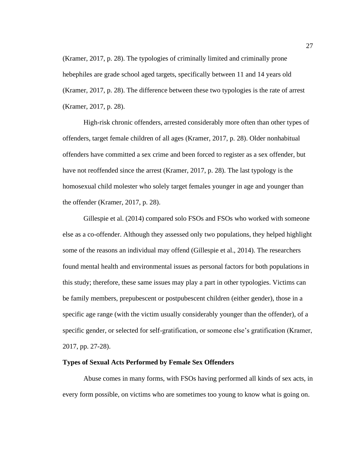(Kramer, 2017, p. 28). The typologies of criminally limited and criminally prone hebephiles are grade school aged targets, specifically between 11 and 14 years old (Kramer, 2017, p. 28). The difference between these two typologies is the rate of arrest (Kramer, 2017, p. 28).

High-risk chronic offenders, arrested considerably more often than other types of offenders, target female children of all ages (Kramer, 2017, p. 28). Older nonhabitual offenders have committed a sex crime and been forced to register as a sex offender, but have not reoffended since the arrest (Kramer, 2017, p. 28). The last typology is the homosexual child molester who solely target females younger in age and younger than the offender (Kramer, 2017, p. 28).

Gillespie et al. (2014) compared solo FSOs and FSOs who worked with someone else as a co-offender. Although they assessed only two populations, they helped highlight some of the reasons an individual may offend (Gillespie et al., 2014). The researchers found mental health and environmental issues as personal factors for both populations in this study; therefore, these same issues may play a part in other typologies. Victims can be family members, prepubescent or postpubescent children (either gender), those in a specific age range (with the victim usually considerably younger than the offender), of a specific gender, or selected for self-gratification, or someone else's gratification (Kramer, 2017, pp. 27-28).

## **Types of Sexual Acts Performed by Female Sex Offenders**

Abuse comes in many forms, with FSOs having performed all kinds of sex acts, in every form possible, on victims who are sometimes too young to know what is going on.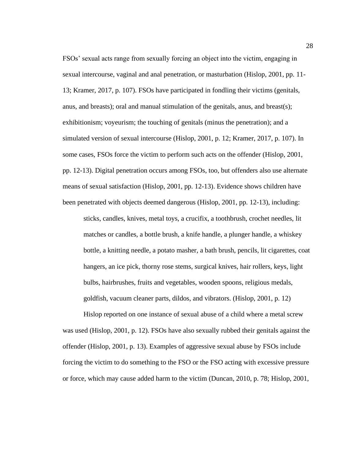FSOs' sexual acts range from sexually forcing an object into the victim, engaging in sexual intercourse, vaginal and anal penetration, or masturbation (Hislop, 2001, pp. 11- 13; Kramer, 2017, p. 107). FSOs have participated in fondling their victims (genitals, anus, and breasts); oral and manual stimulation of the genitals, anus, and breast(s); exhibitionism; voyeurism; the touching of genitals (minus the penetration); and a simulated version of sexual intercourse (Hislop, 2001, p. 12; Kramer, 2017, p. 107). In some cases, FSOs force the victim to perform such acts on the offender (Hislop, 2001, pp. 12-13). Digital penetration occurs among FSOs, too, but offenders also use alternate means of sexual satisfaction (Hislop, 2001, pp. 12-13). Evidence shows children have been penetrated with objects deemed dangerous (Hislop, 2001, pp. 12-13), including:

sticks, candles, knives, metal toys, a crucifix, a toothbrush, crochet needles, lit matches or candles, a bottle brush, a knife handle, a plunger handle, a whiskey bottle, a knitting needle, a potato masher, a bath brush, pencils, lit cigarettes, coat hangers, an ice pick, thorny rose stems, surgical knives, hair rollers, keys, light bulbs, hairbrushes, fruits and vegetables, wooden spoons, religious medals, goldfish, vacuum cleaner parts, dildos, and vibrators. (Hislop, 2001, p. 12)

Hislop reported on one instance of sexual abuse of a child where a metal screw was used (Hislop, 2001, p. 12). FSOs have also sexually rubbed their genitals against the offender (Hislop, 2001, p. 13). Examples of aggressive sexual abuse by FSOs include forcing the victim to do something to the FSO or the FSO acting with excessive pressure or force, which may cause added harm to the victim (Duncan, 2010, p. 78; Hislop, 2001,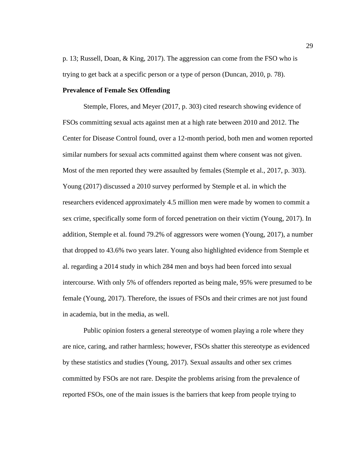p. 13; Russell, Doan, & King, 2017). The aggression can come from the FSO who is trying to get back at a specific person or a type of person (Duncan, 2010, p. 78).

# **Prevalence of Female Sex Offending**

Stemple, Flores, and Meyer (2017, p. 303) cited research showing evidence of FSOs committing sexual acts against men at a high rate between 2010 and 2012. The Center for Disease Control found, over a 12-month period, both men and women reported similar numbers for sexual acts committed against them where consent was not given. Most of the men reported they were assaulted by females (Stemple et al., 2017, p. 303). Young (2017) discussed a 2010 survey performed by Stemple et al. in which the researchers evidenced approximately 4.5 million men were made by women to commit a sex crime, specifically some form of forced penetration on their victim (Young, 2017). In addition, Stemple et al. found 79.2% of aggressors were women (Young, 2017), a number that dropped to 43.6% two years later. Young also highlighted evidence from Stemple et al. regarding a 2014 study in which 284 men and boys had been forced into sexual intercourse. With only 5% of offenders reported as being male, 95% were presumed to be female (Young, 2017). Therefore, the issues of FSOs and their crimes are not just found in academia, but in the media, as well.

Public opinion fosters a general stereotype of women playing a role where they are nice, caring, and rather harmless; however, FSOs shatter this stereotype as evidenced by these statistics and studies (Young, 2017). Sexual assaults and other sex crimes committed by FSOs are not rare. Despite the problems arising from the prevalence of reported FSOs, one of the main issues is the barriers that keep from people trying to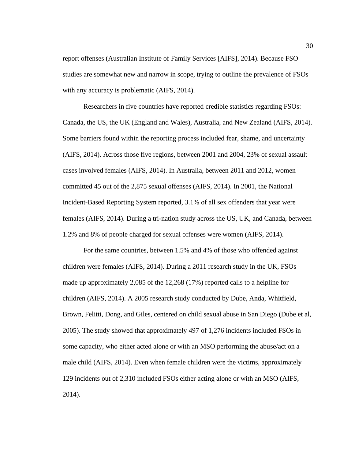report offenses (Australian Institute of Family Services [AIFS], 2014). Because FSO studies are somewhat new and narrow in scope, trying to outline the prevalence of FSOs with any accuracy is problematic (AIFS, 2014).

Researchers in five countries have reported credible statistics regarding FSOs: Canada, the US, the UK (England and Wales), Australia, and New Zealand (AIFS, 2014). Some barriers found within the reporting process included fear, shame, and uncertainty (AIFS, 2014). Across those five regions, between 2001 and 2004, 23% of sexual assault cases involved females (AIFS, 2014). In Australia, between 2011 and 2012, women committed 45 out of the 2,875 sexual offenses (AIFS, 2014). In 2001, the National Incident-Based Reporting System reported, 3.1% of all sex offenders that year were females (AIFS, 2014). During a tri-nation study across the US, UK, and Canada, between 1.2% and 8% of people charged for sexual offenses were women (AIFS, 2014).

For the same countries, between 1.5% and 4% of those who offended against children were females (AIFS, 2014). During a 2011 research study in the UK, FSOs made up approximately 2,085 of the 12,268 (17%) reported calls to a helpline for children (AIFS, 2014). A 2005 research study conducted by Dube, Anda, Whitfield, Brown, Felitti, Dong, and Giles, centered on child sexual abuse in San Diego (Dube et al, 2005). The study showed that approximately 497 of 1,276 incidents included FSOs in some capacity, who either acted alone or with an MSO performing the abuse/act on a male child (AIFS, 2014). Even when female children were the victims, approximately 129 incidents out of 2,310 included FSOs either acting alone or with an MSO (AIFS, 2014).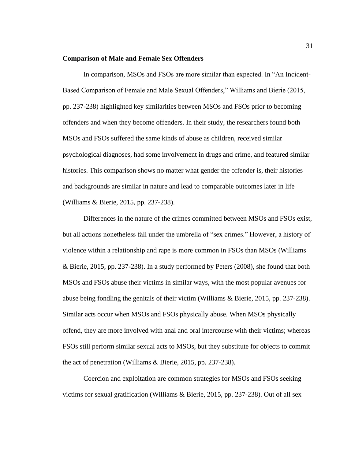# **Comparison of Male and Female Sex Offenders**

In comparison, MSOs and FSOs are more similar than expected. In "An Incident-Based Comparison of Female and Male Sexual Offenders," Williams and Bierie (2015, pp. 237-238) highlighted key similarities between MSOs and FSOs prior to becoming offenders and when they become offenders. In their study, the researchers found both MSOs and FSOs suffered the same kinds of abuse as children, received similar psychological diagnoses, had some involvement in drugs and crime, and featured similar histories. This comparison shows no matter what gender the offender is, their histories and backgrounds are similar in nature and lead to comparable outcomes later in life (Williams & Bierie, 2015, pp. 237-238).

Differences in the nature of the crimes committed between MSOs and FSOs exist, but all actions nonetheless fall under the umbrella of "sex crimes." However, a history of violence within a relationship and rape is more common in FSOs than MSOs (Williams & Bierie, 2015, pp. 237-238). In a study performed by Peters (2008), she found that both MSOs and FSOs abuse their victims in similar ways, with the most popular avenues for abuse being fondling the genitals of their victim (Williams & Bierie, 2015, pp. 237-238). Similar acts occur when MSOs and FSOs physically abuse. When MSOs physically offend, they are more involved with anal and oral intercourse with their victims; whereas FSOs still perform similar sexual acts to MSOs, but they substitute for objects to commit the act of penetration (Williams & Bierie, 2015, pp. 237-238).

Coercion and exploitation are common strategies for MSOs and FSOs seeking victims for sexual gratification (Williams & Bierie, 2015, pp. 237-238). Out of all sex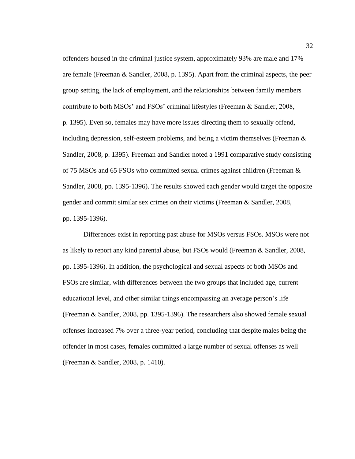offenders housed in the criminal justice system, approximately 93% are male and 17% are female (Freeman & Sandler, 2008, p. 1395). Apart from the criminal aspects, the peer group setting, the lack of employment, and the relationships between family members contribute to both MSOs' and FSOs' criminal lifestyles (Freeman & Sandler, 2008, p. 1395). Even so, females may have more issues directing them to sexually offend, including depression, self-esteem problems, and being a victim themselves (Freeman & Sandler, 2008, p. 1395). Freeman and Sandler noted a 1991 comparative study consisting of 75 MSOs and 65 FSOs who committed sexual crimes against children (Freeman & Sandler, 2008, pp. 1395-1396). The results showed each gender would target the opposite gender and commit similar sex crimes on their victims (Freeman & Sandler, 2008, pp. 1395-1396).

Differences exist in reporting past abuse for MSOs versus FSOs. MSOs were not as likely to report any kind parental abuse, but FSOs would (Freeman & Sandler, 2008, pp. 1395-1396). In addition, the psychological and sexual aspects of both MSOs and FSOs are similar, with differences between the two groups that included age, current educational level, and other similar things encompassing an average person's life (Freeman & Sandler, 2008, pp. 1395-1396). The researchers also showed female sexual offenses increased 7% over a three-year period, concluding that despite males being the offender in most cases, females committed a large number of sexual offenses as well (Freeman & Sandler, 2008, p. 1410).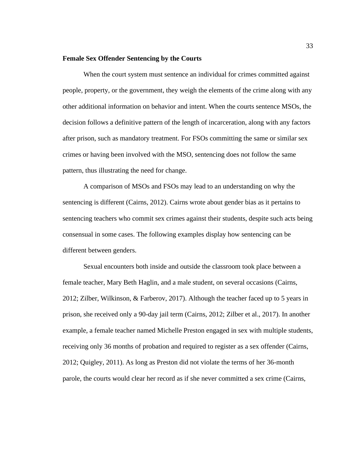# **Female Sex Offender Sentencing by the Courts**

When the court system must sentence an individual for crimes committed against people, property, or the government, they weigh the elements of the crime along with any other additional information on behavior and intent. When the courts sentence MSOs, the decision follows a definitive pattern of the length of incarceration, along with any factors after prison, such as mandatory treatment. For FSOs committing the same or similar sex crimes or having been involved with the MSO, sentencing does not follow the same pattern, thus illustrating the need for change.

A comparison of MSOs and FSOs may lead to an understanding on why the sentencing is different (Cairns, 2012). Cairns wrote about gender bias as it pertains to sentencing teachers who commit sex crimes against their students, despite such acts being consensual in some cases. The following examples display how sentencing can be different between genders.

Sexual encounters both inside and outside the classroom took place between a female teacher, Mary Beth Haglin, and a male student, on several occasions (Cairns, 2012; Zilber, Wilkinson, & Farberov, 2017). Although the teacher faced up to 5 years in prison, she received only a 90-day jail term (Cairns, 2012; Zilber et al., 2017). In another example, a female teacher named Michelle Preston engaged in sex with multiple students, receiving only 36 months of probation and required to register as a sex offender (Cairns, 2012; Quigley, 2011). As long as Preston did not violate the terms of her 36-month parole, the courts would clear her record as if she never committed a sex crime (Cairns,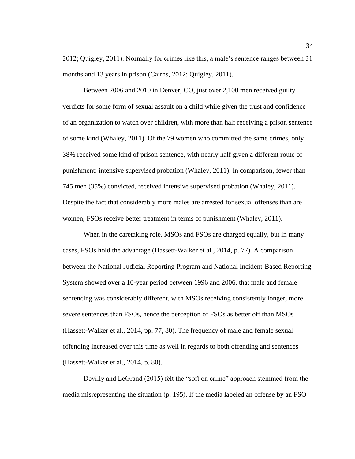2012; Quigley, 2011). Normally for crimes like this, a male's sentence ranges between 31 months and 13 years in prison (Cairns, 2012; Quigley, 2011).

Between 2006 and 2010 in Denver, CO, just over 2,100 men received guilty verdicts for some form of sexual assault on a child while given the trust and confidence of an organization to watch over children, with more than half receiving a prison sentence of some kind (Whaley, 2011). Of the 79 women who committed the same crimes, only 38% received some kind of prison sentence, with nearly half given a different route of punishment: intensive supervised probation (Whaley, 2011). In comparison, fewer than 745 men (35%) convicted, received intensive supervised probation (Whaley, 2011). Despite the fact that considerably more males are arrested for sexual offenses than are women, FSOs receive better treatment in terms of punishment (Whaley, 2011).

When in the caretaking role, MSOs and FSOs are charged equally, but in many cases, FSOs hold the advantage (Hassett-Walker et al., 2014, p. 77). A comparison between the National Judicial Reporting Program and National Incident-Based Reporting System showed over a 10-year period between 1996 and 2006, that male and female sentencing was considerably different, with MSOs receiving consistently longer, more severe sentences than FSOs, hence the perception of FSOs as better off than MSOs (Hassett-Walker et al., 2014, pp. 77, 80). The frequency of male and female sexual offending increased over this time as well in regards to both offending and sentences (Hassett-Walker et al., 2014, p. 80).

Devilly and LeGrand (2015) felt the "soft on crime" approach stemmed from the media misrepresenting the situation (p. 195). If the media labeled an offense by an FSO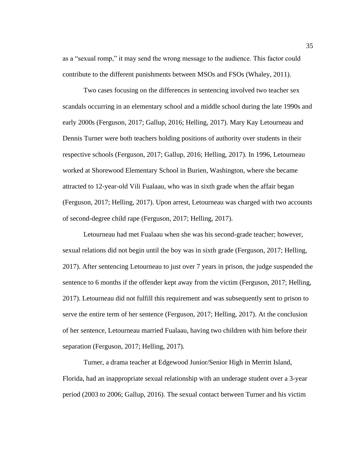as a "sexual romp," it may send the wrong message to the audience. This factor could contribute to the different punishments between MSOs and FSOs (Whaley, 2011).

Two cases focusing on the differences in sentencing involved two teacher sex scandals occurring in an elementary school and a middle school during the late 1990s and early 2000s (Ferguson, 2017; Gallup, 2016; Helling, 2017). Mary Kay Letourneau and Dennis Turner were both teachers holding positions of authority over students in their respective schools (Ferguson, 2017; Gallup, 2016; Helling, 2017). In 1996, Letourneau worked at Shorewood Elementary School in Burien, Washington, where she became attracted to 12-year-old Vili Fualaau, who was in sixth grade when the affair began (Ferguson, 2017; Helling, 2017). Upon arrest, Letourneau was charged with two accounts of second-degree child rape (Ferguson, 2017; Helling, 2017).

Letourneau had met Fualaau when she was his second-grade teacher; however, sexual relations did not begin until the boy was in sixth grade (Ferguson, 2017; Helling, 2017). After sentencing Letourneau to just over 7 years in prison, the judge suspended the sentence to 6 months if the offender kept away from the victim (Ferguson, 2017; Helling, 2017). Letourneau did not fulfill this requirement and was subsequently sent to prison to serve the entire term of her sentence (Ferguson, 2017; Helling, 2017). At the conclusion of her sentence, Letourneau married Fualaau, having two children with him before their separation (Ferguson, 2017; Helling, 2017).

Turner, a drama teacher at Edgewood Junior/Senior High in Merritt Island, Florida, had an inappropriate sexual relationship with an underage student over a 3-year period (2003 to 2006; Gallup, 2016). The sexual contact between Turner and his victim

35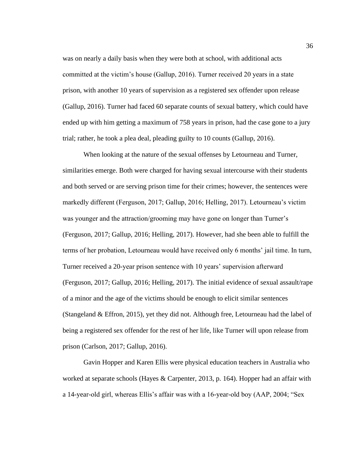was on nearly a daily basis when they were both at school, with additional acts committed at the victim's house (Gallup, 2016). Turner received 20 years in a state prison, with another 10 years of supervision as a registered sex offender upon release (Gallup, 2016). Turner had faced 60 separate counts of sexual battery, which could have ended up with him getting a maximum of 758 years in prison, had the case gone to a jury trial; rather, he took a plea deal, pleading guilty to 10 counts (Gallup, 2016).

When looking at the nature of the sexual offenses by Letourneau and Turner, similarities emerge. Both were charged for having sexual intercourse with their students and both served or are serving prison time for their crimes; however, the sentences were markedly different (Ferguson, 2017; Gallup, 2016; Helling, 2017). Letourneau's victim was younger and the attraction/grooming may have gone on longer than Turner's (Ferguson, 2017; Gallup, 2016; Helling, 2017). However, had she been able to fulfill the terms of her probation, Letourneau would have received only 6 months' jail time. In turn, Turner received a 20-year prison sentence with 10 years' supervision afterward (Ferguson, 2017; Gallup, 2016; Helling, 2017). The initial evidence of sexual assault/rape of a minor and the age of the victims should be enough to elicit similar sentences (Stangeland & Effron, 2015), yet they did not. Although free, Letourneau had the label of being a registered sex offender for the rest of her life, like Turner will upon release from prison (Carlson, 2017; Gallup, 2016).

Gavin Hopper and Karen Ellis were physical education teachers in Australia who worked at separate schools (Hayes & Carpenter, 2013, p. 164). Hopper had an affair with a 14-year-old girl, whereas Ellis's affair was with a 16-year-old boy (AAP, 2004; "Sex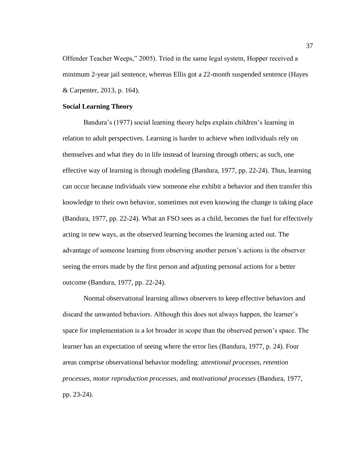Offender Teacher Weeps," 2005). Tried in the same legal system, Hopper received a minimum 2-year jail sentence, whereas Ellis got a 22-month suspended sentence (Hayes & Carpenter, 2013, p. 164).

# **Social Learning Theory**

Bandura's (1977) social learning theory helps explain children's learning in relation to adult perspectives. Learning is harder to achieve when individuals rely on themselves and what they do in life instead of learning through others; as such, one effective way of learning is through modeling (Bandura, 1977, pp. 22-24). Thus, learning can occur because individuals view someone else exhibit a behavior and then transfer this knowledge to their own behavior, sometimes not even knowing the change is taking place (Bandura, 1977, pp. 22-24). What an FSO sees as a child, becomes the fuel for effectively acting in new ways, as the observed learning becomes the learning acted out. The advantage of someone learning from observing another person's actions is the observer seeing the errors made by the first person and adjusting personal actions for a better outcome (Bandura, 1977, pp. 22-24).

Normal observational learning allows observers to keep effective behaviors and discard the unwanted behaviors. Although this does not always happen, the learner's space for implementation is a lot broader in scope than the observed person's space. The learner has an expectation of seeing where the error lies (Bandura, 1977, p. 24). Four areas comprise observational behavior modeling: a*ttentional processes, retention processes, motor reproduction processes,* and *motivational processes* (Bandura, 1977, pp. 23-24).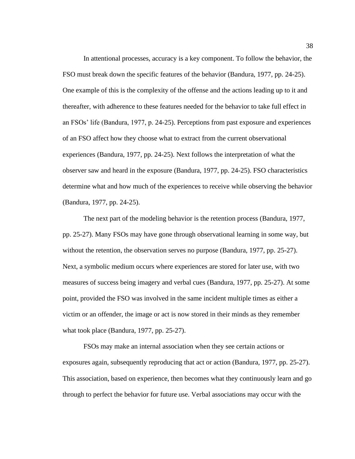In attentional processes, accuracy is a key component. To follow the behavior, the FSO must break down the specific features of the behavior (Bandura, 1977, pp. 24-25). One example of this is the complexity of the offense and the actions leading up to it and thereafter, with adherence to these features needed for the behavior to take full effect in an FSOs' life (Bandura, 1977, p. 24-25). Perceptions from past exposure and experiences of an FSO affect how they choose what to extract from the current observational experiences (Bandura, 1977, pp. 24-25). Next follows the interpretation of what the observer saw and heard in the exposure (Bandura, 1977, pp. 24-25). FSO characteristics determine what and how much of the experiences to receive while observing the behavior (Bandura, 1977, pp. 24-25).

The next part of the modeling behavior is the retention process (Bandura, 1977, pp. 25-27). Many FSOs may have gone through observational learning in some way, but without the retention, the observation serves no purpose (Bandura, 1977, pp. 25-27). Next, a symbolic medium occurs where experiences are stored for later use, with two measures of success being imagery and verbal cues (Bandura, 1977, pp. 25-27). At some point, provided the FSO was involved in the same incident multiple times as either a victim or an offender, the image or act is now stored in their minds as they remember what took place (Bandura, 1977, pp. 25-27).

FSOs may make an internal association when they see certain actions or exposures again, subsequently reproducing that act or action (Bandura, 1977, pp. 25-27). This association, based on experience, then becomes what they continuously learn and go through to perfect the behavior for future use. Verbal associations may occur with the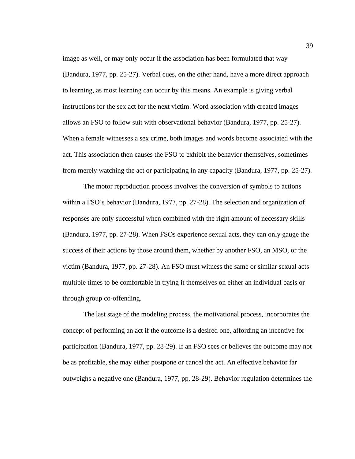image as well, or may only occur if the association has been formulated that way (Bandura, 1977, pp. 25-27). Verbal cues, on the other hand, have a more direct approach to learning, as most learning can occur by this means. An example is giving verbal instructions for the sex act for the next victim. Word association with created images allows an FSO to follow suit with observational behavior (Bandura, 1977, pp. 25-27). When a female witnesses a sex crime, both images and words become associated with the act. This association then causes the FSO to exhibit the behavior themselves, sometimes from merely watching the act or participating in any capacity (Bandura, 1977, pp. 25-27).

The motor reproduction process involves the conversion of symbols to actions within a FSO's behavior (Bandura, 1977, pp. 27-28). The selection and organization of responses are only successful when combined with the right amount of necessary skills (Bandura, 1977, pp. 27-28). When FSOs experience sexual acts, they can only gauge the success of their actions by those around them, whether by another FSO, an MSO, or the victim (Bandura, 1977, pp. 27-28). An FSO must witness the same or similar sexual acts multiple times to be comfortable in trying it themselves on either an individual basis or through group co-offending.

The last stage of the modeling process, the motivational process, incorporates the concept of performing an act if the outcome is a desired one, affording an incentive for participation (Bandura, 1977, pp. 28-29). If an FSO sees or believes the outcome may not be as profitable, she may either postpone or cancel the act. An effective behavior far outweighs a negative one (Bandura, 1977, pp. 28-29). Behavior regulation determines the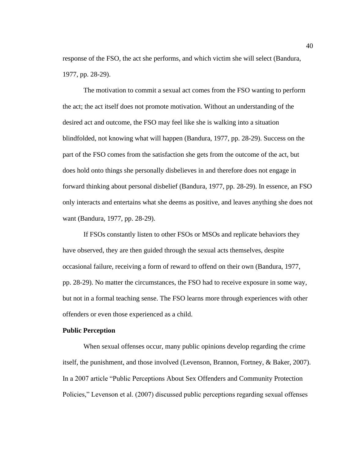response of the FSO, the act she performs, and which victim she will select (Bandura, 1977, pp. 28-29).

The motivation to commit a sexual act comes from the FSO wanting to perform the act; the act itself does not promote motivation. Without an understanding of the desired act and outcome, the FSO may feel like she is walking into a situation blindfolded, not knowing what will happen (Bandura, 1977, pp. 28-29). Success on the part of the FSO comes from the satisfaction she gets from the outcome of the act, but does hold onto things she personally disbelieves in and therefore does not engage in forward thinking about personal disbelief (Bandura, 1977, pp. 28-29). In essence, an FSO only interacts and entertains what she deems as positive, and leaves anything she does not want (Bandura, 1977, pp. 28-29).

If FSOs constantly listen to other FSOs or MSOs and replicate behaviors they have observed, they are then guided through the sexual acts themselves, despite occasional failure, receiving a form of reward to offend on their own (Bandura, 1977, pp. 28-29). No matter the circumstances, the FSO had to receive exposure in some way, but not in a formal teaching sense. The FSO learns more through experiences with other offenders or even those experienced as a child.

#### **Public Perception**

When sexual offenses occur, many public opinions develop regarding the crime itself, the punishment, and those involved (Levenson, Brannon, Fortney, & Baker, 2007). In a 2007 article "Public Perceptions About Sex Offenders and Community Protection Policies," Levenson et al. (2007) discussed public perceptions regarding sexual offenses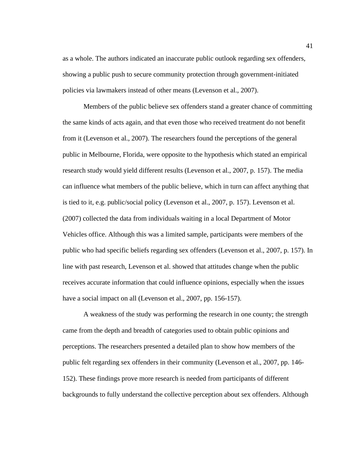as a whole. The authors indicated an inaccurate public outlook regarding sex offenders, showing a public push to secure community protection through government-initiated policies via lawmakers instead of other means (Levenson et al., 2007).

Members of the public believe sex offenders stand a greater chance of committing the same kinds of acts again, and that even those who received treatment do not benefit from it (Levenson et al., 2007). The researchers found the perceptions of the general public in Melbourne, Florida, were opposite to the hypothesis which stated an empirical research study would yield different results (Levenson et al., 2007, p. 157). The media can influence what members of the public believe, which in turn can affect anything that is tied to it, e.g. public/social policy (Levenson et al., 2007, p. 157). Levenson et al. (2007) collected the data from individuals waiting in a local Department of Motor Vehicles office. Although this was a limited sample, participants were members of the public who had specific beliefs regarding sex offenders (Levenson et al., 2007, p. 157). In line with past research, Levenson et al. showed that attitudes change when the public receives accurate information that could influence opinions, especially when the issues have a social impact on all (Levenson et al., 2007, pp. 156-157).

A weakness of the study was performing the research in one county; the strength came from the depth and breadth of categories used to obtain public opinions and perceptions. The researchers presented a detailed plan to show how members of the public felt regarding sex offenders in their community (Levenson et al., 2007, pp. 146- 152). These findings prove more research is needed from participants of different backgrounds to fully understand the collective perception about sex offenders. Although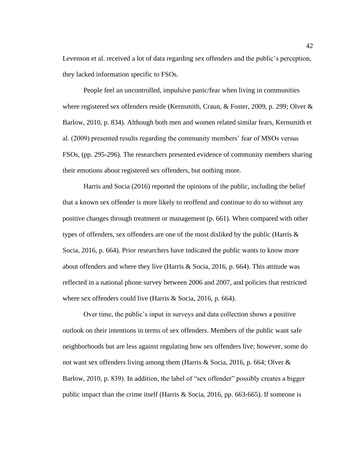Levenson et al. received a lot of data regarding sex offenders and the public's perception, they lacked information specific to FSOs.

People feel an uncontrolled, impulsive panic/fear when living in communities where registered sex offenders reside (Kernsmith, Craun, & Foster, 2009, p. 299; Olver & Barlow, 2010, p. 834). Although both men and women related similar fears, Kernsmith et al. (2009) presented results regarding the community members' fear of MSOs versus FSOs, (pp. 295-296). The researchers presented evidence of community members sharing their emotions about registered sex offenders, but nothing more.

Harris and Socia (2016) reported the opinions of the public, including the belief that a known sex offender is more likely to reoffend and continue to do so without any positive changes through treatment or management (p. 661). When compared with other types of offenders, sex offenders are one of the most disliked by the public (Harris & Socia, 2016, p. 664). Prior researchers have indicated the public wants to know more about offenders and where they live (Harris & Socia, 2016, p. 664). This attitude was reflected in a national phone survey between 2006 and 2007, and policies that restricted where sex offenders could live (Harris & Socia, 2016, p. 664).

Over time, the public's input in surveys and data collection shows a positive outlook on their intentions in terms of sex offenders. Members of the public want safe neighborhoods but are less against regulating how sex offenders live; however, some do not want sex offenders living among them (Harris & Socia, 2016, p. 664; Olver & Barlow, 2010, p. 839). In addition, the label of "sex offender" possibly creates a bigger public impact than the crime itself (Harris & Socia, 2016, pp. 663-665). If someone is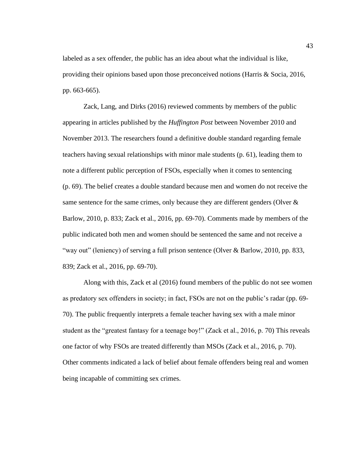labeled as a sex offender, the public has an idea about what the individual is like, providing their opinions based upon those preconceived notions (Harris & Socia, 2016, pp. 663-665).

Zack, Lang, and Dirks (2016) reviewed comments by members of the public appearing in articles published by the *Huffington Post* between November 2010 and November 2013. The researchers found a definitive double standard regarding female teachers having sexual relationships with minor male students (p. 61), leading them to note a different public perception of FSOs, especially when it comes to sentencing (p. 69). The belief creates a double standard because men and women do not receive the same sentence for the same crimes, only because they are different genders (Olver  $\&$ Barlow, 2010, p. 833; Zack et al., 2016, pp. 69-70). Comments made by members of the public indicated both men and women should be sentenced the same and not receive a "way out" (leniency) of serving a full prison sentence (Olver & Barlow, 2010, pp. 833, 839; Zack et al., 2016, pp. 69-70).

Along with this, Zack et al (2016) found members of the public do not see women as predatory sex offenders in society; in fact, FSOs are not on the public's radar (pp. 69- 70). The public frequently interprets a female teacher having sex with a male minor student as the "greatest fantasy for a teenage boy!" (Zack et al., 2016, p. 70) This reveals one factor of why FSOs are treated differently than MSOs (Zack et al., 2016, p. 70). Other comments indicated a lack of belief about female offenders being real and women being incapable of committing sex crimes.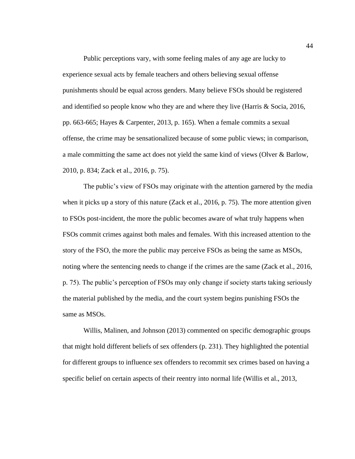Public perceptions vary, with some feeling males of any age are lucky to experience sexual acts by female teachers and others believing sexual offense punishments should be equal across genders. Many believe FSOs should be registered and identified so people know who they are and where they live (Harris & Socia, 2016, pp. 663-665; Hayes & Carpenter, 2013, p. 165). When a female commits a sexual offense, the crime may be sensationalized because of some public views; in comparison, a male committing the same act does not yield the same kind of views (Olver & Barlow, 2010, p. 834; Zack et al., 2016, p. 75).

The public's view of FSOs may originate with the attention garnered by the media when it picks up a story of this nature (Zack et al., 2016, p. 75). The more attention given to FSOs post-incident, the more the public becomes aware of what truly happens when FSOs commit crimes against both males and females. With this increased attention to the story of the FSO, the more the public may perceive FSOs as being the same as MSOs, noting where the sentencing needs to change if the crimes are the same (Zack et al., 2016, p. 75). The public's perception of FSOs may only change if society starts taking seriously the material published by the media, and the court system begins punishing FSOs the same as MSOs.

Willis, Malinen, and Johnson (2013) commented on specific demographic groups that might hold different beliefs of sex offenders (p. 231). They highlighted the potential for different groups to influence sex offenders to recommit sex crimes based on having a specific belief on certain aspects of their reentry into normal life (Willis et al., 2013,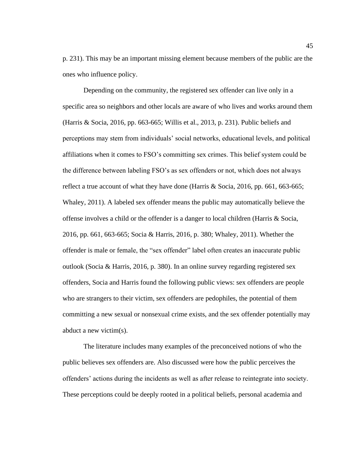p. 231). This may be an important missing element because members of the public are the ones who influence policy.

Depending on the community, the registered sex offender can live only in a specific area so neighbors and other locals are aware of who lives and works around them (Harris & Socia, 2016, pp. 663-665; Willis et al., 2013, p. 231). Public beliefs and perceptions may stem from individuals' social networks, educational levels, and political affiliations when it comes to FSO's committing sex crimes. This belief system could be the difference between labeling FSO's as sex offenders or not, which does not always reflect a true account of what they have done (Harris & Socia, 2016, pp. 661, 663-665; Whaley, 2011). A labeled sex offender means the public may automatically believe the offense involves a child or the offender is a danger to local children (Harris & Socia, 2016, pp. 661, 663-665; Socia & Harris, 2016, p. 380; Whaley, 2011). Whether the offender is male or female, the "sex offender" label often creates an inaccurate public outlook (Socia & Harris, 2016, p. 380). In an online survey regarding registered sex offenders, Socia and Harris found the following public views: sex offenders are people who are strangers to their victim, sex offenders are pedophiles, the potential of them committing a new sexual or nonsexual crime exists, and the sex offender potentially may abduct a new victim(s).

The literature includes many examples of the preconceived notions of who the public believes sex offenders are. Also discussed were how the public perceives the offenders' actions during the incidents as well as after release to reintegrate into society. These perceptions could be deeply rooted in a political beliefs, personal academia and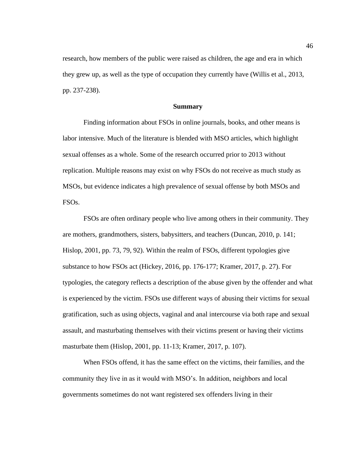research, how members of the public were raised as children, the age and era in which they grew up, as well as the type of occupation they currently have (Willis et al., 2013, pp. 237-238).

#### **Summary**

Finding information about FSOs in online journals, books, and other means is labor intensive. Much of the literature is blended with MSO articles, which highlight sexual offenses as a whole. Some of the research occurred prior to 2013 without replication. Multiple reasons may exist on why FSOs do not receive as much study as MSOs, but evidence indicates a high prevalence of sexual offense by both MSOs and FSOs.

FSOs are often ordinary people who live among others in their community. They are mothers, grandmothers, sisters, babysitters, and teachers (Duncan, 2010, p. 141; Hislop, 2001, pp. 73, 79, 92). Within the realm of FSOs, different typologies give substance to how FSOs act (Hickey, 2016, pp. 176-177; Kramer, 2017, p. 27). For typologies, the category reflects a description of the abuse given by the offender and what is experienced by the victim. FSOs use different ways of abusing their victims for sexual gratification, such as using objects, vaginal and anal intercourse via both rape and sexual assault, and masturbating themselves with their victims present or having their victims masturbate them (Hislop, 2001, pp. 11-13; Kramer, 2017, p. 107).

When FSOs offend, it has the same effect on the victims, their families, and the community they live in as it would with MSO's. In addition, neighbors and local governments sometimes do not want registered sex offenders living in their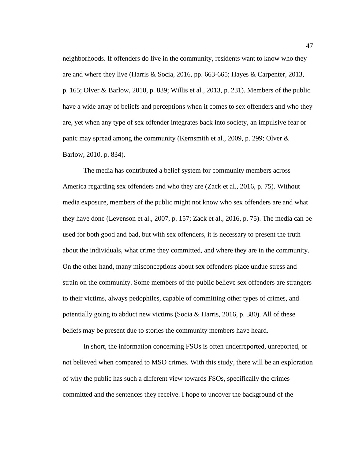neighborhoods. If offenders do live in the community, residents want to know who they are and where they live (Harris & Socia, 2016, pp. 663-665; Hayes & Carpenter, 2013, p. 165; Olver & Barlow, 2010, p. 839; Willis et al., 2013, p. 231). Members of the public have a wide array of beliefs and perceptions when it comes to sex offenders and who they are, yet when any type of sex offender integrates back into society, an impulsive fear or panic may spread among the community (Kernsmith et al., 2009, p. 299; Olver & Barlow, 2010, p. 834).

The media has contributed a belief system for community members across America regarding sex offenders and who they are (Zack et al., 2016, p. 75). Without media exposure, members of the public might not know who sex offenders are and what they have done (Levenson et al., 2007, p. 157; Zack et al., 2016, p. 75). The media can be used for both good and bad, but with sex offenders, it is necessary to present the truth about the individuals, what crime they committed, and where they are in the community. On the other hand, many misconceptions about sex offenders place undue stress and strain on the community. Some members of the public believe sex offenders are strangers to their victims, always pedophiles, capable of committing other types of crimes, and potentially going to abduct new victims (Socia  $\&$  Harris, 2016, p. 380). All of these beliefs may be present due to stories the community members have heard.

In short, the information concerning FSOs is often underreported, unreported, or not believed when compared to MSO crimes. With this study, there will be an exploration of why the public has such a different view towards FSOs, specifically the crimes committed and the sentences they receive. I hope to uncover the background of the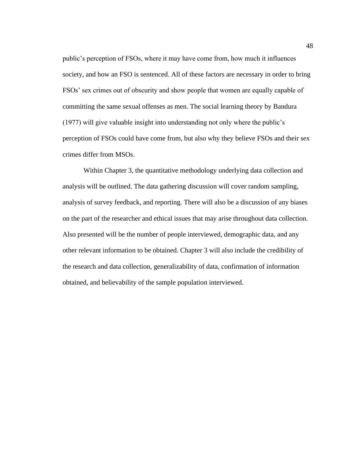public's perception of FSOs, where it may have come from, how much it influences society, and how an FSO is sentenced. All of these factors are necessary in order to bring FSOs' sex crimes out of obscurity and show people that women are equally capable of committing the same sexual offenses as men. The social learning theory by Bandura (1977) will give valuable insight into understanding not only where the public's perception of FSOs could have come from, but also why they believe FSOs and their sex crimes differ from MSOs.

Within Chapter 3, the quantitative methodology underlying data collection and analysis will be outlined. The data gathering discussion will cover random sampling, analysis of survey feedback, and reporting. There will also be a discussion of any biases on the part of the researcher and ethical issues that may arise throughout data collection. Also presented will be the number of people interviewed, demographic data, and any other relevant information to be obtained. Chapter 3 will also include the credibility of the research and data collection, generalizability of data, confirmation of information obtained, and believability of the sample population interviewed.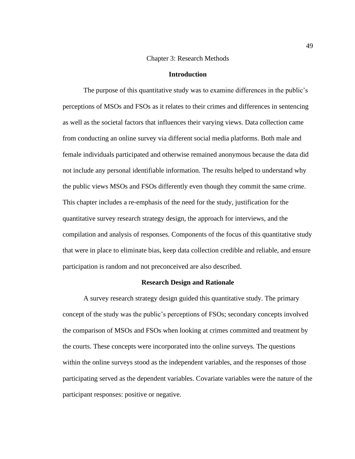# Chapter 3: Research Methods

## **Introduction**

The purpose of this quantitative study was to examine differences in the public's perceptions of MSOs and FSOs as it relates to their crimes and differences in sentencing as well as the societal factors that influences their varying views. Data collection came from conducting an online survey via different social media platforms. Both male and female individuals participated and otherwise remained anonymous because the data did not include any personal identifiable information. The results helped to understand why the public views MSOs and FSOs differently even though they commit the same crime. This chapter includes a re-emphasis of the need for the study, justification for the quantitative survey research strategy design, the approach for interviews, and the compilation and analysis of responses. Components of the focus of this quantitative study that were in place to eliminate bias, keep data collection credible and reliable, and ensure participation is random and not preconceived are also described.

#### **Research Design and Rationale**

A survey research strategy design guided this quantitative study. The primary concept of the study was the public's perceptions of FSOs; secondary concepts involved the comparison of MSOs and FSOs when looking at crimes committed and treatment by the courts. These concepts were incorporated into the online surveys. The questions within the online surveys stood as the independent variables, and the responses of those participating served as the dependent variables. Covariate variables were the nature of the participant responses: positive or negative.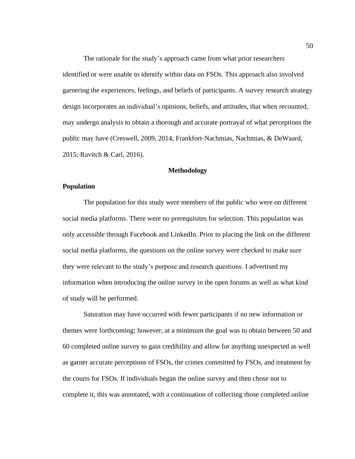The rationale for the study's approach came from what prior researchers identified or were unable to identify within data on FSOs. This approach also involved garnering the experiences, feelings, and beliefs of participants. A survey research strategy design incorporates an individual's opinions, beliefs, and attitudes, that when recounted, may undergo analysis to obtain a thorough and accurate portrayal of what perceptions the public may have (Creswell, 2009, 2014; Frankfort-Nachmias, Nachmias, & DeWaard, 2015; Ravitch & Carl, 2016).

# **Methodology**

# **Population**

The population for this study were members of the public who were on different social media platforms. There were no prerequisites for selection. This population was only accessible through Facebook and LinkedIn. Prior to placing the link on the different social media platforms, the questions on the online survey were checked to make sure they were relevant to the study's purpose and research questions. I advertised my information when introducing the online survey in the open forums as well as what kind of study will be performed.

Saturation may have occurred with fewer participants if no new information or themes were forthcoming; however, at a minimum the goal was to obtain between 50 and 60 completed online survey to gain credibility and allow for anything unexpected as well as garner accurate perceptions of FSOs, the crimes committed by FSOs, and treatment by the courts for FSOs. If individuals began the online survey and then chose not to complete it, this was annotated, with a continuation of collecting those completed online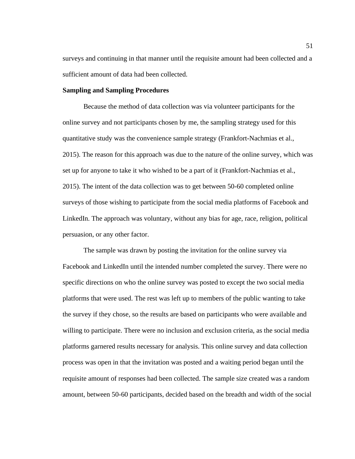surveys and continuing in that manner until the requisite amount had been collected and a sufficient amount of data had been collected.

### **Sampling and Sampling Procedures**

Because the method of data collection was via volunteer participants for the online survey and not participants chosen by me, the sampling strategy used for this quantitative study was the convenience sample strategy (Frankfort-Nachmias et al., 2015). The reason for this approach was due to the nature of the online survey, which was set up for anyone to take it who wished to be a part of it (Frankfort-Nachmias et al., 2015). The intent of the data collection was to get between 50-60 completed online surveys of those wishing to participate from the social media platforms of Facebook and LinkedIn. The approach was voluntary, without any bias for age, race, religion, political persuasion, or any other factor.

The sample was drawn by posting the invitation for the online survey via Facebook and LinkedIn until the intended number completed the survey. There were no specific directions on who the online survey was posted to except the two social media platforms that were used. The rest was left up to members of the public wanting to take the survey if they chose, so the results are based on participants who were available and willing to participate. There were no inclusion and exclusion criteria, as the social media platforms garnered results necessary for analysis. This online survey and data collection process was open in that the invitation was posted and a waiting period began until the requisite amount of responses had been collected. The sample size created was a random amount, between 50-60 participants, decided based on the breadth and width of the social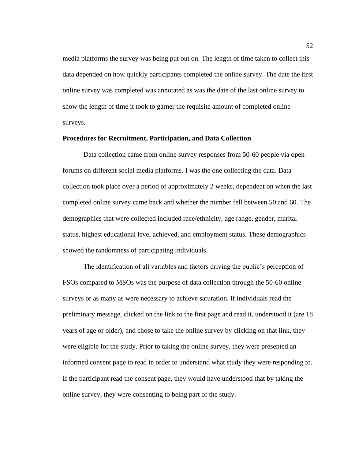media platforms the survey was being put out on. The length of time taken to collect this data depended on how quickly participants completed the online survey. The date the first online survey was completed was annotated as was the date of the last online survey to show the length of time it took to garner the requisite amount of completed online surveys.

## **Procedures for Recruitment, Participation, and Data Collection**

Data collection came from online survey responses from 50-60 people via open forums on different social media platforms. I was the one collecting the data. Data collection took place over a period of approximately 2 weeks, dependent on when the last completed online survey came back and whether the number fell between 50 and 60. The demographics that were collected included race/ethnicity, age range, gender, marital status, highest educational level achieved, and employment status. These demographics showed the randomness of participating individuals.

The identification of all variables and factors driving the public's perception of FSOs compared to MSOs was the purpose of data collection through the 50-60 online surveys or as many as were necessary to achieve saturation. If individuals read the preliminary message, clicked on the link to the first page and read it, understood it (are 18 years of age or older), and chose to take the online survey by clicking on that link, they were eligible for the study. Prior to taking the online survey, they were presented an informed consent page to read in order to understand what study they were responding to. If the participant read the consent page, they would have understood that by taking the online survey, they were consenting to being part of the study.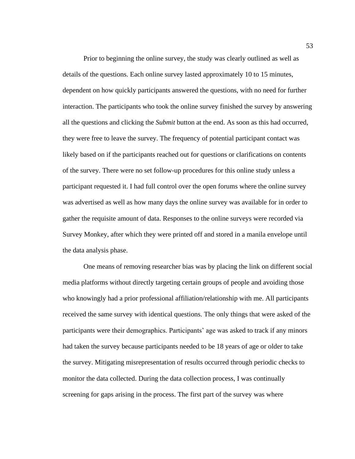Prior to beginning the online survey, the study was clearly outlined as well as details of the questions. Each online survey lasted approximately 10 to 15 minutes, dependent on how quickly participants answered the questions, with no need for further interaction. The participants who took the online survey finished the survey by answering all the questions and clicking the *Submit* button at the end. As soon as this had occurred, they were free to leave the survey. The frequency of potential participant contact was likely based on if the participants reached out for questions or clarifications on contents of the survey. There were no set follow-up procedures for this online study unless a participant requested it. I had full control over the open forums where the online survey was advertised as well as how many days the online survey was available for in order to gather the requisite amount of data. Responses to the online surveys were recorded via Survey Monkey, after which they were printed off and stored in a manila envelope until the data analysis phase.

One means of removing researcher bias was by placing the link on different social media platforms without directly targeting certain groups of people and avoiding those who knowingly had a prior professional affiliation/relationship with me. All participants received the same survey with identical questions. The only things that were asked of the participants were their demographics. Participants' age was asked to track if any minors had taken the survey because participants needed to be 18 years of age or older to take the survey. Mitigating misrepresentation of results occurred through periodic checks to monitor the data collected. During the data collection process, I was continually screening for gaps arising in the process. The first part of the survey was where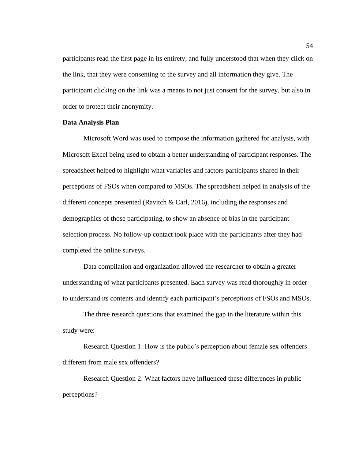participants read the first page in its entirety, and fully understood that when they click on the link, that they were consenting to the survey and all information they give. The participant clicking on the link was a means to not just consent for the survey, but also in order to protect their anonymity.

### **Data Analysis Plan**

Microsoft Word was used to compose the information gathered for analysis, with Microsoft Excel being used to obtain a better understanding of participant responses. The spreadsheet helped to highlight what variables and factors participants shared in their perceptions of FSOs when compared to MSOs. The spreadsheet helped in analysis of the different concepts presented (Ravitch & Carl, 2016), including the responses and demographics of those participating, to show an absence of bias in the participant selection process. No follow-up contact took place with the participants after they had completed the online surveys.

Data compilation and organization allowed the researcher to obtain a greater understanding of what participants presented. Each survey was read thoroughly in order to understand its contents and identify each participant's perceptions of FSOs and MSOs.

The three research questions that examined the gap in the literature within this study were:

Research Question 1: How is the public's perception about female sex offenders different from male sex offenders?

Research Question 2: What factors have influenced these differences in public perceptions?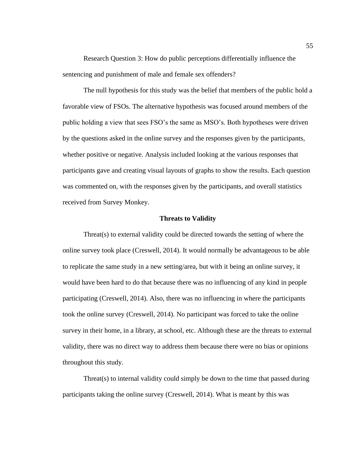Research Question 3: How do public perceptions differentially influence the sentencing and punishment of male and female sex offenders?

The null hypothesis for this study was the belief that members of the public hold a favorable view of FSOs. The alternative hypothesis was focused around members of the public holding a view that sees FSO's the same as MSO's. Both hypotheses were driven by the questions asked in the online survey and the responses given by the participants, whether positive or negative. Analysis included looking at the various responses that participants gave and creating visual layouts of graphs to show the results. Each question was commented on, with the responses given by the participants, and overall statistics received from Survey Monkey.

#### **Threats to Validity**

Threat(s) to external validity could be directed towards the setting of where the online survey took place (Creswell, 2014). It would normally be advantageous to be able to replicate the same study in a new setting/area, but with it being an online survey, it would have been hard to do that because there was no influencing of any kind in people participating (Creswell, 2014). Also, there was no influencing in where the participants took the online survey (Creswell, 2014). No participant was forced to take the online survey in their home, in a library, at school, etc. Although these are the threats to external validity, there was no direct way to address them because there were no bias or opinions throughout this study.

Threat(s) to internal validity could simply be down to the time that passed during participants taking the online survey (Creswell, 2014). What is meant by this was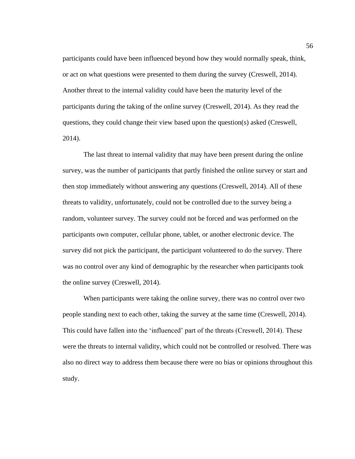participants could have been influenced beyond how they would normally speak, think, or act on what questions were presented to them during the survey (Creswell, 2014). Another threat to the internal validity could have been the maturity level of the participants during the taking of the online survey (Creswell, 2014). As they read the questions, they could change their view based upon the question(s) asked (Creswell, 2014).

The last threat to internal validity that may have been present during the online survey, was the number of participants that partly finished the online survey or start and then stop immediately without answering any questions (Creswell, 2014). All of these threats to validity, unfortunately, could not be controlled due to the survey being a random, volunteer survey. The survey could not be forced and was performed on the participants own computer, cellular phone, tablet, or another electronic device. The survey did not pick the participant, the participant volunteered to do the survey. There was no control over any kind of demographic by the researcher when participants took the online survey (Creswell, 2014).

When participants were taking the online survey, there was no control over two people standing next to each other, taking the survey at the same time (Creswell, 2014). This could have fallen into the 'influenced' part of the threats (Creswell, 2014). These were the threats to internal validity, which could not be controlled or resolved. There was also no direct way to address them because there were no bias or opinions throughout this study.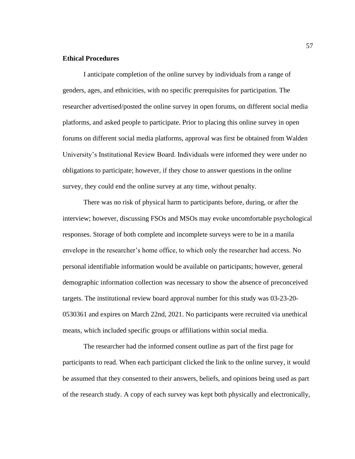# **Ethical Procedures**

I anticipate completion of the online survey by individuals from a range of genders, ages, and ethnicities, with no specific prerequisites for participation. The researcher advertised/posted the online survey in open forums, on different social media platforms, and asked people to participate. Prior to placing this online survey in open forums on different social media platforms, approval was first be obtained from Walden University's Institutional Review Board. Individuals were informed they were under no obligations to participate; however, if they chose to answer questions in the online survey, they could end the online survey at any time, without penalty.

There was no risk of physical harm to participants before, during, or after the interview; however, discussing FSOs and MSOs may evoke uncomfortable psychological responses. Storage of both complete and incomplete surveys were to be in a manila envelope in the researcher's home office, to which only the researcher had access. No personal identifiable information would be available on participants; however, general demographic information collection was necessary to show the absence of preconceived targets. The institutional review board approval number for this study was 03-23-20- 0530361 and expires on March 22nd, 2021. No participants were recruited via unethical means, which included specific groups or affiliations within social media.

The researcher had the informed consent outline as part of the first page for participants to read. When each participant clicked the link to the online survey, it would be assumed that they consented to their answers, beliefs, and opinions being used as part of the research study. A copy of each survey was kept both physically and electronically,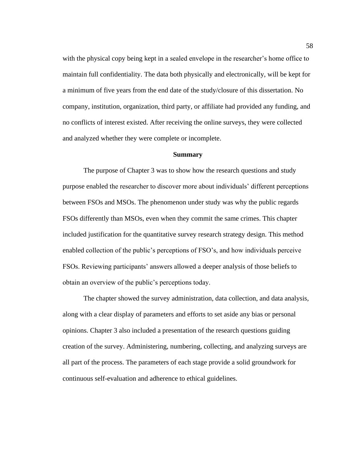with the physical copy being kept in a sealed envelope in the researcher's home office to maintain full confidentiality. The data both physically and electronically, will be kept for a minimum of five years from the end date of the study/closure of this dissertation. No company, institution, organization, third party, or affiliate had provided any funding, and no conflicts of interest existed. After receiving the online surveys, they were collected and analyzed whether they were complete or incomplete.

#### **Summary**

The purpose of Chapter 3 was to show how the research questions and study purpose enabled the researcher to discover more about individuals' different perceptions between FSOs and MSOs. The phenomenon under study was why the public regards FSOs differently than MSOs, even when they commit the same crimes. This chapter included justification for the quantitative survey research strategy design. This method enabled collection of the public's perceptions of FSO's, and how individuals perceive FSOs. Reviewing participants' answers allowed a deeper analysis of those beliefs to obtain an overview of the public's perceptions today.

The chapter showed the survey administration, data collection, and data analysis, along with a clear display of parameters and efforts to set aside any bias or personal opinions. Chapter 3 also included a presentation of the research questions guiding creation of the survey. Administering, numbering, collecting, and analyzing surveys are all part of the process. The parameters of each stage provide a solid groundwork for continuous self-evaluation and adherence to ethical guidelines.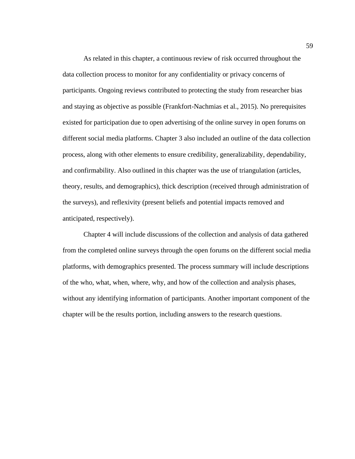As related in this chapter, a continuous review of risk occurred throughout the data collection process to monitor for any confidentiality or privacy concerns of participants. Ongoing reviews contributed to protecting the study from researcher bias and staying as objective as possible (Frankfort-Nachmias et al., 2015). No prerequisites existed for participation due to open advertising of the online survey in open forums on different social media platforms. Chapter 3 also included an outline of the data collection process, along with other elements to ensure credibility, generalizability, dependability, and confirmability. Also outlined in this chapter was the use of triangulation (articles, theory, results, and demographics), thick description (received through administration of the surveys), and reflexivity (present beliefs and potential impacts removed and anticipated, respectively).

Chapter 4 will include discussions of the collection and analysis of data gathered from the completed online surveys through the open forums on the different social media platforms, with demographics presented. The process summary will include descriptions of the who, what, when, where, why, and how of the collection and analysis phases, without any identifying information of participants. Another important component of the chapter will be the results portion, including answers to the research questions.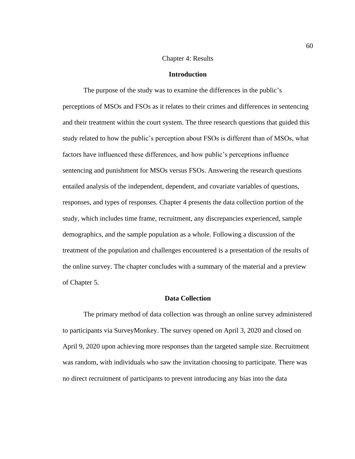### Chapter 4: Results

#### **Introduction**

The purpose of the study was to examine the differences in the public's perceptions of MSOs and FSOs as it relates to their crimes and differences in sentencing and their treatment within the court system. The three research questions that guided this study related to how the public's perception about FSOs is different than of MSOs, what factors have influenced these differences, and how public's perceptions influence sentencing and punishment for MSOs versus FSOs. Answering the research questions entailed analysis of the independent, dependent, and covariate variables of questions, responses, and types of responses. Chapter 4 presents the data collection portion of the study, which includes time frame, recruitment, any discrepancies experienced, sample demographics, and the sample population as a whole. Following a discussion of the treatment of the population and challenges encountered is a presentation of the results of the online survey. The chapter concludes with a summary of the material and a preview of Chapter 5.

#### **Data Collection**

The primary method of data collection was through an online survey administered to participants via SurveyMonkey. The survey opened on April 3, 2020 and closed on April 9, 2020 upon achieving more responses than the targeted sample size. Recruitment was random, with individuals who saw the invitation choosing to participate. There was no direct recruitment of participants to prevent introducing any bias into the data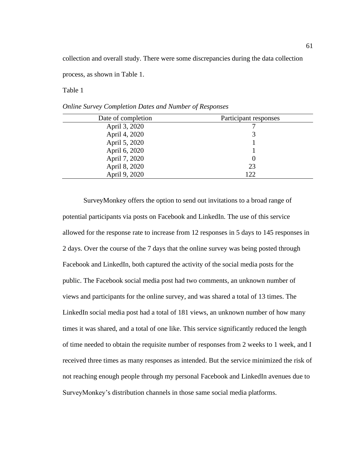collection and overall study. There were some discrepancies during the data collection

process, as shown in Table 1.

Table 1

*Online Survey Completion Dates and Number of Responses*

| Date of completion | Participant responses |
|--------------------|-----------------------|
| April 3, 2020      |                       |
| April 4, 2020      |                       |
| April 5, 2020      |                       |
| April 6, 2020      |                       |
| April 7, 2020      |                       |
| April 8, 2020      | 23                    |
| April 9, 2020      | 122                   |

SurveyMonkey offers the option to send out invitations to a broad range of potential participants via posts on Facebook and LinkedIn. The use of this service allowed for the response rate to increase from 12 responses in 5 days to 145 responses in 2 days. Over the course of the 7 days that the online survey was being posted through Facebook and LinkedIn, both captured the activity of the social media posts for the public. The Facebook social media post had two comments, an unknown number of views and participants for the online survey, and was shared a total of 13 times. The LinkedIn social media post had a total of 181 views, an unknown number of how many times it was shared, and a total of one like. This service significantly reduced the length of time needed to obtain the requisite number of responses from 2 weeks to 1 week, and I received three times as many responses as intended. But the service minimized the risk of not reaching enough people through my personal Facebook and LinkedIn avenues due to SurveyMonkey's distribution channels in those same social media platforms.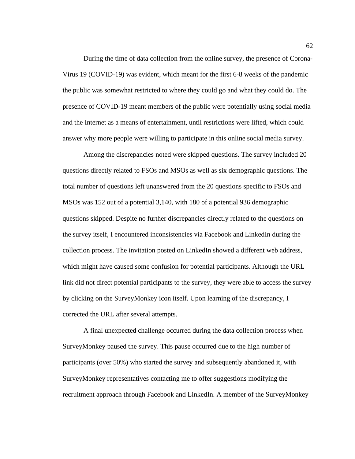During the time of data collection from the online survey, the presence of Corona-Virus 19 (COVID-19) was evident, which meant for the first 6-8 weeks of the pandemic the public was somewhat restricted to where they could go and what they could do. The presence of COVID-19 meant members of the public were potentially using social media and the Internet as a means of entertainment, until restrictions were lifted, which could answer why more people were willing to participate in this online social media survey.

Among the discrepancies noted were skipped questions. The survey included 20 questions directly related to FSOs and MSOs as well as six demographic questions. The total number of questions left unanswered from the 20 questions specific to FSOs and MSOs was 152 out of a potential 3,140, with 180 of a potential 936 demographic questions skipped. Despite no further discrepancies directly related to the questions on the survey itself, I encountered inconsistencies via Facebook and LinkedIn during the collection process. The invitation posted on LinkedIn showed a different web address, which might have caused some confusion for potential participants. Although the URL link did not direct potential participants to the survey, they were able to access the survey by clicking on the SurveyMonkey icon itself. Upon learning of the discrepancy, I corrected the URL after several attempts.

A final unexpected challenge occurred during the data collection process when SurveyMonkey paused the survey. This pause occurred due to the high number of participants (over 50%) who started the survey and subsequently abandoned it, with SurveyMonkey representatives contacting me to offer suggestions modifying the recruitment approach through Facebook and LinkedIn. A member of the SurveyMonkey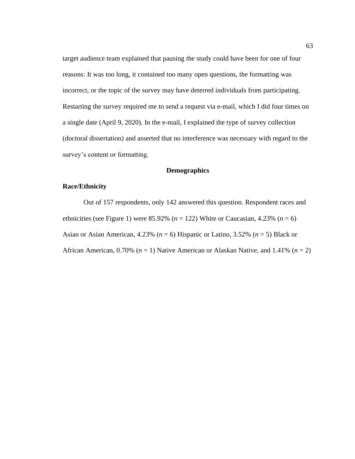target audience team explained that pausing the study could have been for one of four reasons: It was too long, it contained too many open questions, the formatting was incorrect, or the topic of the survey may have deterred individuals from participating. Restarting the survey required me to send a request via e-mail, which I did four times on a single date (April 9, 2020). In the e-mail, I explained the type of survey collection (doctoral dissertation) and asserted that no interference was necessary with regard to the survey's content or formatting.

### **Demographics**

### **Race/Ethnicity**

Out of 157 respondents, only 142 answered this question. Respondent races and ethnicities (see Figure 1) were 85.92% ( $n = 122$ ) White or Caucasian, 4.23% ( $n = 6$ ) Asian or Asian American, 4.23% (*n* = 6) Hispanic or Latino, 3.52% (*n* = 5) Black or African American, 0.70% (*n* = 1) Native American or Alaskan Native, and 1.41% (*n* = 2)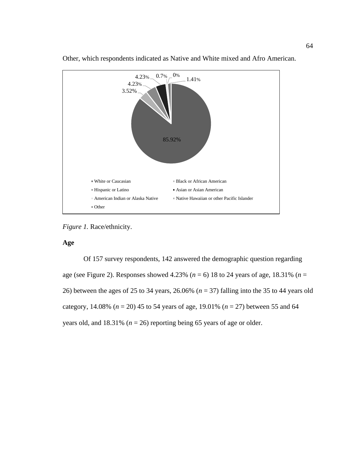

Other, which respondents indicated as Native and White mixed and Afro American.

*Figure 1.* Race/ethnicity.

### **Age**

Of 157 survey respondents, 142 answered the demographic question regarding age (see Figure 2). Responses showed 4.23% (*n* = 6) 18 to 24 years of age, 18.31% (*n* = 26) between the ages of 25 to 34 years, 26.06% (*n* = 37) falling into the 35 to 44 years old category, 14.08% (*n* = 20) 45 to 54 years of age, 19.01% (*n* = 27) between 55 and 64 years old, and  $18.31\%$  ( $n = 26$ ) reporting being 65 years of age or older.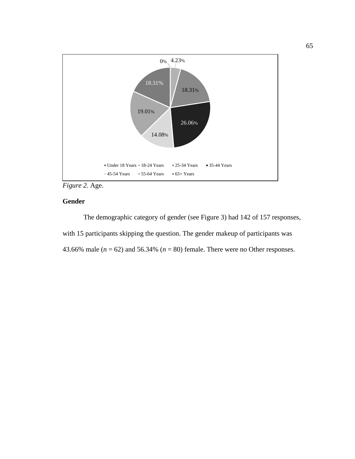

*Figure 2.* Age.

## **Gender**

The demographic category of gender (see Figure 3) had 142 of 157 responses, with 15 participants skipping the question. The gender makeup of participants was 43.66% male  $(n = 62)$  and 56.34%  $(n = 80)$  female. There were no Other responses.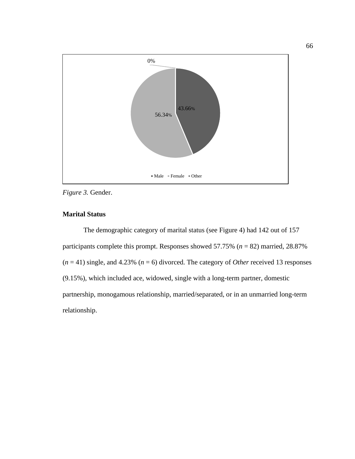

*Figure 3.* Gender.

## **Marital Status**

The demographic category of marital status (see Figure 4) had 142 out of 157 participants complete this prompt. Responses showed 57.75% (*n* = 82) married, 28.87%  $(n = 41)$  single, and 4.23%  $(n = 6)$  divorced. The category of *Other* received 13 responses (9.15%), which included ace, widowed, single with a long-term partner, domestic partnership, monogamous relationship, married/separated, or in an unmarried long-term relationship.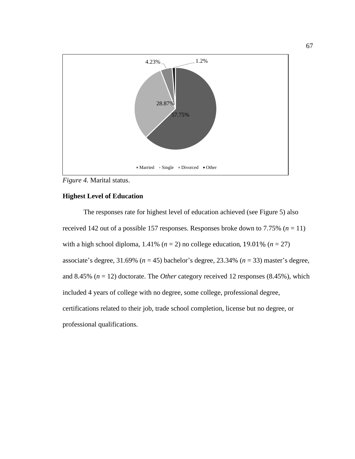

*Figure 4.* Marital status.

### **Highest Level of Education**

The responses rate for highest level of education achieved (see Figure 5) also received 142 out of a possible 157 responses. Responses broke down to 7.75% (*n* = 11) with a high school diploma,  $1.41\%$  ( $n = 2$ ) no college education,  $19.01\%$  ( $n = 27$ ) associate's degree, 31.69% (*n* = 45) bachelor's degree, 23.34% (*n* = 33) master's degree, and 8.45% (*n* = 12) doctorate. The *Other* category received 12 responses (8.45%), which included 4 years of college with no degree, some college, professional degree, certifications related to their job, trade school completion, license but no degree, or professional qualifications.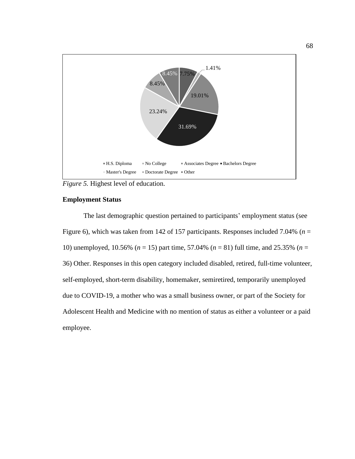

*Figure 5.* Highest level of education.

### **Employment Status**

The last demographic question pertained to participants' employment status (see Figure 6), which was taken from 142 of 157 participants. Responses included 7.04% (*n* = 10) unemployed, 10.56% (*n* = 15) part time, 57.04% (*n* = 81) full time, and 25.35% (*n* = 36) Other. Responses in this open category included disabled, retired, full-time volunteer, self-employed, short-term disability, homemaker, semiretired, temporarily unemployed due to COVID-19, a mother who was a small business owner, or part of the Society for Adolescent Health and Medicine with no mention of status as either a volunteer or a paid employee.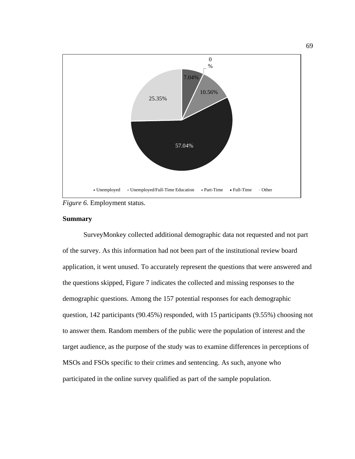

*Figure 6.* Employment status.

### **Summary**

SurveyMonkey collected additional demographic data not requested and not part of the survey. As this information had not been part of the institutional review board application, it went unused. To accurately represent the questions that were answered and the questions skipped, Figure 7 indicates the collected and missing responses to the demographic questions. Among the 157 potential responses for each demographic question, 142 participants (90.45%) responded, with 15 participants (9.55%) choosing not to answer them. Random members of the public were the population of interest and the target audience, as the purpose of the study was to examine differences in perceptions of MSOs and FSOs specific to their crimes and sentencing. As such, anyone who participated in the online survey qualified as part of the sample population.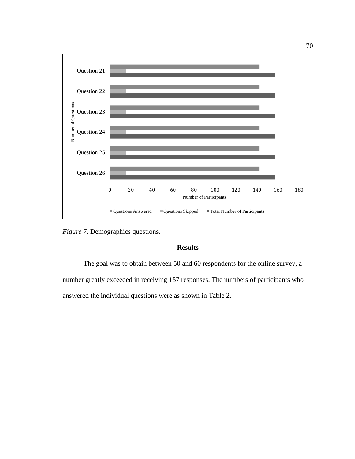

*Figure 7.* Demographics questions.

### **Results**

The goal was to obtain between 50 and 60 respondents for the online survey, a number greatly exceeded in receiving 157 responses. The numbers of participants who answered the individual questions were as shown in Table 2.

70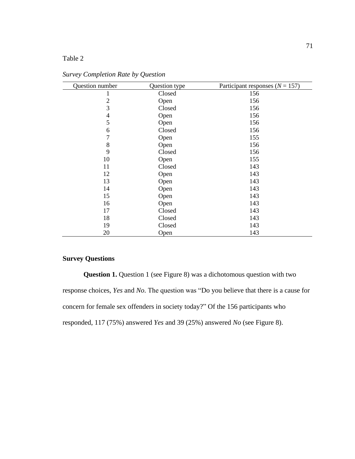## Table 2

| Question number | Question type | Participant responses $(N = 157)$ |
|-----------------|---------------|-----------------------------------|
| $\mathbf{I}$    | Closed        | 156                               |
| $\overline{2}$  | Open          | 156                               |
| 3               | Closed        | 156                               |
| 4               | Open          | 156                               |
| 5               | Open          | 156                               |
| 6               | Closed        | 156                               |
| 7               | Open          | 155                               |
| $\,8\,$         | Open          | 156                               |
| 9               | Closed        | 156                               |
| 10              | Open          | 155                               |
| 11              | Closed        | 143                               |
| 12              | Open          | 143                               |
| 13              | Open          | 143                               |
| 14              | Open          | 143                               |
| 15              | Open          | 143                               |
| 16              | Open          | 143                               |
| 17              | Closed        | 143                               |
| 18              | Closed        | 143                               |
| 19              | Closed        | 143                               |
| 20              | Open          | 143                               |

*Survey Completion Rate by Question*

# **Survey Questions**

**Question 1.** Question 1 (see Figure 8) was a dichotomous question with two response choices, *Yes* and *No*. The question was "Do you believe that there is a cause for concern for female sex offenders in society today?" Of the 156 participants who responded, 117 (75%) answered *Yes* and 39 (25%) answered *No* (see Figure 8).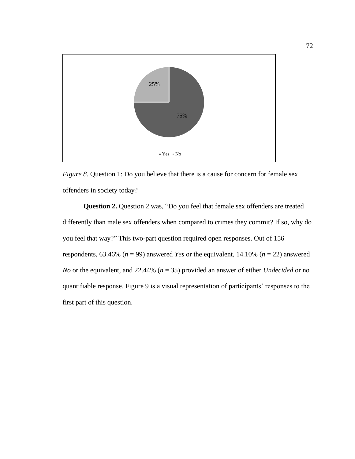

*Figure 8.* Question 1: Do you believe that there is a cause for concern for female sex offenders in society today?

**Question 2.** Question 2 was, "Do you feel that female sex offenders are treated differently than male sex offenders when compared to crimes they commit? If so, why do you feel that way?" This two-part question required open responses. Out of 156 respondents, 63.46% (*n* = 99) answered *Yes* or the equivalent, 14.10% (*n* = 22) answered *No* or the equivalent, and 22.44% (*n* = 35) provided an answer of either *Undecided* or no quantifiable response. Figure 9 is a visual representation of participants' responses to the first part of this question.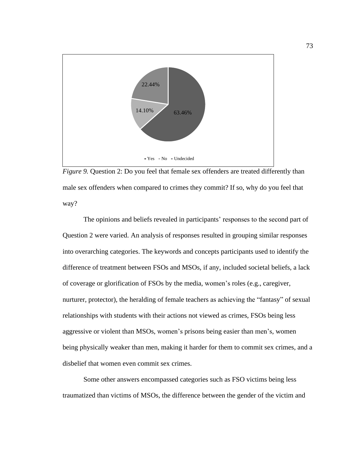

*Figure 9.* Question 2: Do you feel that female sex offenders are treated differently than male sex offenders when compared to crimes they commit? If so, why do you feel that way?

The opinions and beliefs revealed in participants' responses to the second part of Question 2 were varied. An analysis of responses resulted in grouping similar responses into overarching categories. The keywords and concepts participants used to identify the difference of treatment between FSOs and MSOs, if any, included societal beliefs, a lack of coverage or glorification of FSOs by the media, women's roles (e.g., caregiver, nurturer, protector), the heralding of female teachers as achieving the "fantasy" of sexual relationships with students with their actions not viewed as crimes, FSOs being less aggressive or violent than MSOs, women's prisons being easier than men's, women being physically weaker than men, making it harder for them to commit sex crimes, and a disbelief that women even commit sex crimes.

Some other answers encompassed categories such as FSO victims being less traumatized than victims of MSOs, the difference between the gender of the victim and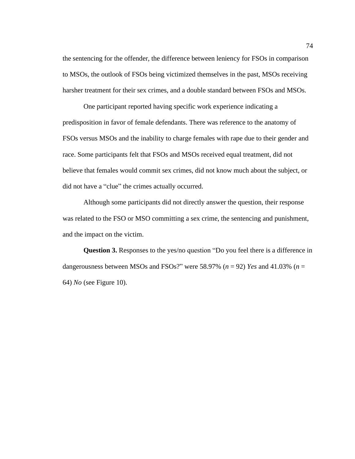the sentencing for the offender, the difference between leniency for FSOs in comparison to MSOs, the outlook of FSOs being victimized themselves in the past, MSOs receiving harsher treatment for their sex crimes, and a double standard between FSOs and MSOs.

One participant reported having specific work experience indicating a predisposition in favor of female defendants. There was reference to the anatomy of FSOs versus MSOs and the inability to charge females with rape due to their gender and race. Some participants felt that FSOs and MSOs received equal treatment, did not believe that females would commit sex crimes, did not know much about the subject, or did not have a "clue" the crimes actually occurred.

Although some participants did not directly answer the question, their response was related to the FSO or MSO committing a sex crime, the sentencing and punishment, and the impact on the victim.

**Question 3.** Responses to the yes/no question "Do you feel there is a difference in dangerousness between MSOs and FSOs?" were 58.97% (*n* = 92) *Yes* and 41.03% (*n* = 64) *No* (see Figure 10).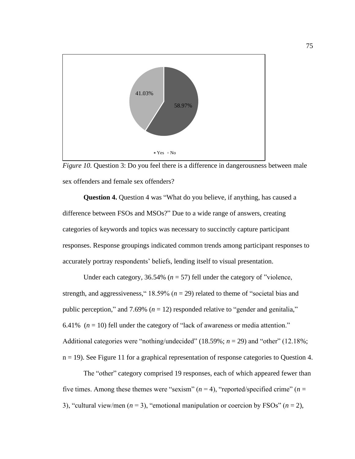

*Figure 10.* Question 3: Do you feel there is a difference in dangerousness between male sex offenders and female sex offenders?

**Question 4.** Question 4 was "What do you believe, if anything, has caused a difference between FSOs and MSOs?" Due to a wide range of answers, creating categories of keywords and topics was necessary to succinctly capture participant responses. Response groupings indicated common trends among participant responses to accurately portray respondents' beliefs, lending itself to visual presentation.

Under each category,  $36.54\%$  ( $n = 57$ ) fell under the category of "violence, strength, and aggressiveness,  $\frac{18.59\%}{n} = 29$  related to theme of "societal bias and public perception," and 7.69% ( $n = 12$ ) responded relative to "gender and genitalia," 6.41%  $(n = 10)$  fell under the category of "lack of awareness or media attention." Additional categories were "nothing/undecided" (18.59%; *n* = 29) and "other" (12.18%; n = 19). See Figure 11 for a graphical representation of response categories to Question 4.

The "other" category comprised 19 responses, each of which appeared fewer than five times. Among these themes were "sexism"  $(n = 4)$ , "reported/specified crime"  $(n = 1)$ 3), "cultural view/men  $(n = 3)$ , "emotional manipulation or coercion by FSOs"  $(n = 2)$ ,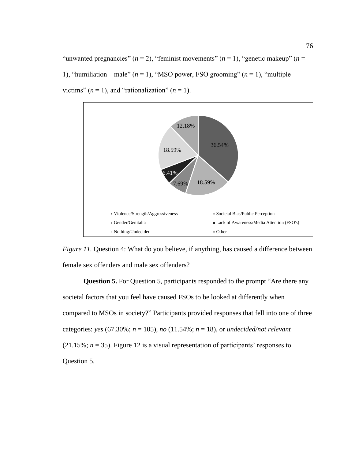"unwanted pregnancies"  $(n = 2)$ , "feminist movements"  $(n = 1)$ , "genetic makeup"  $(n = 1)$ 1), "humiliation – male"  $(n = 1)$ , "MSO power, FSO grooming"  $(n = 1)$ , "multiple" victims" ( $n = 1$ ), and "rationalization" ( $n = 1$ ).



*Figure 11*. Question 4: What do you believe, if anything, has caused a difference between female sex offenders and male sex offenders?

**Question 5.** For Question 5, participants responded to the prompt "Are there any societal factors that you feel have caused FSOs to be looked at differently when compared to MSOs in society?" Participants provided responses that fell into one of three categories: *yes* (67.30%; *n* = 105), *no* (11.54%; *n* = 18), or *undecided/not relevant*  $(21.15\%; n = 35)$ . Figure 12 is a visual representation of participants' responses to Question 5.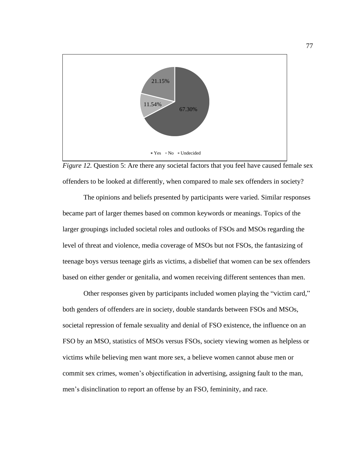

*Figure 12.* Question 5: Are there any societal factors that you feel have caused female sex offenders to be looked at differently, when compared to male sex offenders in society?

The opinions and beliefs presented by participants were varied. Similar responses became part of larger themes based on common keywords or meanings. Topics of the larger groupings included societal roles and outlooks of FSOs and MSOs regarding the level of threat and violence, media coverage of MSOs but not FSOs, the fantasizing of teenage boys versus teenage girls as victims, a disbelief that women can be sex offenders based on either gender or genitalia, and women receiving different sentences than men.

Other responses given by participants included women playing the "victim card," both genders of offenders are in society, double standards between FSOs and MSOs, societal repression of female sexuality and denial of FSO existence, the influence on an FSO by an MSO, statistics of MSOs versus FSOs, society viewing women as helpless or victims while believing men want more sex, a believe women cannot abuse men or commit sex crimes, women's objectification in advertising, assigning fault to the man, men's disinclination to report an offense by an FSO, femininity, and race.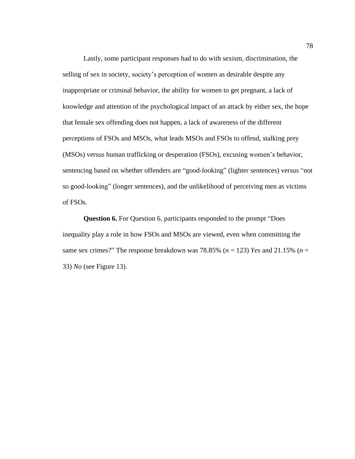Lastly, some participant responses had to do with sexism, discrimination, the selling of sex in society, society's perception of women as desirable despite any inappropriate or criminal behavior, the ability for women to get pregnant, a lack of knowledge and attention of the psychological impact of an attack by either sex, the hope that female sex offending does not happen, a lack of awareness of the different perceptions of FSOs and MSOs, what leads MSOs and FSOs to offend, stalking prey (MSOs) versus human trafficking or desperation (FSOs), excusing women's behavior, sentencing based on whether offenders are "good-looking" (lighter sentences) versus "not so good-looking" (longer sentences), and the unlikelihood of perceiving men as victims of FSOs.

**Question 6.** For Question 6, participants responded to the prompt "Does inequality play a role in how FSOs and MSOs are viewed, even when committing the same sex crimes?" The response breakdown was 78.85% ( $n = 123$ ) *Yes* and 21.15% ( $n =$ 33) *No* (see Figure 13).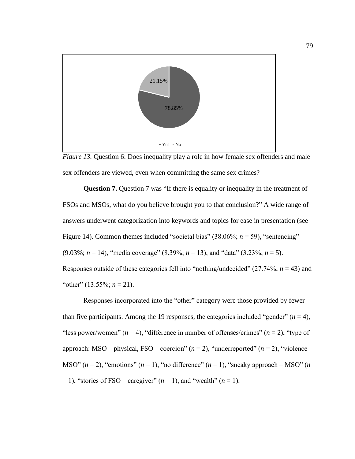

*Figure 13.* Question 6: Does inequality play a role in how female sex offenders and male sex offenders are viewed, even when committing the same sex crimes?

**Question 7.** Question 7 was "If there is equality or inequality in the treatment of FSOs and MSOs, what do you believe brought you to that conclusion?" A wide range of answers underwent categorization into keywords and topics for ease in presentation (see Figure 14). Common themes included "societal bias" (38.06%; *n* = 59), "sentencing"  $(9.03\%; n = 14)$ , "media coverage"  $(8.39\%; n = 13)$ , and "data"  $(3.23\%; n = 5)$ . Responses outside of these categories fell into "nothing/undecided" (27.74%; *n* = 43) and "other"  $(13.55\%; n = 21)$ .

Responses incorporated into the "other" category were those provided by fewer than five participants. Among the 19 responses, the categories included "gender"  $(n = 4)$ , "less power/women"  $(n = 4)$ , "difference in number of offenses/crimes"  $(n = 2)$ , "type of approach: MSO – physical, FSO – coercion"  $(n = 2)$ , "underreported"  $(n = 2)$ , "violence – MSO"  $(n = 2)$ , "emotions"  $(n = 1)$ , "no difference"  $(n = 1)$ , "sneaky approach – MSO"  $(n = 1)$  $= 1$ ), "stories of FSO – caregiver" ( $n = 1$ ), and "wealth" ( $n = 1$ ).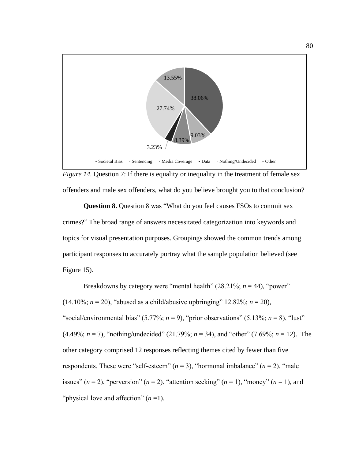

*Figure 14.* Question 7: If there is equality or inequality in the treatment of female sex offenders and male sex offenders, what do you believe brought you to that conclusion?

**Question 8.** Question 8 was "What do you feel causes FSOs to commit sex crimes?" The broad range of answers necessitated categorization into keywords and topics for visual presentation purposes. Groupings showed the common trends among participant responses to accurately portray what the sample population believed (see Figure 15).

Breakdowns by category were "mental health"  $(28.21\%; n = 44)$ , "power"  $(14.10\%; n = 20)$ , "abused as a child/abusive upbringing" 12.82%;  $n = 20$ ), "social/environmental bias" (5.77%;  $n = 9$ ), "prior observations" (5.13%;  $n = 8$ ), "lust" (4.49%; *n* = 7), "nothing/undecided" (21.79%; *n* = 34), and "other" (7.69%; *n* = 12). The other category comprised 12 responses reflecting themes cited by fewer than five respondents. These were "self-esteem"  $(n = 3)$ , "hormonal imbalance"  $(n = 2)$ , "male" issues"  $(n = 2)$ , "perversion"  $(n = 2)$ , "attention seeking"  $(n = 1)$ , "money"  $(n = 1)$ , and "physical love and affection" (*n* =1).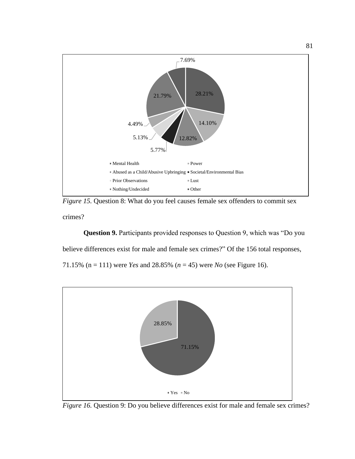

*Figure 15.* Question 8: What do you feel causes female sex offenders to commit sex crimes?

**Question 9.** Participants provided responses to Question 9, which was "Do you believe differences exist for male and female sex crimes?" Of the 156 total responses, 71.15% (n = 111) were *Yes* and 28.85% (*n* = 45) were *No* (see Figure 16).



*Figure 16.* Question 9: Do you believe differences exist for male and female sex crimes?

81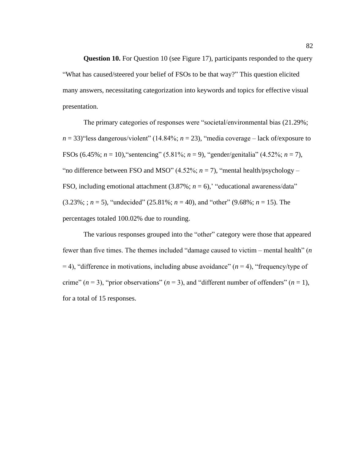**Question 10.** For Question 10 (see Figure 17), participants responded to the query "What has caused/steered your belief of FSOs to be that way?" This question elicited many answers, necessitating categorization into keywords and topics for effective visual presentation.

The primary categories of responses were "societal/environmental bias (21.29%;  $n = 33$ ) ess dangerous/violent" (14.84%;  $n = 23$ ), "media coverage – lack of/exposure to FSOs (6.45%; *n* = 10),"sentencing" (5.81%; *n* = 9), "gender/genitalia" (4.52%; *n* = 7), "no difference between FSO and MSO"  $(4.52\%; n = 7)$ , "mental health/psychology – FSO, including emotional attachment  $(3.87\%; n = 6)$ , "educational awareness/data" (3.23%; ; *n* = 5), "undecided" (25.81%; *n* = 40), and "other" (9.68%; *n* = 15). The percentages totaled 100.02% due to rounding.

The various responses grouped into the "other" category were those that appeared fewer than five times. The themes included "damage caused to victim – mental health" (*n*  $= 4$ ), "difference in motivations, including abuse avoidance" ( $n = 4$ ), "frequency/type of crime"  $(n = 3)$ , "prior observations"  $(n = 3)$ , and "different number of offenders"  $(n = 1)$ , for a total of 15 responses.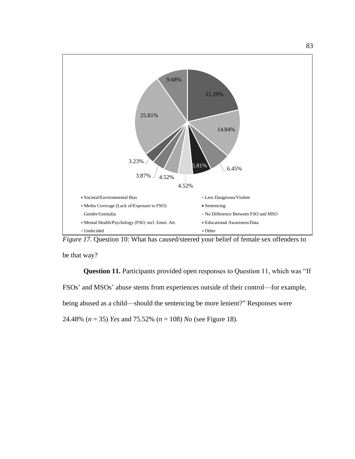

*Figure 17.* Question 10: What has caused/steered your belief of female sex offenders to be that way?

**Question 11.** Participants provided open responses to Question 11, which was "If FSOs' and MSOs' abuse stems from experiences outside of their control—for example, being abused as a child—should the sentencing be more lenient?" Responses were 24.48% (*n* = 35) *Yes* and 75.52% (*n* = 108) *No* (see Figure 18).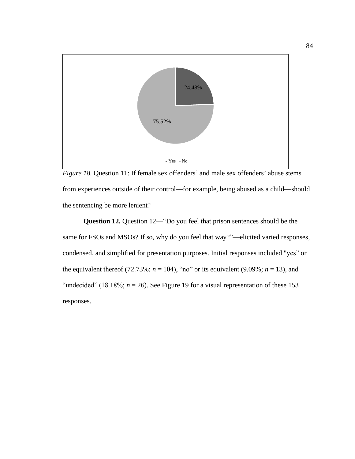

*Figure 18.* Question 11: If female sex offenders' and male sex offenders' abuse stems from experiences outside of their control—for example, being abused as a child—should the sentencing be more lenient?

**Question 12.** Question 12—"Do you feel that prison sentences should be the same for FSOs and MSOs? If so, why do you feel that way?"—elicited varied responses, condensed, and simplified for presentation purposes. Initial responses included "yes" or the equivalent thereof (72.73%;  $n = 104$ ), "no" or its equivalent (9.09%;  $n = 13$ ), and "undecided" (18.18%;  $n = 26$ ). See Figure 19 for a visual representation of these 153 responses.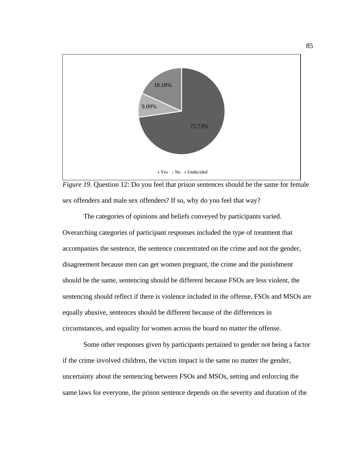

*Figure 19.* Question 12: Do you feel that prison sentences should be the same for female sex offenders and male sex offenders? If so, why do you feel that way?

The categories of opinions and beliefs conveyed by participants varied. Overarching categories of participant responses included the type of treatment that accompanies the sentence, the sentence concentrated on the crime and not the gender, disagreement because men can get women pregnant, the crime and the punishment should be the same, sentencing should be different because FSOs are less violent, the sentencing should reflect if there is violence included in the offense, FSOs and MSOs are equally abusive, sentences should be different because of the differences in circumstances, and equality for women across the board no matter the offense.

Some other responses given by participants pertained to gender not being a factor if the crime involved children, the victim impact is the same no matter the gender, uncertainty about the sentencing between FSOs and MSOs, setting and enforcing the same laws for everyone, the prison sentence depends on the severity and duration of the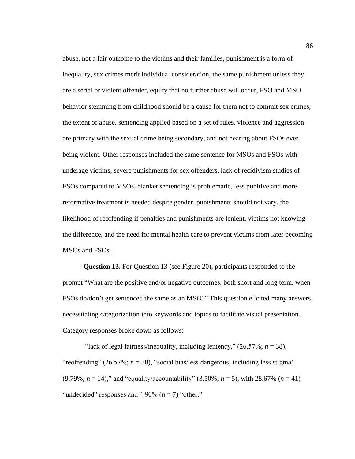abuse, not a fair outcome to the victims and their families, punishment is a form of inequality, sex crimes merit individual consideration, the same punishment unless they are a serial or violent offender, equity that no further abuse will occur, FSO and MSO behavior stemming from childhood should be a cause for them not to commit sex crimes, the extent of abuse, sentencing applied based on a set of rules, violence and aggression are primary with the sexual crime being secondary, and not hearing about FSOs ever being violent. Other responses included the same sentence for MSOs and FSOs with underage victims, severe punishments for sex offenders, lack of recidivism studies of FSOs compared to MSOs, blanket sentencing is problematic, less punitive and more reformative treatment is needed despite gender, punishments should not vary, the likelihood of reoffending if penalties and punishments are lenient, victims not knowing the difference, and the need for mental health care to prevent victims from later becoming MSOs and FSOs.

**Question 13.** For Question 13 (see Figure 20), participants responded to the prompt "What are the positive and/or negative outcomes, both short and long term, when FSOs do/don't get sentenced the same as an MSO?" This question elicited many answers, necessitating categorization into keywords and topics to facilitate visual presentation. Category responses broke down as follows:

"lack of legal fairness/inequality, including leniency,"  $(26.57\%; n = 38)$ , "reoffending" (26.57%; *n* = 38), "social bias/less dangerous, including less stigma" (9.79%; *n* = 14)," and "equality/accountability" (3.50%; *n* = 5), with 28.67% (*n* = 41) "undecided" responses and 4.90% (*n* = 7) "other."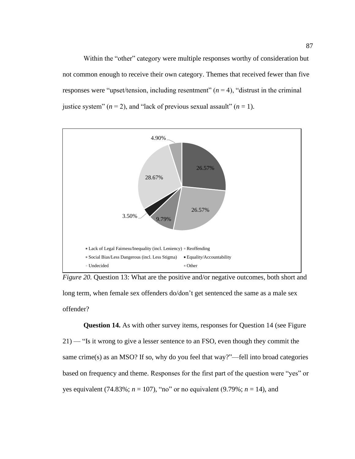Within the "other" category were multiple responses worthy of consideration but not common enough to receive their own category. Themes that received fewer than five responses were "upset/tension, including resentment"  $(n = 4)$ , "distrust in the criminal" justice system"  $(n = 2)$ , and "lack of previous sexual assault"  $(n = 1)$ .



*Figure 20.* Question 13: What are the positive and/or negative outcomes, both short and long term, when female sex offenders do/don't get sentenced the same as a male sex offender?

**Question 14.** As with other survey items, responses for Question 14 (see Figure 21) — "Is it wrong to give a lesser sentence to an FSO, even though they commit the same crime(s) as an MSO? If so, why do you feel that way?"—fell into broad categories based on frequency and theme. Responses for the first part of the question were "yes" or yes equivalent (74.83%; *n* = 107), "no" or no equivalent (9.79%; *n* = 14), and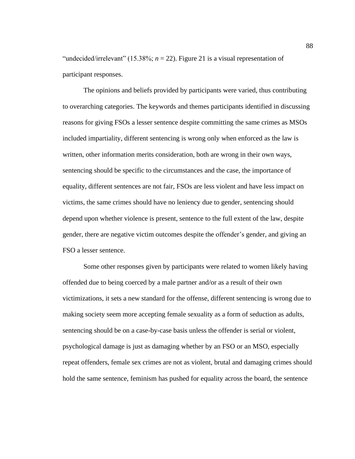"undecided/irrelevant" (15.38%;  $n = 22$ ). Figure 21 is a visual representation of participant responses.

The opinions and beliefs provided by participants were varied, thus contributing to overarching categories. The keywords and themes participants identified in discussing reasons for giving FSOs a lesser sentence despite committing the same crimes as MSOs included impartiality, different sentencing is wrong only when enforced as the law is written, other information merits consideration, both are wrong in their own ways, sentencing should be specific to the circumstances and the case, the importance of equality, different sentences are not fair, FSOs are less violent and have less impact on victims, the same crimes should have no leniency due to gender, sentencing should depend upon whether violence is present, sentence to the full extent of the law, despite gender, there are negative victim outcomes despite the offender's gender, and giving an FSO a lesser sentence.

Some other responses given by participants were related to women likely having offended due to being coerced by a male partner and/or as a result of their own victimizations, it sets a new standard for the offense, different sentencing is wrong due to making society seem more accepting female sexuality as a form of seduction as adults, sentencing should be on a case-by-case basis unless the offender is serial or violent, psychological damage is just as damaging whether by an FSO or an MSO, especially repeat offenders, female sex crimes are not as violent, brutal and damaging crimes should hold the same sentence, feminism has pushed for equality across the board, the sentence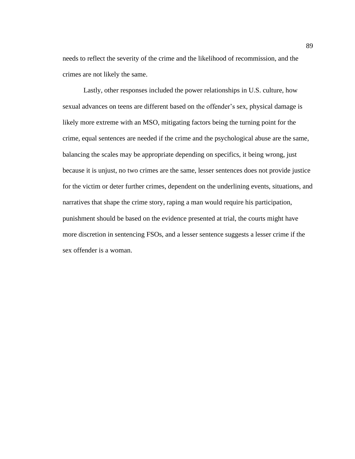needs to reflect the severity of the crime and the likelihood of recommission, and the crimes are not likely the same.

Lastly, other responses included the power relationships in U.S. culture, how sexual advances on teens are different based on the offender's sex, physical damage is likely more extreme with an MSO, mitigating factors being the turning point for the crime, equal sentences are needed if the crime and the psychological abuse are the same, balancing the scales may be appropriate depending on specifics, it being wrong, just because it is unjust, no two crimes are the same, lesser sentences does not provide justice for the victim or deter further crimes, dependent on the underlining events, situations, and narratives that shape the crime story, raping a man would require his participation, punishment should be based on the evidence presented at trial, the courts might have more discretion in sentencing FSOs, and a lesser sentence suggests a lesser crime if the sex offender is a woman.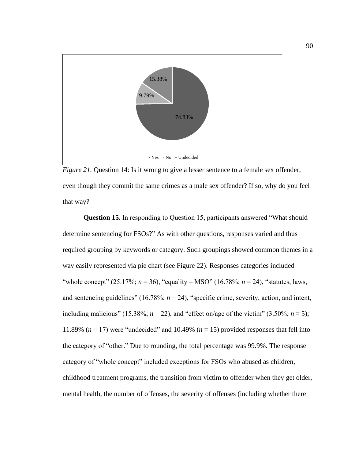

*Figure 21.* Question 14: Is it wrong to give a lesser sentence to a female sex offender, even though they commit the same crimes as a male sex offender? If so, why do you feel that way?

**Question 15.** In responding to Question 15, participants answered "What should determine sentencing for FSOs?" As with other questions, responses varied and thus required grouping by keywords or category. Such groupings showed common themes in a way easily represented via pie chart (see Figure 22). Responses categories included "whole concept" (25.17%; *n* = 36), "equality – MSO" (16.78%; *n* = 24), "statutes, laws, and sentencing guidelines"  $(16.78\%; n = 24)$ , "specific crime, severity, action, and intent, including malicious" (15.38%;  $n = 22$ ), and "effect on/age of the victim" (3.50%;  $n = 5$ ); 11.89%  $(n = 17)$  were "undecided" and 10.49%  $(n = 15)$  provided responses that fell into the category of "other." Due to rounding, the total percentage was 99.9%. The response category of "whole concept" included exceptions for FSOs who abused as children, childhood treatment programs, the transition from victim to offender when they get older, mental health, the number of offenses, the severity of offenses (including whether there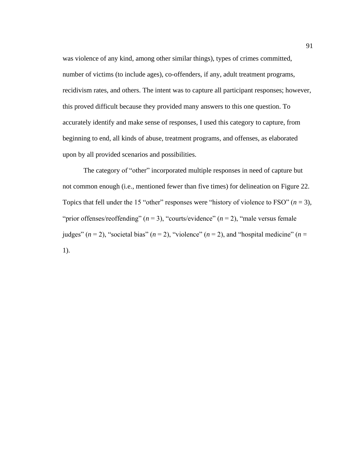was violence of any kind, among other similar things), types of crimes committed, number of victims (to include ages), co-offenders, if any, adult treatment programs, recidivism rates, and others. The intent was to capture all participant responses; however, this proved difficult because they provided many answers to this one question. To accurately identify and make sense of responses, I used this category to capture, from beginning to end, all kinds of abuse, treatment programs, and offenses, as elaborated upon by all provided scenarios and possibilities.

The category of "other" incorporated multiple responses in need of capture but not common enough (i.e., mentioned fewer than five times) for delineation on Figure 22. Topics that fell under the 15 "other" responses were "history of violence to FSO"  $(n = 3)$ , "prior offenses/reoffending"  $(n = 3)$ , "courts/evidence"  $(n = 2)$ , "male versus female" judges" ( $n = 2$ ), "societal bias" ( $n = 2$ ), "violence" ( $n = 2$ ), and "hospital medicine" ( $n =$ 1).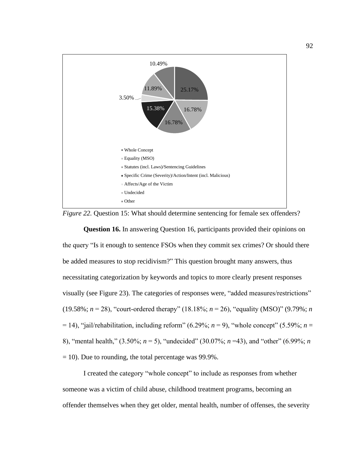

*Figure 22.* Question 15: What should determine sentencing for female sex offenders?

**Question 16.** In answering Question 16, participants provided their opinions on the query "Is it enough to sentence FSOs when they commit sex crimes? Or should there be added measures to stop recidivism?" This question brought many answers, thus necessitating categorization by keywords and topics to more clearly present responses visually (see Figure 23). The categories of responses were, "added measures/restrictions" (19.58%; *n* = 28), "court-ordered therapy" (18.18%; *n* = 26), "equality (MSO)" (9.79%; *n*  $= 14$ ), "jail/rehabilitation, including reform" (6.29%; *n* = 9), "whole concept" (5.59%; *n* = 8), "mental health," (3.50%; *n* = 5), "undecided" (30.07%; *n* =43), and "other" (6.99%; *n*  $= 10$ ). Due to rounding, the total percentage was 99.9%.

I created the category "whole concept" to include as responses from whether someone was a victim of child abuse, childhood treatment programs, becoming an offender themselves when they get older, mental health, number of offenses, the severity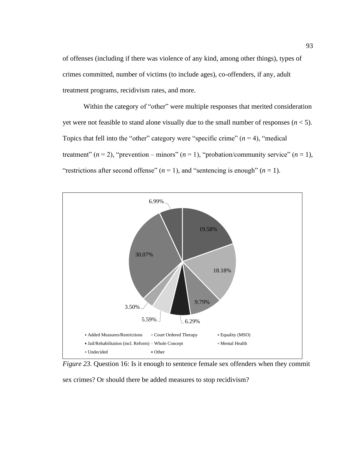of offenses (including if there was violence of any kind, among other things), types of crimes committed, number of victims (to include ages), co-offenders, if any, adult treatment programs, recidivism rates, and more.

Within the category of "other" were multiple responses that merited consideration yet were not feasible to stand alone visually due to the small number of responses  $(n < 5)$ . Topics that fell into the "other" category were "specific crime"  $(n = 4)$ , "medical treatment"  $(n = 2)$ , "prevention – minors"  $(n = 1)$ , "probation/community service"  $(n = 1)$ , "restrictions after second offense"  $(n = 1)$ , and "sentencing is enough"  $(n = 1)$ .



*Figure 23.* Question 16: Is it enough to sentence female sex offenders when they commit

sex crimes? Or should there be added measures to stop recidivism?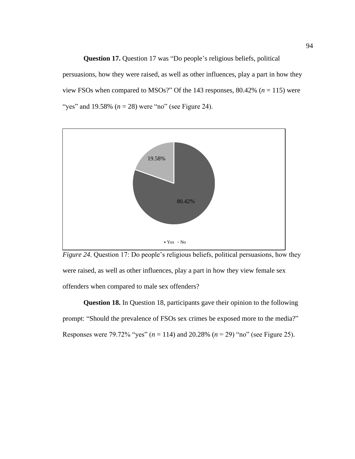## **Question 17.** Question 17 was "Do people's religious beliefs, political

persuasions, how they were raised, as well as other influences, play a part in how they view FSOs when compared to MSOs?" Of the 143 responses,  $80.42\%$  ( $n = 115$ ) were "yes" and 19.58%  $(n = 28)$  were "no" (see Figure 24).



*Figure 24.* Question 17: Do people's religious beliefs, political persuasions, how they were raised, as well as other influences, play a part in how they view female sex offenders when compared to male sex offenders?

**Question 18.** In Question 18, participants gave their opinion to the following prompt: "Should the prevalence of FSOs sex crimes be exposed more to the media?" Responses were 79.72% "yes" (*n* = 114) and 20.28% (*n* = 29) "no" (see Figure 25).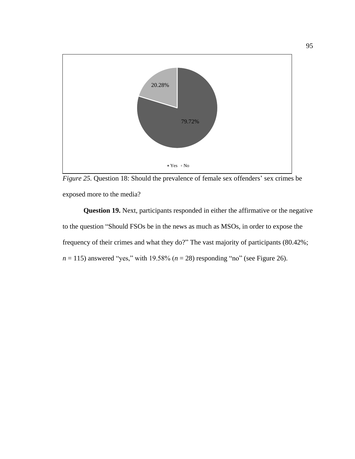

*Figure 25.* Question 18: Should the prevalence of female sex offenders' sex crimes be exposed more to the media?

**Question 19.** Next, participants responded in either the affirmative or the negative to the question "Should FSOs be in the news as much as MSOs, in order to expose the frequency of their crimes and what they do?" The vast majority of participants (80.42%;  $n = 115$ ) answered "yes," with 19.58% ( $n = 28$ ) responding "no" (see Figure 26).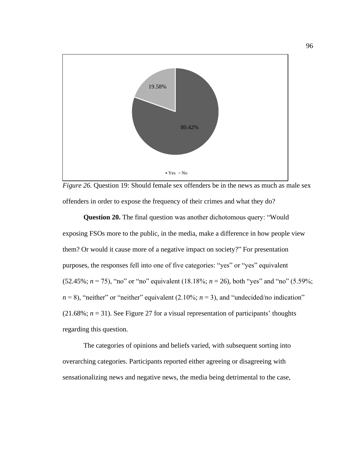

*Figure 26.* Question 19: Should female sex offenders be in the news as much as male sex offenders in order to expose the frequency of their crimes and what they do?

**Question 20.** The final question was another dichotomous query: "Would exposing FSOs more to the public, in the media, make a difference in how people view them? Or would it cause more of a negative impact on society?" For presentation purposes, the responses fell into one of five categories: "yes" or "yes" equivalent (52.45%; *n* = 75), "no" or "no" equivalent (18.18%; *n* = 26), both "yes" and "no" (5.59%;  $n = 8$ ), "neither" or "neither" equivalent (2.10%;  $n = 3$ ), and "undecided/no indication"  $(21.68\%; n = 31)$ . See Figure 27 for a visual representation of participants' thoughts regarding this question.

The categories of opinions and beliefs varied, with subsequent sorting into overarching categories. Participants reported either agreeing or disagreeing with sensationalizing news and negative news, the media being detrimental to the case,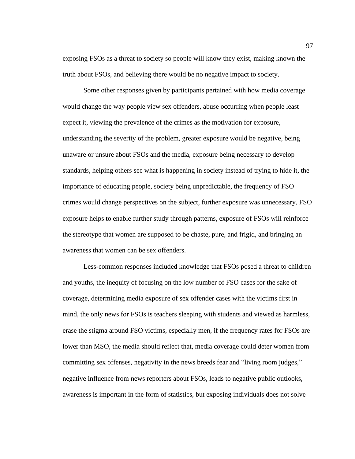exposing FSOs as a threat to society so people will know they exist, making known the truth about FSOs, and believing there would be no negative impact to society.

Some other responses given by participants pertained with how media coverage would change the way people view sex offenders, abuse occurring when people least expect it, viewing the prevalence of the crimes as the motivation for exposure, understanding the severity of the problem, greater exposure would be negative, being unaware or unsure about FSOs and the media, exposure being necessary to develop standards, helping others see what is happening in society instead of trying to hide it, the importance of educating people, society being unpredictable, the frequency of FSO crimes would change perspectives on the subject, further exposure was unnecessary, FSO exposure helps to enable further study through patterns, exposure of FSOs will reinforce the stereotype that women are supposed to be chaste, pure, and frigid, and bringing an awareness that women can be sex offenders.

Less-common responses included knowledge that FSOs posed a threat to children and youths, the inequity of focusing on the low number of FSO cases for the sake of coverage, determining media exposure of sex offender cases with the victims first in mind, the only news for FSOs is teachers sleeping with students and viewed as harmless, erase the stigma around FSO victims, especially men, if the frequency rates for FSOs are lower than MSO, the media should reflect that, media coverage could deter women from committing sex offenses, negativity in the news breeds fear and "living room judges," negative influence from news reporters about FSOs, leads to negative public outlooks, awareness is important in the form of statistics, but exposing individuals does not solve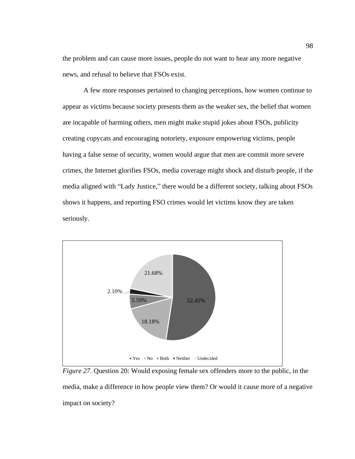the problem and can cause more issues, people do not want to hear any more negative news, and refusal to believe that FSOs exist.

A few more responses pertained to changing perceptions, how women continue to appear as victims because society presents them as the weaker sex, the belief that women are incapable of harming others, men might make stupid jokes about FSOs, publicity creating copycats and encouraging notoriety, exposure empowering victims, people having a false sense of security, women would argue that men are commit more severe crimes, the Internet glorifies FSOs, media coverage might shock and disturb people, if the media aligned with "Lady Justice," there would be a different society, talking about FSOs shows it happens, and reporting FSO crimes would let victims know they are taken seriously.



*Figure 27.* Question 20: Would exposing female sex offenders more to the public, in the media, make a difference in how people view them? Or would it cause more of a negative impact on society?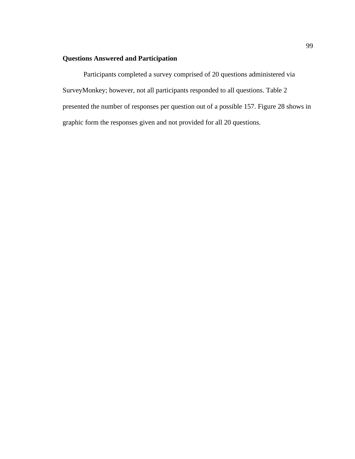# **Questions Answered and Participation**

Participants completed a survey comprised of 20 questions administered via SurveyMonkey; however, not all participants responded to all questions. Table 2 presented the number of responses per question out of a possible 157. Figure 28 shows in graphic form the responses given and not provided for all 20 questions.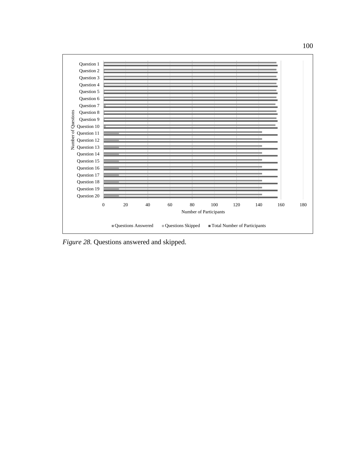

*Figure 28.* Questions answered and skipped.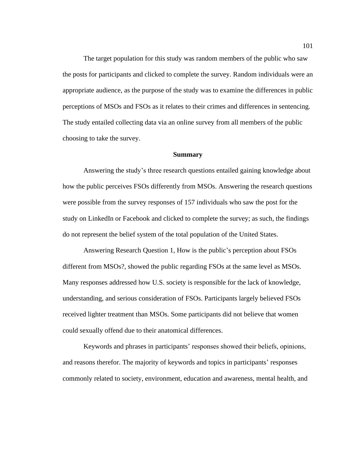The target population for this study was random members of the public who saw the posts for participants and clicked to complete the survey. Random individuals were an appropriate audience, as the purpose of the study was to examine the differences in public perceptions of MSOs and FSOs as it relates to their crimes and differences in sentencing. The study entailed collecting data via an online survey from all members of the public choosing to take the survey.

#### **Summary**

Answering the study's three research questions entailed gaining knowledge about how the public perceives FSOs differently from MSOs. Answering the research questions were possible from the survey responses of 157 individuals who saw the post for the study on LinkedIn or Facebook and clicked to complete the survey; as such, the findings do not represent the belief system of the total population of the United States.

Answering Research Question 1, How is the public's perception about FSOs different from MSOs?, showed the public regarding FSOs at the same level as MSOs. Many responses addressed how U.S. society is responsible for the lack of knowledge, understanding, and serious consideration of FSOs. Participants largely believed FSOs received lighter treatment than MSOs. Some participants did not believe that women could sexually offend due to their anatomical differences.

Keywords and phrases in participants' responses showed their beliefs, opinions, and reasons therefor. The majority of keywords and topics in participants' responses commonly related to society, environment, education and awareness, mental health, and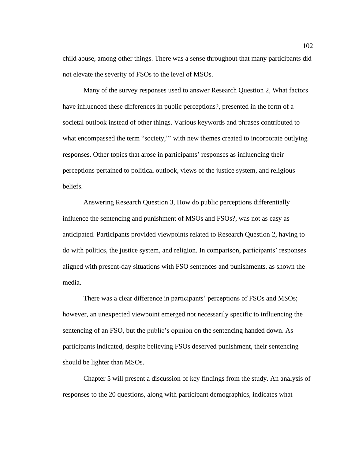child abuse, among other things. There was a sense throughout that many participants did not elevate the severity of FSOs to the level of MSOs.

Many of the survey responses used to answer Research Question 2, What factors have influenced these differences in public perceptions?, presented in the form of a societal outlook instead of other things. Various keywords and phrases contributed to what encompassed the term "society," with new themes created to incorporate outlying responses. Other topics that arose in participants' responses as influencing their perceptions pertained to political outlook, views of the justice system, and religious beliefs.

Answering Research Question 3, How do public perceptions differentially influence the sentencing and punishment of MSOs and FSOs?, was not as easy as anticipated. Participants provided viewpoints related to Research Question 2, having to do with politics, the justice system, and religion. In comparison, participants' responses aligned with present-day situations with FSO sentences and punishments, as shown the media.

There was a clear difference in participants' perceptions of FSOs and MSOs; however, an unexpected viewpoint emerged not necessarily specific to influencing the sentencing of an FSO, but the public's opinion on the sentencing handed down. As participants indicated, despite believing FSOs deserved punishment, their sentencing should be lighter than MSOs.

Chapter 5 will present a discussion of key findings from the study. An analysis of responses to the 20 questions, along with participant demographics, indicates what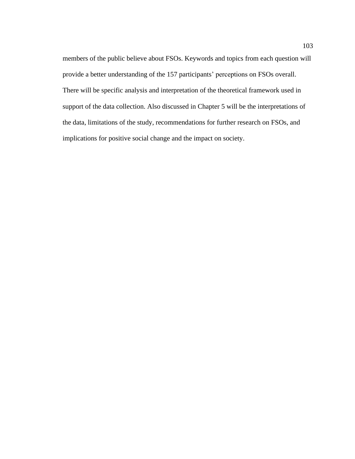members of the public believe about FSOs. Keywords and topics from each question will provide a better understanding of the 157 participants' perceptions on FSOs overall. There will be specific analysis and interpretation of the theoretical framework used in support of the data collection. Also discussed in Chapter 5 will be the interpretations of the data, limitations of the study, recommendations for further research on FSOs, and implications for positive social change and the impact on society.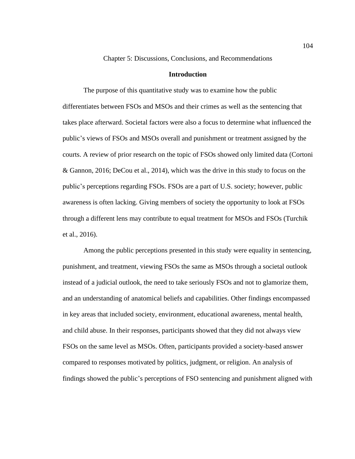Chapter 5: Discussions, Conclusions, and Recommendations

#### **Introduction**

The purpose of this quantitative study was to examine how the public differentiates between FSOs and MSOs and their crimes as well as the sentencing that takes place afterward. Societal factors were also a focus to determine what influenced the public's views of FSOs and MSOs overall and punishment or treatment assigned by the courts. A review of prior research on the topic of FSOs showed only limited data (Cortoni & Gannon, 2016; DeCou et al., 2014), which was the drive in this study to focus on the public's perceptions regarding FSOs. FSOs are a part of U.S. society; however, public awareness is often lacking. Giving members of society the opportunity to look at FSOs through a different lens may contribute to equal treatment for MSOs and FSOs (Turchik et al., 2016).

Among the public perceptions presented in this study were equality in sentencing, punishment, and treatment, viewing FSOs the same as MSOs through a societal outlook instead of a judicial outlook, the need to take seriously FSOs and not to glamorize them, and an understanding of anatomical beliefs and capabilities. Other findings encompassed in key areas that included society, environment, educational awareness, mental health, and child abuse. In their responses, participants showed that they did not always view FSOs on the same level as MSOs. Often, participants provided a society-based answer compared to responses motivated by politics, judgment, or religion. An analysis of findings showed the public's perceptions of FSO sentencing and punishment aligned with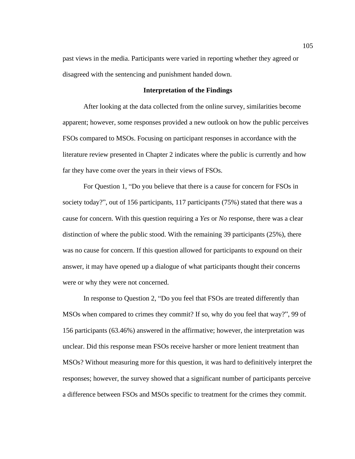past views in the media. Participants were varied in reporting whether they agreed or disagreed with the sentencing and punishment handed down.

## **Interpretation of the Findings**

After looking at the data collected from the online survey, similarities become apparent; however, some responses provided a new outlook on how the public perceives FSOs compared to MSOs. Focusing on participant responses in accordance with the literature review presented in Chapter 2 indicates where the public is currently and how far they have come over the years in their views of FSOs.

For Question 1, "Do you believe that there is a cause for concern for FSOs in society today?", out of 156 participants, 117 participants (75%) stated that there was a cause for concern. With this question requiring a *Yes* or *No* response, there was a clear distinction of where the public stood. With the remaining 39 participants (25%), there was no cause for concern. If this question allowed for participants to expound on their answer, it may have opened up a dialogue of what participants thought their concerns were or why they were not concerned.

In response to Question 2, "Do you feel that FSOs are treated differently than MSOs when compared to crimes they commit? If so, why do you feel that way?", 99 of 156 participants (63.46%) answered in the affirmative; however, the interpretation was unclear. Did this response mean FSOs receive harsher or more lenient treatment than MSOs? Without measuring more for this question, it was hard to definitively interpret the responses; however, the survey showed that a significant number of participants perceive a difference between FSOs and MSOs specific to treatment for the crimes they commit.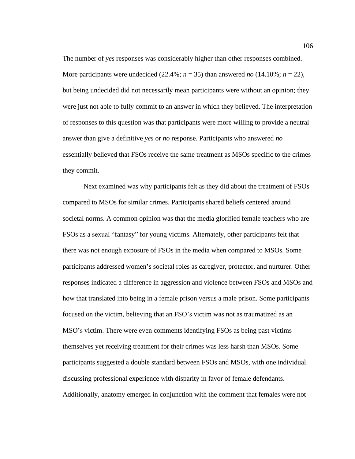The number of *yes* responses was considerably higher than other responses combined. More participants were undecided  $(22.4\%; n = 35)$  than answered *no*  $(14.10\%; n = 22)$ , but being undecided did not necessarily mean participants were without an opinion; they were just not able to fully commit to an answer in which they believed. The interpretation of responses to this question was that participants were more willing to provide a neutral answer than give a definitive *yes* or *no* response. Participants who answered *no* essentially believed that FSOs receive the same treatment as MSOs specific to the crimes they commit.

Next examined was why participants felt as they did about the treatment of FSOs compared to MSOs for similar crimes. Participants shared beliefs centered around societal norms. A common opinion was that the media glorified female teachers who are FSOs as a sexual "fantasy" for young victims. Alternately, other participants felt that there was not enough exposure of FSOs in the media when compared to MSOs. Some participants addressed women's societal roles as caregiver, protector, and nurturer. Other responses indicated a difference in aggression and violence between FSOs and MSOs and how that translated into being in a female prison versus a male prison. Some participants focused on the victim, believing that an FSO's victim was not as traumatized as an MSO's victim. There were even comments identifying FSOs as being past victims themselves yet receiving treatment for their crimes was less harsh than MSOs. Some participants suggested a double standard between FSOs and MSOs, with one individual discussing professional experience with disparity in favor of female defendants. Additionally, anatomy emerged in conjunction with the comment that females were not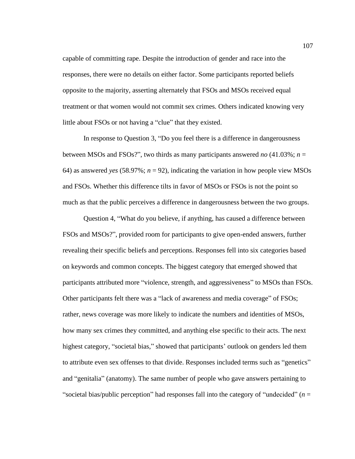capable of committing rape. Despite the introduction of gender and race into the responses, there were no details on either factor. Some participants reported beliefs opposite to the majority, asserting alternately that FSOs and MSOs received equal treatment or that women would not commit sex crimes. Others indicated knowing very little about FSOs or not having a "clue" that they existed.

In response to Question 3, "Do you feel there is a difference in dangerousness between MSOs and FSOs?", two thirds as many participants answered *no* (41.03%; *n* = 64) as answered *yes* (58.97%;  $n = 92$ ), indicating the variation in how people view MSOs and FSOs. Whether this difference tilts in favor of MSOs or FSOs is not the point so much as that the public perceives a difference in dangerousness between the two groups.

Question 4, "What do you believe, if anything, has caused a difference between FSOs and MSOs?", provided room for participants to give open-ended answers, further revealing their specific beliefs and perceptions. Responses fell into six categories based on keywords and common concepts. The biggest category that emerged showed that participants attributed more "violence, strength, and aggressiveness" to MSOs than FSOs. Other participants felt there was a "lack of awareness and media coverage" of FSOs; rather, news coverage was more likely to indicate the numbers and identities of MSOs, how many sex crimes they committed, and anything else specific to their acts. The next highest category, "societal bias," showed that participants' outlook on genders led them to attribute even sex offenses to that divide. Responses included terms such as "genetics" and "genitalia" (anatomy). The same number of people who gave answers pertaining to "societal bias/public perception" had responses fall into the category of "undecided" (*n* =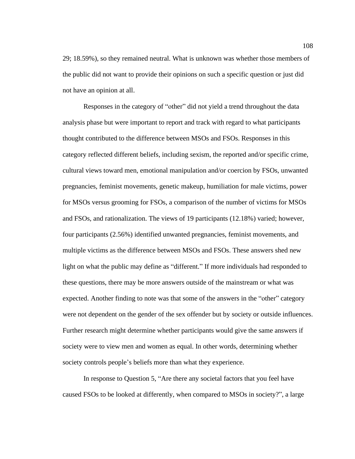29; 18.59%), so they remained neutral. What is unknown was whether those members of the public did not want to provide their opinions on such a specific question or just did not have an opinion at all.

Responses in the category of "other" did not yield a trend throughout the data analysis phase but were important to report and track with regard to what participants thought contributed to the difference between MSOs and FSOs. Responses in this category reflected different beliefs, including sexism, the reported and/or specific crime, cultural views toward men, emotional manipulation and/or coercion by FSOs, unwanted pregnancies, feminist movements, genetic makeup, humiliation for male victims, power for MSOs versus grooming for FSOs, a comparison of the number of victims for MSOs and FSOs, and rationalization. The views of 19 participants (12.18%) varied; however, four participants (2.56%) identified unwanted pregnancies, feminist movements, and multiple victims as the difference between MSOs and FSOs. These answers shed new light on what the public may define as "different." If more individuals had responded to these questions, there may be more answers outside of the mainstream or what was expected. Another finding to note was that some of the answers in the "other" category were not dependent on the gender of the sex offender but by society or outside influences. Further research might determine whether participants would give the same answers if society were to view men and women as equal. In other words, determining whether society controls people's beliefs more than what they experience.

In response to Question 5, "Are there any societal factors that you feel have caused FSOs to be looked at differently, when compared to MSOs in society?", a large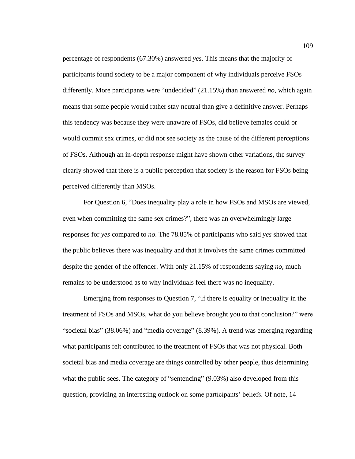percentage of respondents (67.30%) answered *yes*. This means that the majority of participants found society to be a major component of why individuals perceive FSOs differently. More participants were "undecided" (21.15%) than answered *no*, which again means that some people would rather stay neutral than give a definitive answer. Perhaps this tendency was because they were unaware of FSOs, did believe females could or would commit sex crimes, or did not see society as the cause of the different perceptions of FSOs. Although an in-depth response might have shown other variations, the survey clearly showed that there is a public perception that society is the reason for FSOs being perceived differently than MSOs.

For Question 6, "Does inequality play a role in how FSOs and MSOs are viewed, even when committing the same sex crimes?", there was an overwhelmingly large responses for *yes* compared to *no*. The 78.85% of participants who said *yes* showed that the public believes there was inequality and that it involves the same crimes committed despite the gender of the offender. With only 21.15% of respondents saying *no*, much remains to be understood as to why individuals feel there was no inequality.

Emerging from responses to Question 7, "If there is equality or inequality in the treatment of FSOs and MSOs, what do you believe brought you to that conclusion?" were "societal bias" (38.06%) and "media coverage" (8.39%). A trend was emerging regarding what participants felt contributed to the treatment of FSOs that was not physical. Both societal bias and media coverage are things controlled by other people, thus determining what the public sees. The category of "sentencing" (9.03%) also developed from this question, providing an interesting outlook on some participants' beliefs. Of note, 14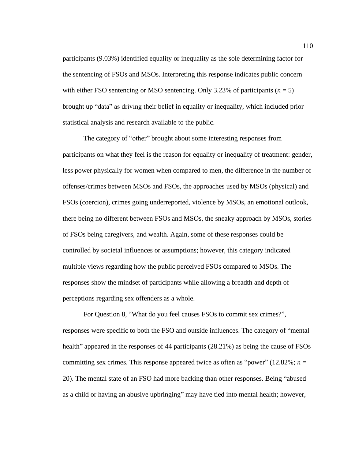participants (9.03%) identified equality or inequality as the sole determining factor for the sentencing of FSOs and MSOs. Interpreting this response indicates public concern with either FSO sentencing or MSO sentencing. Only 3.23% of participants  $(n = 5)$ brought up "data" as driving their belief in equality or inequality, which included prior statistical analysis and research available to the public.

The category of "other" brought about some interesting responses from participants on what they feel is the reason for equality or inequality of treatment: gender, less power physically for women when compared to men, the difference in the number of offenses/crimes between MSOs and FSOs, the approaches used by MSOs (physical) and FSOs (coercion), crimes going underreported, violence by MSOs, an emotional outlook, there being no different between FSOs and MSOs, the sneaky approach by MSOs, stories of FSOs being caregivers, and wealth. Again, some of these responses could be controlled by societal influences or assumptions; however, this category indicated multiple views regarding how the public perceived FSOs compared to MSOs. The responses show the mindset of participants while allowing a breadth and depth of perceptions regarding sex offenders as a whole.

For Question 8, "What do you feel causes FSOs to commit sex crimes?", responses were specific to both the FSO and outside influences. The category of "mental health" appeared in the responses of 44 participants (28.21%) as being the cause of FSOs committing sex crimes. This response appeared twice as often as "power"  $(12.82\%; n =$ 20). The mental state of an FSO had more backing than other responses. Being "abused as a child or having an abusive upbringing" may have tied into mental health; however,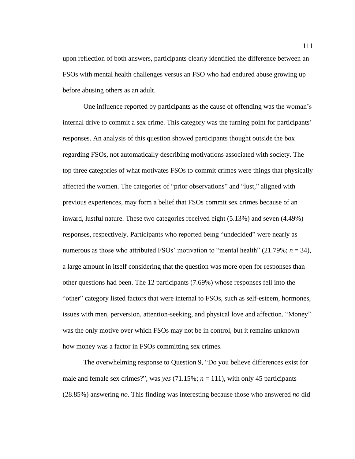upon reflection of both answers, participants clearly identified the difference between an FSOs with mental health challenges versus an FSO who had endured abuse growing up before abusing others as an adult.

One influence reported by participants as the cause of offending was the woman's internal drive to commit a sex crime. This category was the turning point for participants' responses. An analysis of this question showed participants thought outside the box regarding FSOs, not automatically describing motivations associated with society. The top three categories of what motivates FSOs to commit crimes were things that physically affected the women. The categories of "prior observations" and "lust," aligned with previous experiences, may form a belief that FSOs commit sex crimes because of an inward, lustful nature. These two categories received eight (5.13%) and seven (4.49%) responses, respectively. Participants who reported being "undecided" were nearly as numerous as those who attributed FSOs' motivation to "mental health"  $(21.79\%; n = 34)$ , a large amount in itself considering that the question was more open for responses than other questions had been. The 12 participants (7.69%) whose responses fell into the "other" category listed factors that were internal to FSOs, such as self-esteem, hormones, issues with men, perversion, attention-seeking, and physical love and affection. "Money" was the only motive over which FSOs may not be in control, but it remains unknown how money was a factor in FSOs committing sex crimes.

The overwhelming response to Question 9, "Do you believe differences exist for male and female sex crimes?", was *yes*  $(71.15\%; n = 111)$ , with only 45 participants (28.85%) answering *no*. This finding was interesting because those who answered *no* did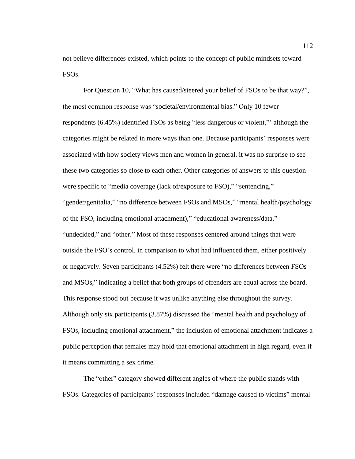not believe differences existed, which points to the concept of public mindsets toward FSOs.

For Question 10, "What has caused/steered your belief of FSOs to be that way?", the most common response was "societal/environmental bias." Only 10 fewer respondents (6.45%) identified FSOs as being "less dangerous or violent,"' although the categories might be related in more ways than one. Because participants' responses were associated with how society views men and women in general, it was no surprise to see these two categories so close to each other. Other categories of answers to this question were specific to "media coverage (lack of/exposure to FSO)," "sentencing," "gender/genitalia," "no difference between FSOs and MSOs," "mental health/psychology of the FSO, including emotional attachment)," "educational awareness/data," "undecided," and "other." Most of these responses centered around things that were outside the FSO's control, in comparison to what had influenced them, either positively or negatively. Seven participants (4.52%) felt there were "no differences between FSOs and MSOs," indicating a belief that both groups of offenders are equal across the board. This response stood out because it was unlike anything else throughout the survey. Although only six participants (3.87%) discussed the "mental health and psychology of FSOs, including emotional attachment," the inclusion of emotional attachment indicates a public perception that females may hold that emotional attachment in high regard, even if it means committing a sex crime.

The "other" category showed different angles of where the public stands with FSOs. Categories of participants' responses included "damage caused to victims" mental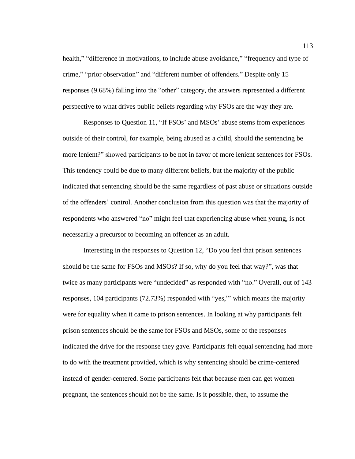health," "difference in motivations, to include abuse avoidance," "frequency and type of crime," "prior observation" and "different number of offenders." Despite only 15 responses (9.68%) falling into the "other" category, the answers represented a different perspective to what drives public beliefs regarding why FSOs are the way they are.

Responses to Question 11, "If FSOs' and MSOs' abuse stems from experiences outside of their control, for example, being abused as a child, should the sentencing be more lenient?" showed participants to be not in favor of more lenient sentences for FSOs. This tendency could be due to many different beliefs, but the majority of the public indicated that sentencing should be the same regardless of past abuse or situations outside of the offenders' control. Another conclusion from this question was that the majority of respondents who answered "no" might feel that experiencing abuse when young, is not necessarily a precursor to becoming an offender as an adult.

Interesting in the responses to Question 12, "Do you feel that prison sentences should be the same for FSOs and MSOs? If so, why do you feel that way?", was that twice as many participants were "undecided" as responded with "no." Overall, out of 143 responses, 104 participants (72.73%) responded with "yes,"' which means the majority were for equality when it came to prison sentences. In looking at why participants felt prison sentences should be the same for FSOs and MSOs, some of the responses indicated the drive for the response they gave. Participants felt equal sentencing had more to do with the treatment provided, which is why sentencing should be crime-centered instead of gender-centered. Some participants felt that because men can get women pregnant, the sentences should not be the same. Is it possible, then, to assume the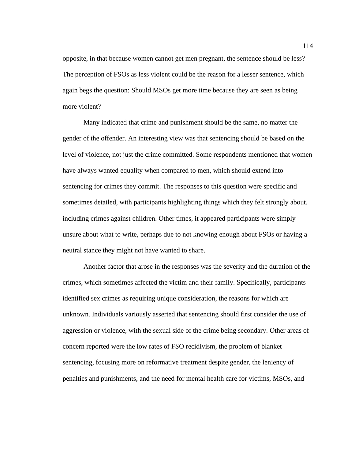opposite, in that because women cannot get men pregnant, the sentence should be less? The perception of FSOs as less violent could be the reason for a lesser sentence, which again begs the question: Should MSOs get more time because they are seen as being more violent?

Many indicated that crime and punishment should be the same, no matter the gender of the offender. An interesting view was that sentencing should be based on the level of violence, not just the crime committed. Some respondents mentioned that women have always wanted equality when compared to men, which should extend into sentencing for crimes they commit. The responses to this question were specific and sometimes detailed, with participants highlighting things which they felt strongly about, including crimes against children. Other times, it appeared participants were simply unsure about what to write, perhaps due to not knowing enough about FSOs or having a neutral stance they might not have wanted to share.

Another factor that arose in the responses was the severity and the duration of the crimes, which sometimes affected the victim and their family. Specifically, participants identified sex crimes as requiring unique consideration, the reasons for which are unknown. Individuals variously asserted that sentencing should first consider the use of aggression or violence, with the sexual side of the crime being secondary. Other areas of concern reported were the low rates of FSO recidivism, the problem of blanket sentencing, focusing more on reformative treatment despite gender, the leniency of penalties and punishments, and the need for mental health care for victims, MSOs, and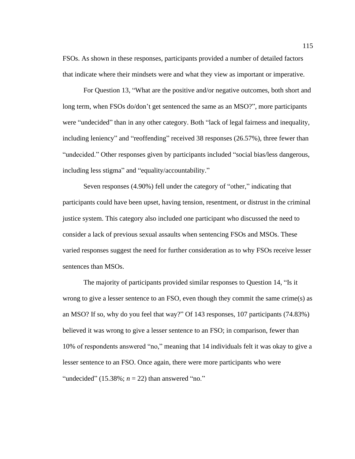FSOs. As shown in these responses, participants provided a number of detailed factors that indicate where their mindsets were and what they view as important or imperative.

For Question 13, "What are the positive and/or negative outcomes, both short and long term, when FSOs do/don't get sentenced the same as an MSO?", more participants were "undecided" than in any other category. Both "lack of legal fairness and inequality, including leniency" and "reoffending" received 38 responses (26.57%), three fewer than "undecided." Other responses given by participants included "social bias/less dangerous, including less stigma" and "equality/accountability."

Seven responses (4.90%) fell under the category of "other," indicating that participants could have been upset, having tension, resentment, or distrust in the criminal justice system. This category also included one participant who discussed the need to consider a lack of previous sexual assaults when sentencing FSOs and MSOs. These varied responses suggest the need for further consideration as to why FSOs receive lesser sentences than MSOs.

The majority of participants provided similar responses to Question 14, "Is it wrong to give a lesser sentence to an FSO, even though they commit the same crime(s) as an MSO? If so, why do you feel that way?" Of 143 responses, 107 participants (74.83%) believed it was wrong to give a lesser sentence to an FSO; in comparison, fewer than 10% of respondents answered "no," meaning that 14 individuals felt it was okay to give a lesser sentence to an FSO. Once again, there were more participants who were "undecided"  $(15.38\%; n = 22)$  than answered "no."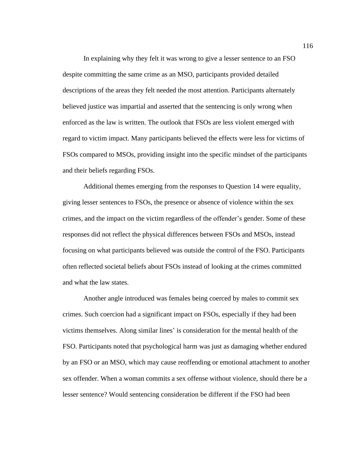In explaining why they felt it was wrong to give a lesser sentence to an FSO despite committing the same crime as an MSO, participants provided detailed descriptions of the areas they felt needed the most attention. Participants alternately believed justice was impartial and asserted that the sentencing is only wrong when enforced as the law is written. The outlook that FSOs are less violent emerged with regard to victim impact. Many participants believed the effects were less for victims of FSOs compared to MSOs, providing insight into the specific mindset of the participants and their beliefs regarding FSOs.

Additional themes emerging from the responses to Question 14 were equality, giving lesser sentences to FSOs, the presence or absence of violence within the sex crimes, and the impact on the victim regardless of the offender's gender. Some of these responses did not reflect the physical differences between FSOs and MSOs, instead focusing on what participants believed was outside the control of the FSO. Participants often reflected societal beliefs about FSOs instead of looking at the crimes committed and what the law states.

Another angle introduced was females being coerced by males to commit sex crimes. Such coercion had a significant impact on FSOs, especially if they had been victims themselves. Along similar lines' is consideration for the mental health of the FSO. Participants noted that psychological harm was just as damaging whether endured by an FSO or an MSO, which may cause reoffending or emotional attachment to another sex offender. When a woman commits a sex offense without violence, should there be a lesser sentence? Would sentencing consideration be different if the FSO had been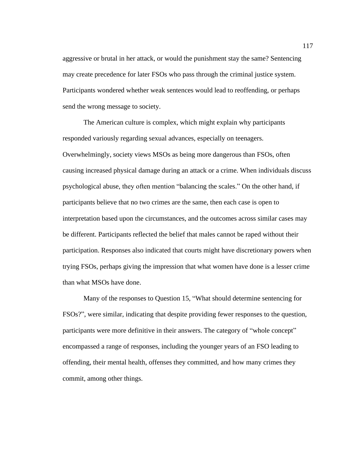aggressive or brutal in her attack, or would the punishment stay the same? Sentencing may create precedence for later FSOs who pass through the criminal justice system. Participants wondered whether weak sentences would lead to reoffending, or perhaps send the wrong message to society.

The American culture is complex, which might explain why participants responded variously regarding sexual advances, especially on teenagers. Overwhelmingly, society views MSOs as being more dangerous than FSOs, often causing increased physical damage during an attack or a crime. When individuals discuss psychological abuse, they often mention "balancing the scales." On the other hand, if participants believe that no two crimes are the same, then each case is open to interpretation based upon the circumstances, and the outcomes across similar cases may be different. Participants reflected the belief that males cannot be raped without their participation. Responses also indicated that courts might have discretionary powers when trying FSOs, perhaps giving the impression that what women have done is a lesser crime than what MSOs have done.

Many of the responses to Question 15, "What should determine sentencing for FSOs?", were similar, indicating that despite providing fewer responses to the question, participants were more definitive in their answers. The category of "whole concept" encompassed a range of responses, including the younger years of an FSO leading to offending, their mental health, offenses they committed, and how many crimes they commit, among other things.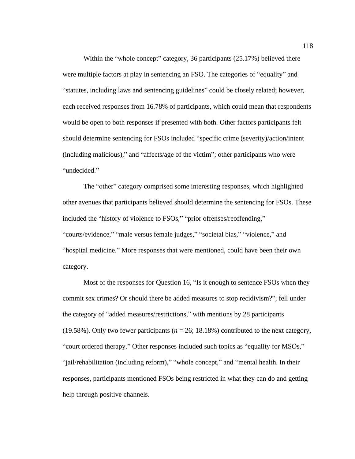Within the "whole concept" category, 36 participants (25.17%) believed there were multiple factors at play in sentencing an FSO. The categories of "equality" and "statutes, including laws and sentencing guidelines" could be closely related; however, each received responses from 16.78% of participants, which could mean that respondents would be open to both responses if presented with both. Other factors participants felt should determine sentencing for FSOs included "specific crime (severity)/action/intent (including malicious)," and "affects/age of the victim"; other participants who were "undecided."

The "other" category comprised some interesting responses, which highlighted other avenues that participants believed should determine the sentencing for FSOs. These included the "history of violence to FSOs," "prior offenses/reoffending," "courts/evidence," "male versus female judges," "societal bias," "violence," and "hospital medicine." More responses that were mentioned, could have been their own category.

Most of the responses for Question 16, "Is it enough to sentence FSOs when they commit sex crimes? Or should there be added measures to stop recidivism?", fell under the category of "added measures/restrictions," with mentions by 28 participants (19.58%). Only two fewer participants ( $n = 26$ ; 18.18%) contributed to the next category, "court ordered therapy." Other responses included such topics as "equality for MSOs," "jail/rehabilitation (including reform)," "whole concept," and "mental health. In their responses, participants mentioned FSOs being restricted in what they can do and getting help through positive channels.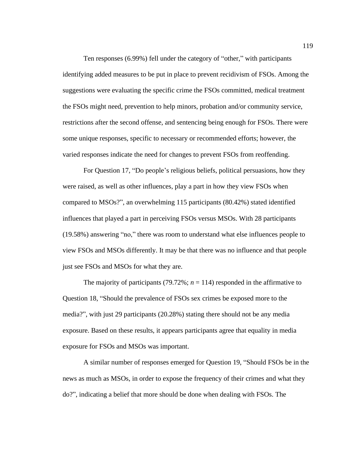Ten responses (6.99%) fell under the category of "other," with participants identifying added measures to be put in place to prevent recidivism of FSOs. Among the suggestions were evaluating the specific crime the FSOs committed, medical treatment the FSOs might need, prevention to help minors, probation and/or community service, restrictions after the second offense, and sentencing being enough for FSOs. There were some unique responses, specific to necessary or recommended efforts; however, the varied responses indicate the need for changes to prevent FSOs from reoffending.

For Question 17, "Do people's religious beliefs, political persuasions, how they were raised, as well as other influences, play a part in how they view FSOs when compared to MSOs?", an overwhelming 115 participants (80.42%) stated identified influences that played a part in perceiving FSOs versus MSOs. With 28 participants (19.58%) answering "no," there was room to understand what else influences people to view FSOs and MSOs differently. It may be that there was no influence and that people just see FSOs and MSOs for what they are.

The majority of participants (79.72%;  $n = 114$ ) responded in the affirmative to Question 18, "Should the prevalence of FSOs sex crimes be exposed more to the media?", with just 29 participants (20.28%) stating there should not be any media exposure. Based on these results, it appears participants agree that equality in media exposure for FSOs and MSOs was important.

A similar number of responses emerged for Question 19, "Should FSOs be in the news as much as MSOs, in order to expose the frequency of their crimes and what they do?", indicating a belief that more should be done when dealing with FSOs. The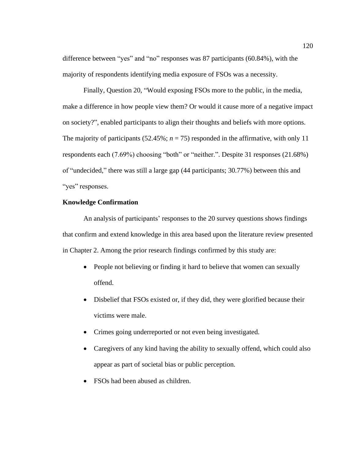difference between "yes" and "no" responses was 87 participants (60.84%), with the majority of respondents identifying media exposure of FSOs was a necessity.

Finally, Question 20, "Would exposing FSOs more to the public, in the media, make a difference in how people view them? Or would it cause more of a negative impact on society?", enabled participants to align their thoughts and beliefs with more options. The majority of participants  $(52.45\%; n = 75)$  responded in the affirmative, with only 11 respondents each (7.69%) choosing "both" or "neither.". Despite 31 responses (21.68%) of "undecided," there was still a large gap (44 participants; 30.77%) between this and "yes" responses.

## **Knowledge Confirmation**

An analysis of participants' responses to the 20 survey questions shows findings that confirm and extend knowledge in this area based upon the literature review presented in Chapter 2. Among the prior research findings confirmed by this study are:

- People not believing or finding it hard to believe that women can sexually offend.
- Disbelief that FSOs existed or, if they did, they were glorified because their victims were male.
- Crimes going underreported or not even being investigated.
- Caregivers of any kind having the ability to sexually offend, which could also appear as part of societal bias or public perception.
- FSOs had been abused as children.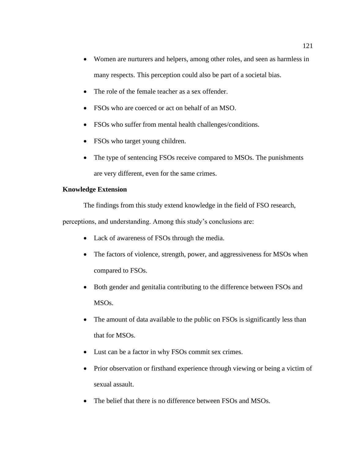- Women are nurturers and helpers, among other roles, and seen as harmless in many respects. This perception could also be part of a societal bias.
- The role of the female teacher as a sex offender.
- FSOs who are coerced or act on behalf of an MSO.
- FSOs who suffer from mental health challenges/conditions.
- FSOs who target young children.
- The type of sentencing FSOs receive compared to MSOs. The punishments are very different, even for the same crimes.

## **Knowledge Extension**

The findings from this study extend knowledge in the field of FSO research,

perceptions, and understanding. Among this study's conclusions are:

- Lack of awareness of FSOs through the media.
- The factors of violence, strength, power, and aggressiveness for MSOs when compared to FSOs.
- Both gender and genitalia contributing to the difference between FSOs and MSOs.
- The amount of data available to the public on FSOs is significantly less than that for MSOs.
- Lust can be a factor in why FSOs commit sex crimes.
- Prior observation or firsthand experience through viewing or being a victim of sexual assault.
- The belief that there is no difference between FSOs and MSOs.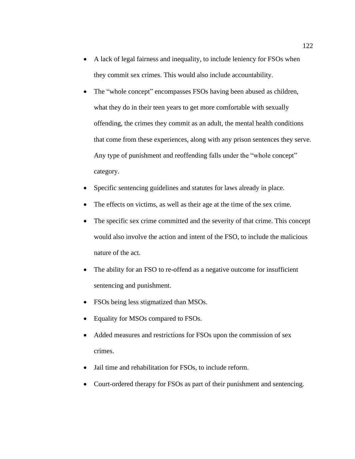- A lack of legal fairness and inequality, to include leniency for FSOs when they commit sex crimes. This would also include accountability.
- The "whole concept" encompasses FSOs having been abused as children, what they do in their teen years to get more comfortable with sexually offending, the crimes they commit as an adult, the mental health conditions that come from these experiences, along with any prison sentences they serve. Any type of punishment and reoffending falls under the "whole concept" category.
- Specific sentencing guidelines and statutes for laws already in place.
- The effects on victims, as well as their age at the time of the sex crime.
- The specific sex crime committed and the severity of that crime. This concept would also involve the action and intent of the FSO, to include the malicious nature of the act.
- The ability for an FSO to re-offend as a negative outcome for insufficient sentencing and punishment.
- FSOs being less stigmatized than MSOs.
- Equality for MSOs compared to FSOs.
- Added measures and restrictions for FSOs upon the commission of sex crimes.
- Jail time and rehabilitation for FSOs, to include reform.
- Court-ordered therapy for FSOs as part of their punishment and sentencing.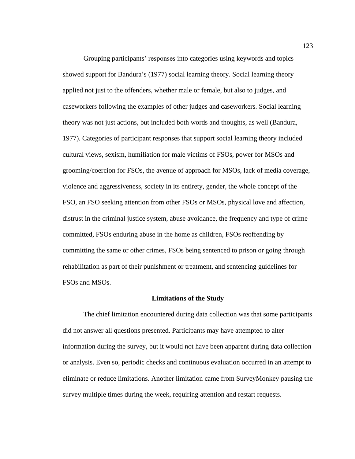Grouping participants' responses into categories using keywords and topics showed support for Bandura's (1977) social learning theory. Social learning theory applied not just to the offenders, whether male or female, but also to judges, and caseworkers following the examples of other judges and caseworkers. Social learning theory was not just actions, but included both words and thoughts, as well (Bandura, 1977). Categories of participant responses that support social learning theory included cultural views, sexism, humiliation for male victims of FSOs, power for MSOs and grooming/coercion for FSOs, the avenue of approach for MSOs, lack of media coverage, violence and aggressiveness, society in its entirety, gender, the whole concept of the FSO, an FSO seeking attention from other FSOs or MSOs, physical love and affection, distrust in the criminal justice system, abuse avoidance, the frequency and type of crime committed, FSOs enduring abuse in the home as children, FSOs reoffending by committing the same or other crimes, FSOs being sentenced to prison or going through rehabilitation as part of their punishment or treatment, and sentencing guidelines for FSOs and MSOs.

#### **Limitations of the Study**

The chief limitation encountered during data collection was that some participants did not answer all questions presented. Participants may have attempted to alter information during the survey, but it would not have been apparent during data collection or analysis. Even so, periodic checks and continuous evaluation occurred in an attempt to eliminate or reduce limitations. Another limitation came from SurveyMonkey pausing the survey multiple times during the week, requiring attention and restart requests.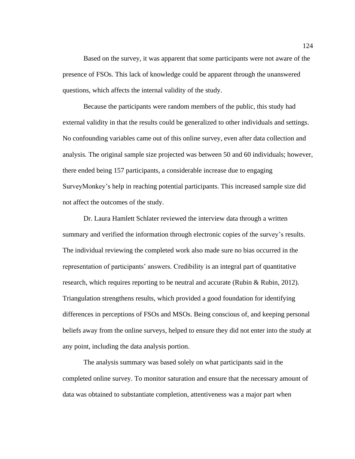Based on the survey, it was apparent that some participants were not aware of the presence of FSOs. This lack of knowledge could be apparent through the unanswered questions, which affects the internal validity of the study.

Because the participants were random members of the public, this study had external validity in that the results could be generalized to other individuals and settings. No confounding variables came out of this online survey, even after data collection and analysis. The original sample size projected was between 50 and 60 individuals; however, there ended being 157 participants, a considerable increase due to engaging SurveyMonkey's help in reaching potential participants. This increased sample size did not affect the outcomes of the study.

Dr. Laura Hamlett Schlater reviewed the interview data through a written summary and verified the information through electronic copies of the survey's results. The individual reviewing the completed work also made sure no bias occurred in the representation of participants' answers. Credibility is an integral part of quantitative research, which requires reporting to be neutral and accurate (Rubin & Rubin, 2012). Triangulation strengthens results, which provided a good foundation for identifying differences in perceptions of FSOs and MSOs. Being conscious of, and keeping personal beliefs away from the online surveys, helped to ensure they did not enter into the study at any point, including the data analysis portion.

The analysis summary was based solely on what participants said in the completed online survey. To monitor saturation and ensure that the necessary amount of data was obtained to substantiate completion, attentiveness was a major part when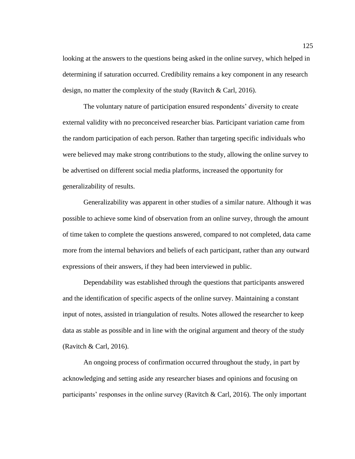looking at the answers to the questions being asked in the online survey, which helped in determining if saturation occurred. Credibility remains a key component in any research design, no matter the complexity of the study (Ravitch & Carl, 2016).

The voluntary nature of participation ensured respondents' diversity to create external validity with no preconceived researcher bias. Participant variation came from the random participation of each person. Rather than targeting specific individuals who were believed may make strong contributions to the study, allowing the online survey to be advertised on different social media platforms, increased the opportunity for generalizability of results.

Generalizability was apparent in other studies of a similar nature. Although it was possible to achieve some kind of observation from an online survey, through the amount of time taken to complete the questions answered, compared to not completed, data came more from the internal behaviors and beliefs of each participant, rather than any outward expressions of their answers, if they had been interviewed in public.

Dependability was established through the questions that participants answered and the identification of specific aspects of the online survey. Maintaining a constant input of notes, assisted in triangulation of results. Notes allowed the researcher to keep data as stable as possible and in line with the original argument and theory of the study (Ravitch  $& Carl, 2016$ ).

An ongoing process of confirmation occurred throughout the study, in part by acknowledging and setting aside any researcher biases and opinions and focusing on participants' responses in the online survey (Ravitch & Carl, 2016). The only important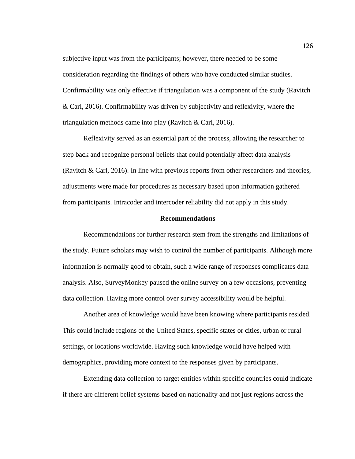subjective input was from the participants; however, there needed to be some consideration regarding the findings of others who have conducted similar studies. Confirmability was only effective if triangulation was a component of the study (Ravitch & Carl, 2016). Confirmability was driven by subjectivity and reflexivity, where the triangulation methods came into play (Ravitch & Carl, 2016).

Reflexivity served as an essential part of the process, allowing the researcher to step back and recognize personal beliefs that could potentially affect data analysis (Ravitch & Carl, 2016). In line with previous reports from other researchers and theories, adjustments were made for procedures as necessary based upon information gathered from participants. Intracoder and intercoder reliability did not apply in this study.

#### **Recommendations**

Recommendations for further research stem from the strengths and limitations of the study. Future scholars may wish to control the number of participants. Although more information is normally good to obtain, such a wide range of responses complicates data analysis. Also, SurveyMonkey paused the online survey on a few occasions, preventing data collection. Having more control over survey accessibility would be helpful.

Another area of knowledge would have been knowing where participants resided. This could include regions of the United States, specific states or cities, urban or rural settings, or locations worldwide. Having such knowledge would have helped with demographics, providing more context to the responses given by participants.

Extending data collection to target entities within specific countries could indicate if there are different belief systems based on nationality and not just regions across the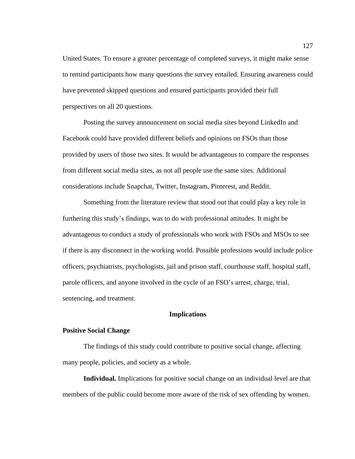United States. To ensure a greater percentage of completed surveys, it might make sense to remind participants how many questions the survey entailed. Ensuring awareness could have prevented skipped questions and ensured participants provided their full perspectives on all 20 questions.

Posting the survey announcement on social media sites beyond LinkedIn and Facebook could have provided different beliefs and opinions on FSOs than those provided by users of those two sites. It would be advantageous to compare the responses from different social media sites, as not all people use the same sites. Additional considerations include Snapchat, Twitter, Instagram, Pinterest, and Reddit.

Something from the literature review that stood out that could play a key role in furthering this study's findings, was to do with professional attitudes. It might be advantageous to conduct a study of professionals who work with FSOs and MSOs to see if there is any disconnect in the working world. Possible professions would include police officers, psychiatrists, psychologists, jail and prison staff, courthouse staff, hospital staff, parole officers, and anyone involved in the cycle of an FSO's arrest, charge, trial, sentencing, and treatment.

## **Implications**

#### **Positive Social Change**

The findings of this study could contribute to positive social change, affecting many people, policies, and society as a whole.

**Individual.** Implications for positive social change on an individual level are that members of the public could become more aware of the risk of sex offending by women.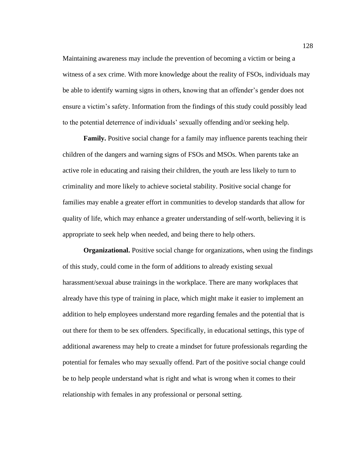Maintaining awareness may include the prevention of becoming a victim or being a witness of a sex crime. With more knowledge about the reality of FSOs, individuals may be able to identify warning signs in others, knowing that an offender's gender does not ensure a victim's safety. Information from the findings of this study could possibly lead to the potential deterrence of individuals' sexually offending and/or seeking help.

**Family.** Positive social change for a family may influence parents teaching their children of the dangers and warning signs of FSOs and MSOs. When parents take an active role in educating and raising their children, the youth are less likely to turn to criminality and more likely to achieve societal stability. Positive social change for families may enable a greater effort in communities to develop standards that allow for quality of life, which may enhance a greater understanding of self-worth, believing it is appropriate to seek help when needed, and being there to help others.

**Organizational.** Positive social change for organizations, when using the findings of this study, could come in the form of additions to already existing sexual harassment/sexual abuse trainings in the workplace. There are many workplaces that already have this type of training in place, which might make it easier to implement an addition to help employees understand more regarding females and the potential that is out there for them to be sex offenders. Specifically, in educational settings, this type of additional awareness may help to create a mindset for future professionals regarding the potential for females who may sexually offend. Part of the positive social change could be to help people understand what is right and what is wrong when it comes to their relationship with females in any professional or personal setting.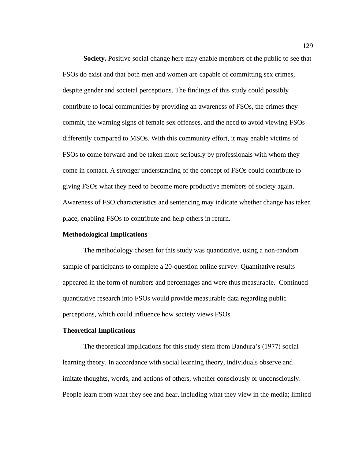**Society.** Positive social change here may enable members of the public to see that FSOs do exist and that both men and women are capable of committing sex crimes, despite gender and societal perceptions. The findings of this study could possibly contribute to local communities by providing an awareness of FSOs, the crimes they commit, the warning signs of female sex offenses, and the need to avoid viewing FSOs differently compared to MSOs. With this community effort, it may enable victims of FSOs to come forward and be taken more seriously by professionals with whom they come in contact. A stronger understanding of the concept of FSOs could contribute to giving FSOs what they need to become more productive members of society again. Awareness of FSO characteristics and sentencing may indicate whether change has taken place, enabling FSOs to contribute and help others in return.

#### **Methodological Implications**

The methodology chosen for this study was quantitative, using a non-random sample of participants to complete a 20-question online survey. Quantitative results appeared in the form of numbers and percentages and were thus measurable. Continued quantitative research into FSOs would provide measurable data regarding public perceptions, which could influence how society views FSOs.

#### **Theoretical Implications**

The theoretical implications for this study stem from Bandura's (1977) social learning theory. In accordance with social learning theory, individuals observe and imitate thoughts, words, and actions of others, whether consciously or unconsciously. People learn from what they see and hear, including what they view in the media; limited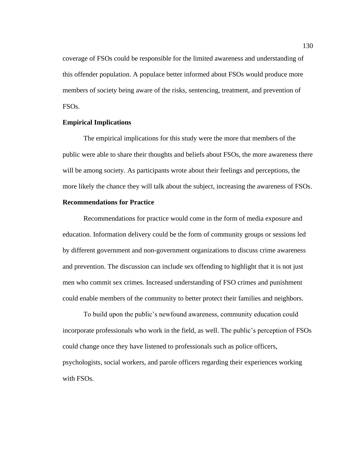coverage of FSOs could be responsible for the limited awareness and understanding of this offender population. A populace better informed about FSOs would produce more members of society being aware of the risks, sentencing, treatment, and prevention of FSOs.

#### **Empirical Implications**

The empirical implications for this study were the more that members of the public were able to share their thoughts and beliefs about FSOs, the more awareness there will be among society. As participants wrote about their feelings and perceptions, the more likely the chance they will talk about the subject, increasing the awareness of FSOs.

# **Recommendations for Practice**

Recommendations for practice would come in the form of media exposure and education. Information delivery could be the form of community groups or sessions led by different government and non-government organizations to discuss crime awareness and prevention. The discussion can include sex offending to highlight that it is not just men who commit sex crimes. Increased understanding of FSO crimes and punishment could enable members of the community to better protect their families and neighbors.

To build upon the public's newfound awareness, community education could incorporate professionals who work in the field, as well. The public's perception of FSOs could change once they have listened to professionals such as police officers, psychologists, social workers, and parole officers regarding their experiences working with FSOs.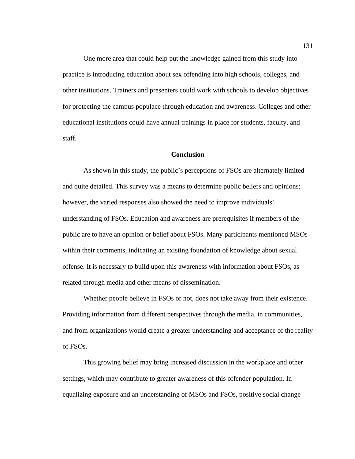One more area that could help put the knowledge gained from this study into practice is introducing education about sex offending into high schools, colleges, and other institutions. Trainers and presenters could work with schools to develop objectives for protecting the campus populace through education and awareness. Colleges and other educational institutions could have annual trainings in place for students, faculty, and staff.

### **Conclusion**

As shown in this study, the public's perceptions of FSOs are alternately limited and quite detailed. This survey was a means to determine public beliefs and opinions; however, the varied responses also showed the need to improve individuals' understanding of FSOs. Education and awareness are prerequisites if members of the public are to have an opinion or belief about FSOs. Many participants mentioned MSOs within their comments, indicating an existing foundation of knowledge about sexual offense. It is necessary to build upon this awareness with information about FSOs, as related through media and other means of dissemination.

Whether people believe in FSOs or not, does not take away from their existence. Providing information from different perspectives through the media, in communities, and from organizations would create a greater understanding and acceptance of the reality of FSOs.

This growing belief may bring increased discussion in the workplace and other settings, which may contribute to greater awareness of this offender population. In equalizing exposure and an understanding of MSOs and FSOs, positive social change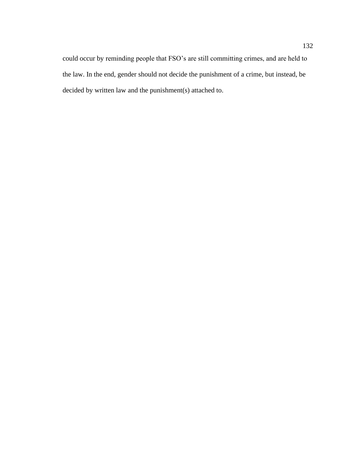could occur by reminding people that FSO's are still committing crimes, and are held to the law. In the end, gender should not decide the punishment of a crime, but instead, be decided by written law and the punishment(s) attached to.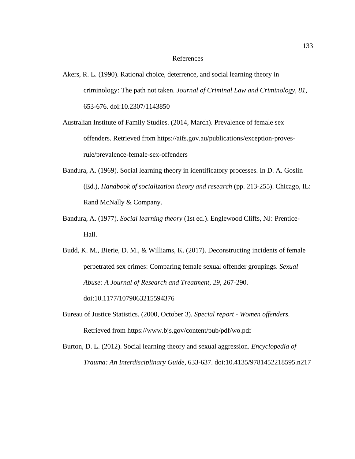### References

Akers, R. L. (1990). Rational choice, deterrence, and social learning theory in criminology: The path not taken. *Journal of Criminal Law and Criminology, 81*, 653-676. doi:10.2307/1143850

Australian Institute of Family Studies. (2014, March). Prevalence of female sex offenders. Retrieved from https://aifs.gov.au/publications/exception-provesrule/prevalence-female-sex-offenders

- Bandura, A. (1969). Social learning theory in identificatory processes. In D. A. Goslin (Ed.), *Handbook of socialization theory and research* (pp. 213-255). Chicago, IL: Rand McNally & Company.
- Bandura, A. (1977). *Social learning theory* (1st ed.). Englewood Cliffs, NJ: Prentice-Hall.
- Budd, K. M., Bierie, D. M., & Williams, K. (2017). Deconstructing incidents of female perpetrated sex crimes: Comparing female sexual offender groupings. *Sexual Abuse: A Journal of Research and Treatment*, *29*, 267-290. doi:10.1177/1079063215594376
- Bureau of Justice Statistics. (2000, October 3). *Special report - Women offenders.* Retrieved from<https://www.bjs.gov/content/pub/pdf/wo.pdf>
- Burton, D. L. (2012). Social learning theory and sexual aggression. *Encyclopedia of Trauma: An Interdisciplinary Guide*, 633-637. doi:10.4135/9781452218595.n217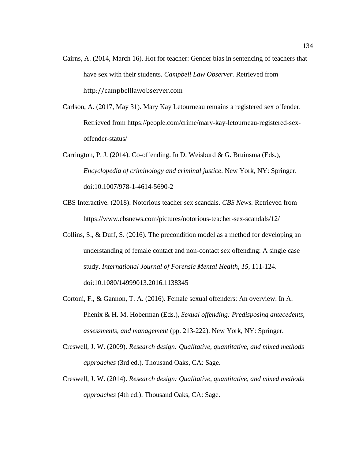- Cairns, A. (2014, March 16). Hot for teacher: Gender bias in sentencing of teachers that have sex with their students. *Campbell Law Observer.* Retrieved from http://campbelllawobserver.com
- Carlson, A. (2017, May 31). Mary Kay Letourneau remains a registered sex offender. Retrieved from https://people.com/crime/mary-kay-letourneau-registered-sexoffender-status/
- Carrington, P. J. (2014). Co-offending. In D. Weisburd & G. Bruinsma (Eds.), *Encyclopedia of criminology and criminal justice*. New York, NY: Springer. doi:10.1007/978-1-4614-5690-2
- CBS Interactive. (2018). Notorious teacher sex scandals. *CBS News.* Retrieved from https://www.cbsnews.com/pictures/notorious-teacher-sex-scandals/12/
- Collins, S., & Duff, S. (2016). The precondition model as a method for developing an understanding of female contact and non-contact sex offending: A single case study. *International Journal of Forensic Mental Health*, *15*, 111-124. doi:10.1080/14999013.2016.1138345
- Cortoni, F., & Gannon, T. A. (2016). Female sexual offenders: An overview. In A. Phenix & H. M. Hoberman (Eds.), *Sexual offending: Predisposing antecedents, assessments, and management* (pp. 213-222). New York, NY: Springer.
- Creswell, J. W. (2009). *Research design: Qualitative, quantitative, and mixed methods approaches* (3rd ed.). Thousand Oaks, CA: Sage.
- Creswell, J. W. (2014). *Research design: Qualitative, quantitative, and mixed methods approaches* (4th ed.). Thousand Oaks, CA: Sage.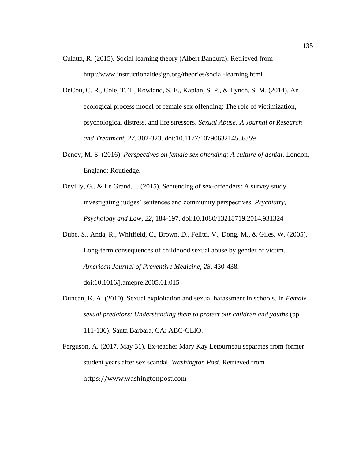- Culatta, R. (2015). Social learning theory (Albert Bandura). Retrieved from http://www.instructionaldesign.org/theories/social-learning.html
- DeCou, C. R., Cole, T. T., Rowland, S. E., Kaplan, S. P., & Lynch, S. M. (2014). An ecological process model of female sex offending: The role of victimization, psychological distress, and life stressors. *Sexual Abuse: A Journal of Research and Treatment, 27*, 302-323. doi:10.1177/1079063214556359
- Denov, M. S. (2016). *Perspectives on female sex offending: A culture of denial*. London, England: Routledge.
- Devilly, G., & Le Grand, J. (2015). Sentencing of sex-offenders: A survey study investigating judges' sentences and community perspectives. *Psychiatry, Psychology and Law, 22*, 184-197. doi:10.1080/13218719.2014.931324
- Dube, S., Anda, R., Whitfield, C., Brown, D., Felitti, V., Dong, M., & Giles, W. (2005). Long-term consequences of childhood sexual abuse by gender of victim. *American Journal of Preventive Medicine, 28*, 430-438. doi:10.1016/j.amepre.2005.01.015
- Duncan, K. A. (2010). Sexual exploitation and sexual harassment in schools. In *Female sexual predators: Understanding them to protect our children and youths* (pp. 111-136). Santa Barbara, CA: ABC-CLIO.
- Ferguson, A. (2017, May 31). Ex-teacher Mary Kay Letourneau separates from former student years after sex scandal. *Washington Post*. Retrieved from https://www.washingtonpost.com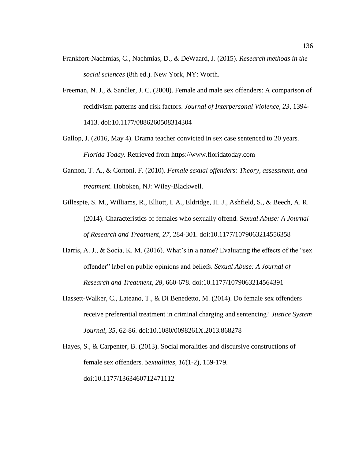- Frankfort-Nachmias, C., Nachmias, D., & DeWaard, J. (2015). *Research methods in the social sciences* (8th ed.). New York, NY: Worth.
- Freeman, N. J., & Sandler, J. C. (2008). Female and male sex offenders: A comparison of recidivism patterns and risk factors. *Journal of Interpersonal Violence, 23*, 1394- 1413. doi:10.1177/0886260508314304
- Gallop, J. (2016, May 4). Drama teacher convicted in sex case sentenced to 20 years. *Florida Today.* Retrieved from https://www.floridatoday.com
- Gannon, T. A., & Cortoni, F. (2010). *Female sexual offenders: Theory, assessment, and treatment*. Hoboken, NJ: Wiley-Blackwell.
- Gillespie, S. M., Williams, R., Elliott, I. A., Eldridge, H. J., Ashfield, S., & Beech, A. R. (2014). Characteristics of females who sexually offend. *Sexual Abuse: A Journal of Research and Treatment, 27*, 284-301. doi:10.1177/1079063214556358
- Harris, A. J., & Socia, K. M. (2016). What's in a name? Evaluating the effects of the "sex offender" label on public opinions and beliefs. *Sexual Abuse: A Journal of Research and Treatment, 28*, 660-678. doi:10.1177/1079063214564391
- Hassett-Walker, C., Lateano, T., & Di Benedetto, M. (2014). Do female sex offenders receive preferential treatment in criminal charging and sentencing? *Justice System Journal, 35*, 62-86. doi:10.1080/0098261X.2013.868278
- Hayes, S., & Carpenter, B. (2013). Social moralities and discursive constructions of female sex offenders. *Sexualities, 16*(1-2), 159-179. doi:10.1177/1363460712471112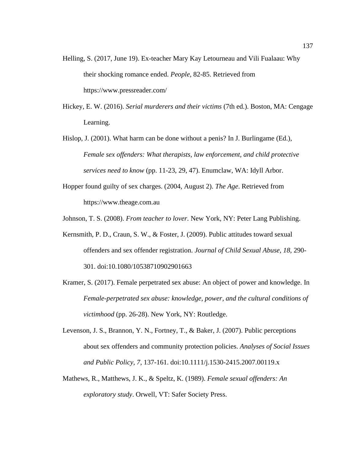- Helling, S. (2017, June 19). Ex-teacher Mary Kay Letourneau and Vili Fualaau: Why their shocking romance ended. *People*, 82-85. Retrieved from https://www.pressreader.com/
- Hickey, E. W. (2016). *Serial murderers and their victims* (7th ed.). Boston, MA: Cengage Learning.
- Hislop, J. (2001). What harm can be done without a penis? In J. Burlingame (Ed.), *Female sex offenders: What therapists, law enforcement, and child protective services need to know* (pp. 11-23, 29, 47). Enumclaw, WA: Idyll Arbor.
- Hopper found guilty of sex charges. (2004, August 2). *The Age*. Retrieved from https://www.theage.com.au
- Johnson, T. S. (2008). *From teacher to lover*. New York, NY: Peter Lang Publishing.
- Kernsmith, P. D., Craun, S. W., & Foster, J. (2009). Public attitudes toward sexual offenders and sex offender registration. *Journal of Child Sexual Abuse, 18*, 290- 301. doi:10.1080/10538710902901663
- Kramer, S. (2017). Female perpetrated sex abuse: An object of power and knowledge. In *Female-perpetrated sex abuse: knowledge, power, and the cultural conditions of victimhood* (pp. 26-28). New York, NY: Routledge.
- Levenson, J. S., Brannon, Y. N., Fortney, T., & Baker, J. (2007). Public perceptions about sex offenders and community protection policies. *Analyses of Social Issues and Public Policy, 7*, 137-161. doi:10.1111/j.1530-2415.2007.00119.x
- Mathews, R., Matthews, J. K., & Speltz, K. (1989). *Female sexual offenders: An exploratory study*. Orwell, VT: Safer Society Press.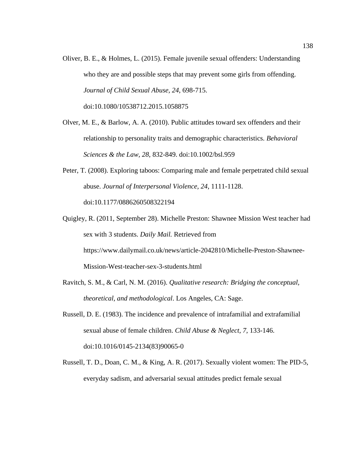- Oliver, B. E., & Holmes, L. (2015). Female juvenile sexual offenders: Understanding who they are and possible steps that may prevent some girls from offending. *Journal of Child Sexual Abuse, 24*, 698-715. doi:10.1080/10538712.2015.1058875
- Olver, M. E., & Barlow, A. A. (2010). Public attitudes toward sex offenders and their relationship to personality traits and demographic characteristics. *Behavioral Sciences & the Law, 28*, 832-849. doi:10.1002/bsl.959
- Peter, T. (2008). Exploring taboos: Comparing male and female perpetrated child sexual abuse. *Journal of Interpersonal Violence, 24*, 1111-1128. doi:10.1177/0886260508322194
- Quigley, R. (2011, September 28). Michelle Preston: Shawnee Mission West teacher had sex with 3 students. *Daily Mail.* Retrieved from [https://www.dailymail.co.uk/news/article-2042810/Michelle-Preston-Shawnee-](https://www.dailymail.co.uk/news/article-2042810/Michelle-Preston-Shawnee-Mission-West-teacher-sex-3-students.html)[Mission-West-teacher-sex-3-students.html](https://www.dailymail.co.uk/news/article-2042810/Michelle-Preston-Shawnee-Mission-West-teacher-sex-3-students.html)
- Ravitch, S. M., & Carl, N. M. (2016). *Qualitative research: Bridging the conceptual, theoretical, and methodological*. Los Angeles, CA: Sage.
- Russell, D. E. (1983). The incidence and prevalence of intrafamilial and extrafamilial sexual abuse of female children. *Child Abuse & Neglect, 7*, 133-146. doi:10.1016/0145-2134(83)90065-0
- Russell, T. D., Doan, C. M., & King, A. R. (2017). Sexually violent women: The PID-5, everyday sadism, and adversarial sexual attitudes predict female sexual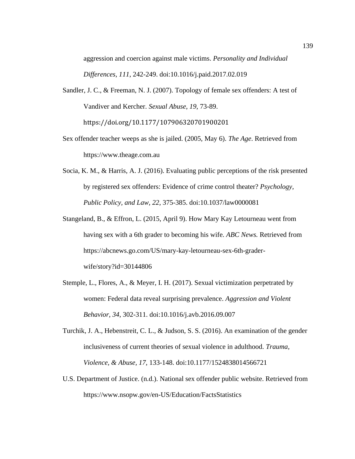aggression and coercion against male victims. *Personality and Individual Differences, 111*, 242-249. doi:10.1016/j.paid.2017.02.019

- Sandler, J. C., & Freeman, N. J. (2007). Topology of female sex offenders: A test of Vandiver and Kercher. *Sexual Abuse*, *19*, 73-89. https://doi.org/10.1177/107906320701900201
- Sex offender teacher weeps as she is jailed. (2005, May 6). *The Age*. Retrieved from https://www.theage.com.au
- Socia, K. M., & Harris, A. J. (2016). Evaluating public perceptions of the risk presented by registered sex offenders: Evidence of crime control theater? *Psychology, Public Policy, and Law, 22*, 375-385. doi:10.1037/law0000081
- Stangeland, B., & Effron, L. (2015, April 9). How Mary Kay Letourneau went from having sex with a 6th grader to becoming his wife. *ABC News.* Retrieved from https://abcnews.go.com/US/mary-kay-letourneau-sex-6th-graderwife/story?id=30144806
- Stemple, L., Flores, A., & Meyer, I. H. (2017). Sexual victimization perpetrated by women: Federal data reveal surprising prevalence. *Aggression and Violent Behavior, 34*, 302-311. doi:10.1016/j.avb.2016.09.007
- Turchik, J. A., Hebenstreit, C. L., & Judson, S. S. (2016). An examination of the gender inclusiveness of current theories of sexual violence in adulthood. *Trauma, Violence, & Abuse, 17*, 133-148. doi:10.1177/1524838014566721
- U.S. Department of Justice. (n.d.). National sex offender public website. Retrieved from <https://www.nsopw.gov/en-US/Education/FactsStatistics>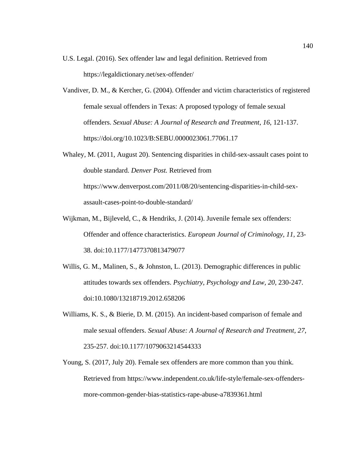- U.S. Legal. (2016). Sex offender law and legal definition. Retrieved from <https://legaldictionary.net/sex-offender/>
- Vandiver, D. M., & Kercher, G. (2004). Offender and victim characteristics of registered female sexual offenders in Texas: A proposed typology of female sexual offenders. *Sexual Abuse: A Journal of Research and Treatment*, *16*, 121-137. https://doi.org/10.1023/B:SEBU.0000023061.77061.17
- Whaley, M. (2011, August 20). Sentencing disparities in child-sex-assault cases point to double standard. *Denver Post.* Retrieved from https://www.denverpost.com/2011/08/20/sentencing-disparities-in-child-sexassault-cases-point-to-double-standard/
- Wijkman, M., Bijleveld, C., & Hendriks, J. (2014). Juvenile female sex offenders: Offender and offence characteristics. *European Journal of Criminology, 11*, 23- 38. doi:10.1177/1477370813479077
- Willis, G. M., Malinen, S., & Johnston, L. (2013). Demographic differences in public attitudes towards sex offenders. *Psychiatry, Psychology and Law, 20*, 230-247. doi:10.1080/13218719.2012.658206
- Williams, K. S., & Bierie, D. M. (2015). An incident-based comparison of female and male sexual offenders. *Sexual Abuse: A Journal of Research and Treatment, 27*, 235-257. doi:10.1177/1079063214544333
- Young, S. (2017, July 20). Female sex offenders are more common than you think. Retrieved from https://www.independent.co.uk/life-style/female-sex-offendersmore-common-gender-bias-statistics-rape-abuse-a7839361.html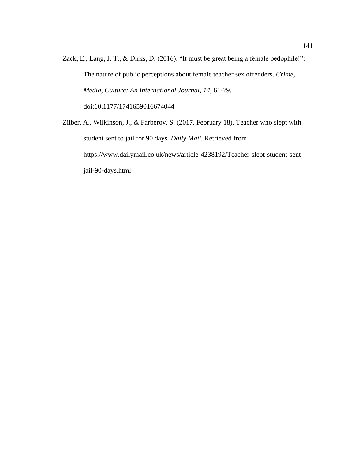- Zack, E., Lang, J. T., & Dirks, D. (2016). "It must be great being a female pedophile!": The nature of public perceptions about female teacher sex offenders. *Crime, Media, Culture: An International Journal, 14*, 61-79. doi:10.1177/1741659016674044
- Zilber, A., Wilkinson, J., & Farberov, S. (2017, February 18). Teacher who slept with student sent to jail for 90 days. *Daily Mail.* Retrieved from [https://www.dailymail.co.uk/news/article-4238192/Teacher-slept-student-sent](https://www.dailymail.co.uk/news/article-4238192/Teacher-slept-student-sent-jail-90-days.html)[jail-90-days.html](https://www.dailymail.co.uk/news/article-4238192/Teacher-slept-student-sent-jail-90-days.html)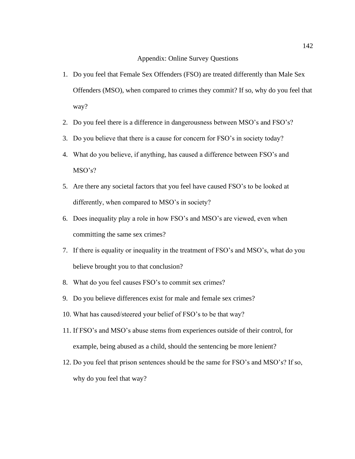## Appendix: Online Survey Questions

- 1. Do you feel that Female Sex Offenders (FSO) are treated differently than Male Sex Offenders (MSO), when compared to crimes they commit? If so, why do you feel that way?
- 2. Do you feel there is a difference in dangerousness between MSO's and FSO's?
- 3. Do you believe that there is a cause for concern for FSO's in society today?
- 4. What do you believe, if anything, has caused a difference between FSO's and MSO's?
- 5. Are there any societal factors that you feel have caused FSO's to be looked at differently, when compared to MSO's in society?
- 6. Does inequality play a role in how FSO's and MSO's are viewed, even when committing the same sex crimes?
- 7. If there is equality or inequality in the treatment of FSO's and MSO's, what do you believe brought you to that conclusion?
- 8. What do you feel causes FSO's to commit sex crimes?
- 9. Do you believe differences exist for male and female sex crimes?
- 10. What has caused/steered your belief of FSO's to be that way?
- 11. If FSO's and MSO's abuse stems from experiences outside of their control, for example, being abused as a child, should the sentencing be more lenient?
- 12. Do you feel that prison sentences should be the same for FSO's and MSO's? If so, why do you feel that way?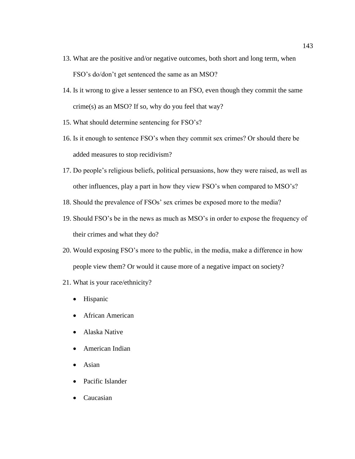- 13. What are the positive and/or negative outcomes, both short and long term, when FSO's do/don't get sentenced the same as an MSO?
- 14. Is it wrong to give a lesser sentence to an FSO, even though they commit the same crime(s) as an MSO? If so, why do you feel that way?
- 15. What should determine sentencing for FSO's?
- 16. Is it enough to sentence FSO's when they commit sex crimes? Or should there be added measures to stop recidivism?
- 17. Do people's religious beliefs, political persuasions, how they were raised, as well as other influences, play a part in how they view FSO's when compared to MSO's?
- 18. Should the prevalence of FSOs' sex crimes be exposed more to the media?
- 19. Should FSO's be in the news as much as MSO's in order to expose the frequency of their crimes and what they do?
- 20. Would exposing FSO's more to the public, in the media, make a difference in how people view them? Or would it cause more of a negative impact on society?
- 21. What is your race/ethnicity?
	- Hispanic
	- African American
	- Alaska Native
	- American Indian
	- Asian
	- Pacific Islander
	- **Caucasian**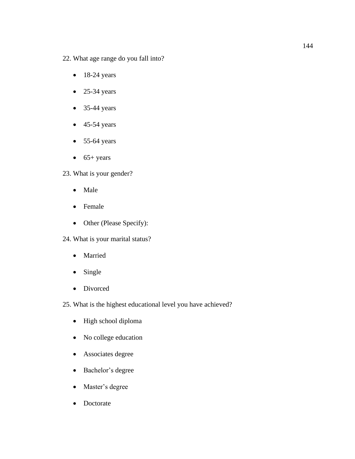- 22. What age range do you fall into?
	- $\bullet$  18-24 years
	- $\bullet$  25-34 years
	- $\bullet$  35-44 years
	- $\bullet$  45-54 years
	- 55-64 years
	- $\bullet$  65+ years
- 23. What is your gender?
	- Male
	- Female
	- Other (Please Specify):
- 24. What is your marital status?
	- Married
	- Single
	- Divorced
- 25. What is the highest educational level you have achieved?
	- High school diploma
	- No college education
	- Associates degree
	- Bachelor's degree
	- Master's degree
	- Doctorate